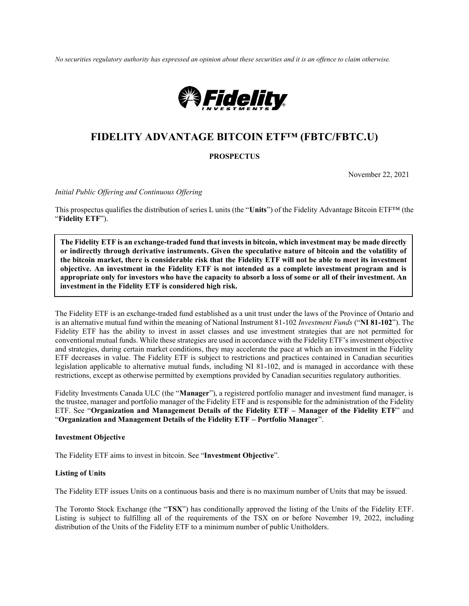*No securities regulatory authority has expressed an opinion about these securities and it is an offence to claim otherwise.*



# **FIDELITY ADVANTAGE BITCOIN ETF™ (FBTC/FBTC.U)**

#### **PROSPECTUS**

November 22, 2021

*Initial Public Offering and Continuous Offering*

This prospectus qualifies the distribution of series L units (the "**Units**") of the Fidelity Advantage Bitcoin ETF™ (the "**Fidelity ETF**").

**The Fidelity ETF is an exchange-traded fund that invests in bitcoin, which investment may be made directly or indirectly through derivative instruments. Given the speculative nature of bitcoin and the volatility of the bitcoin market, there is considerable risk that the Fidelity ETF will not be able to meet its investment objective. An investment in the Fidelity ETF is not intended as a complete investment program and is appropriate only for investors who have the capacity to absorb a loss of some or all of their investment. An investment in the Fidelity ETF is considered high risk.**

The Fidelity ETF is an exchange-traded fund established as a unit trust under the laws of the Province of Ontario and is an alternative mutual fund within the meaning of National Instrument 81-102 *Investment Funds* ("**NI 81-102**"). The Fidelity ETF has the ability to invest in asset classes and use investment strategies that are not permitted for conventional mutual funds. While these strategies are used in accordance with the Fidelity ETF's investment objective and strategies, during certain market conditions, they may accelerate the pace at which an investment in the Fidelity ETF decreases in value. The Fidelity ETF is subject to restrictions and practices contained in Canadian securities legislation applicable to alternative mutual funds, including NI 81-102, and is managed in accordance with these restrictions, except as otherwise permitted by exemptions provided by Canadian securities regulatory authorities.

Fidelity Investments Canada ULC (the "**Manager**"), a registered portfolio manager and investment fund manager, is the trustee, manager and portfolio manager of the Fidelity ETF and is responsible for the administration of the Fidelity ETF. See "**[Organization and Management Details of the Fidelity ETF](#page-37-0) – [Manager of the Fidelity ETF](#page-37-1)**" and "**[Organization and Management Details of the Fidelity ETF](#page-37-0) – [Portfolio Manager](#page-40-0)**".

#### **Investment Objective**

The Fidelity ETF aims to invest in bitcoin. See "**Investment Objective**".

#### **Listing of Units**

The Fidelity ETF issues Units on a continuous basis and there is no maximum number of Units that may be issued.

The Toronto Stock Exchange (the "**TSX**") has conditionally approved the listing of the Units of the Fidelity ETF. Listing is subject to fulfilling all of the requirements of the TSX on or before November 19, 2022, including distribution of the Units of the Fidelity ETF to a minimum number of public Unitholders.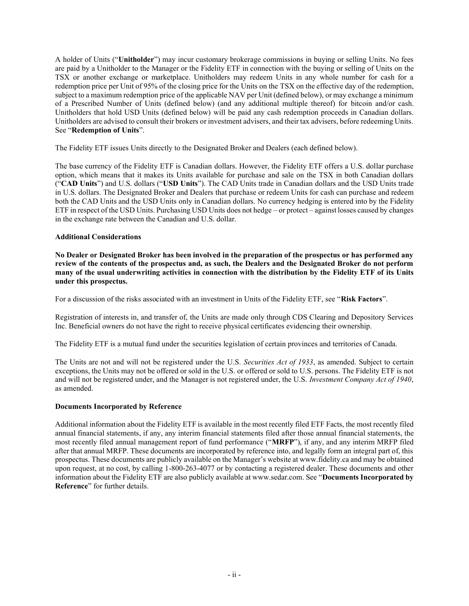A holder of Units ("**Unitholder**") may incur customary brokerage commissions in buying or selling Units. No fees are paid by a Unitholder to the Manager or the Fidelity ETF in connection with the buying or selling of Units on the TSX or another exchange or marketplace. Unitholders may redeem Units in any whole number for cash for a redemption price per Unit of 95% of the closing price for the Units on the TSX on the effective day of the redemption, subject to a maximum redemption price of the applicable NAV per Unit (defined below), or may exchange a minimum of a Prescribed Number of Units (defined below) (and any additional multiple thereof) for bitcoin and/or cash. Unitholders that hold USD Units (defined below) will be paid any cash redemption proceeds in Canadian dollars. Unitholders are advised to consult their brokers or investment advisers, and their tax advisers, before redeeming Units. See "**[Redemption of Units](#page-31-0)**".

The Fidelity ETF issues Units directly to the Designated Broker and Dealers (each defined below).

The base currency of the Fidelity ETF is Canadian dollars. However, the Fidelity ETF offers a U.S. dollar purchase option, which means that it makes its Units available for purchase and sale on the TSX in both Canadian dollars ("**CAD Units**") and U.S. dollars ("**USD Units**"). The CAD Units trade in Canadian dollars and the USD Units trade in U.S. dollars. The Designated Broker and Dealers that purchase or redeem Units for cash can purchase and redeem both the CAD Units and the USD Units only in Canadian dollars. No currency hedging is entered into by the Fidelity ETF in respect of the USD Units. Purchasing USD Units does not hedge – or protect – against losses caused by changes in the exchange rate between the Canadian and U.S. dollar.

#### **Additional Considerations**

**No Dealer or Designated Broker has been involved in the preparation of the prospectus or has performed any review of the contents of the prospectus and, as such, the Dealers and the Designated Broker do not perform many of the usual underwriting activities in connection with the distribution by the Fidelity ETF of its Units under this prospectus.**

For a discussion of the risks associated with an investment in Units of the Fidelity ETF, see "**[Risk Factors](#page-18-0)**".

Registration of interests in, and transfer of, the Units are made only through CDS Clearing and Depository Services Inc. Beneficial owners do not have the right to receive physical certificates evidencing their ownership.

The Fidelity ETF is a mutual fund under the securities legislation of certain provinces and territories of Canada.

The Units are not and will not be registered under the U.S. *Securities Act of 1933*, as amended. Subject to certain exceptions, the Units may not be offered or sold in the U.S. or offered or sold to U.S. persons. The Fidelity ETF is not and will not be registered under, and the Manager is not registered under, the U.S. *Investment Company Act of 1940*, as amended.

### <span id="page-1-0"></span>**Documents Incorporated by Reference**

Additional information about the Fidelity ETF is available in the most recently filed ETF Facts, the most recently filed annual financial statements, if any, any interim financial statements filed after those annual financial statements, the most recently filed annual management report of fund performance ("**MRFP**"), if any, and any interim MRFP filed after that annual MRFP. These documents are incorporated by reference into, and legally form an integral part of, this prospectus. These documents are publicly available on the Manager's website at www.fidelity.ca and may be obtained upon request, at no cost, by calling 1-800-263-4077 or by contacting a registered dealer. These documents and other information about the Fidelity ETF are also publicly available at www.sedar.com. See "**[Documents Incorporated by](#page-50-0)  [Reference](#page-50-0)**" for further details.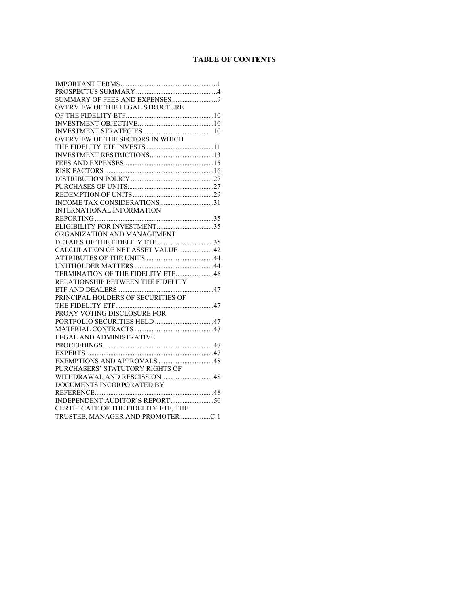# **TABLE OF CONTENTS**

| SUMMARY OF FEES AND EXPENSES9        |  |
|--------------------------------------|--|
| OVERVIEW OF THE LEGAL STRUCTURE      |  |
|                                      |  |
|                                      |  |
|                                      |  |
| OVERVIEW OF THE SECTORS IN WHICH     |  |
|                                      |  |
|                                      |  |
|                                      |  |
|                                      |  |
|                                      |  |
|                                      |  |
|                                      |  |
| INCOME TAX CONSIDERATIONS 31         |  |
| INTERNATIONAL INFORMATION            |  |
|                                      |  |
|                                      |  |
| ORGANIZATION AND MANAGEMENT          |  |
| DETAILS OF THE FIDELITY ETF 35       |  |
| CALCULATION OF NET ASSET VALUE 42    |  |
|                                      |  |
|                                      |  |
| TERMINATION OF THE FIDELITY ETF46    |  |
| RELATIONSHIP BETWEEN THE FIDELITY    |  |
|                                      |  |
| PRINCIPAL HOLDERS OF SECURITIES OF   |  |
|                                      |  |
| PROXY VOTING DISCLOSURE FOR          |  |
|                                      |  |
|                                      |  |
| <b>LEGAL AND ADMINISTRATIVE</b>      |  |
|                                      |  |
|                                      |  |
|                                      |  |
| PURCHASERS' STATUTORY RIGHTS OF      |  |
|                                      |  |
| DOCUMENTS INCORPORATED BY            |  |
|                                      |  |
|                                      |  |
| CERTIFICATE OF THE FIDELITY ETF, THE |  |
| TRUSTEE, MANAGER AND PROMOTER C-1    |  |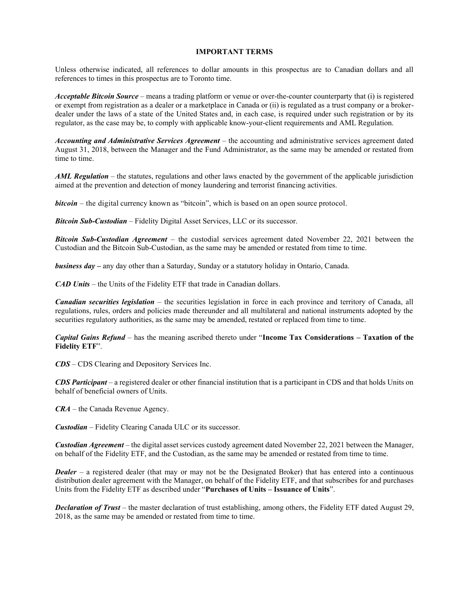#### **IMPORTANT TERMS**

<span id="page-3-0"></span>Unless otherwise indicated, all references to dollar amounts in this prospectus are to Canadian dollars and all references to times in this prospectus are to Toronto time.

*Acceptable Bitcoin Source* – means a trading platform or venue or over-the-counter counterparty that (i) is registered or exempt from registration as a dealer or a marketplace in Canada or (ii) is regulated as a trust company or a brokerdealer under the laws of a state of the United States and, in each case, is required under such registration or by its regulator, as the case may be, to comply with applicable know-your-client requirements and AML Regulation.

*Accounting and Administrative Services Agreement* – the accounting and administrative services agreement dated August 31, 2018, between the Manager and the Fund Administrator, as the same may be amended or restated from time to time.

*AML Regulation* – the statutes, regulations and other laws enacted by the government of the applicable jurisdiction aimed at the prevention and detection of money laundering and terrorist financing activities.

*bitcoin* – the digital currency known as "bitcoin", which is based on an open source protocol.

*Bitcoin Sub-Custodian* – Fidelity Digital Asset Services, LLC or its successor.

*Bitcoin Sub-Custodian Agreement* – the custodial services agreement dated November 22, 2021 between the Custodian and the Bitcoin Sub-Custodian, as the same may be amended or restated from time to time.

*business day* **–** any day other than a Saturday, Sunday or a statutory holiday in Ontario, Canada.

*CAD Units* – the Units of the Fidelity ETF that trade in Canadian dollars.

*Canadian securities legislation* – the securities legislation in force in each province and territory of Canada, all regulations, rules, orders and policies made thereunder and all multilateral and national instruments adopted by the securities regulatory authorities, as the same may be amended, restated or replaced from time to time.

*Capital Gains Refund* – has the meaning ascribed thereto under "**Income Tax Considerations – Taxation of the Fidelity ETF**".

*CDS* – CDS Clearing and Depository Services Inc.

*CDS Participant* – a registered dealer or other financial institution that is a participant in CDS and that holds Units on behalf of beneficial owners of Units.

*CRA* – the Canada Revenue Agency.

*Custodian* – Fidelity Clearing Canada ULC or its successor.

*Custodian Agreement* – the digital asset services custody agreement dated November 22, 2021 between the Manager, on behalf of the Fidelity ETF, and the Custodian, as the same may be amended or restated from time to time.

*Dealer* – a registered dealer (that may or may not be the Designated Broker) that has entered into a continuous distribution dealer agreement with the Manager, on behalf of the Fidelity ETF, and that subscribes for and purchases Units from the Fidelity ETF as described under "**[Purchases of Units](#page-29-1) – [Issuance of Units](#page-29-2)**".

*Declaration of Trust* – the master declaration of trust establishing, among others, the Fidelity ETF dated August 29, 2018, as the same may be amended or restated from time to time.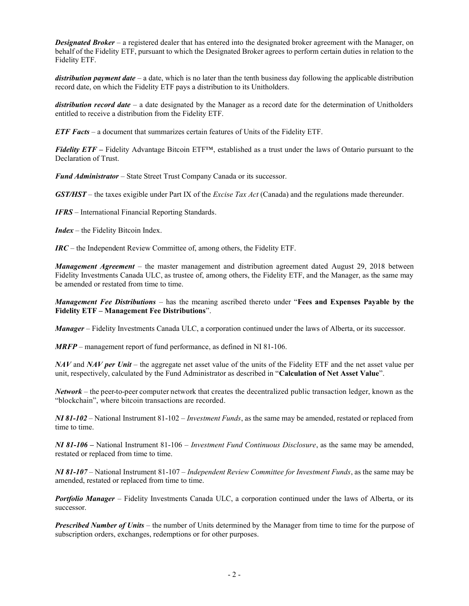*Designated Broker* – a registered dealer that has entered into the designated broker agreement with the Manager, on behalf of the Fidelity ETF, pursuant to which the Designated Broker agrees to perform certain duties in relation to the Fidelity ETF.

*distribution payment date* – a date, which is no later than the tenth business day following the applicable distribution record date, on which the Fidelity ETF pays a distribution to its Unitholders.

*distribution record date* – a date designated by the Manager as a record date for the determination of Unitholders entitled to receive a distribution from the Fidelity ETF.

*ETF Facts* – a document that summarizes certain features of Units of the Fidelity ETF.

*Fidelity ETF* **–** Fidelity Advantage Bitcoin ETF™, established as a trust under the laws of Ontario pursuant to the Declaration of Trust.

*Fund Administrator* – State Street Trust Company Canada or its successor.

*GST/HST* – the taxes exigible under Part IX of the *Excise Tax Act* (Canada) and the regulations made thereunder.

*IFRS* – International Financial Reporting Standards.

*Index* – the Fidelity Bitcoin Index.

*IRC* – the Independent Review Committee of, among others, the Fidelity ETF.

*Management Agreement* – the master management and distribution agreement dated August 29, 2018 between Fidelity Investments Canada ULC, as trustee of, among others, the Fidelity ETF, and the Manager, as the same may be amended or restated from time to time.

*Management Fee Distributions* – has the meaning ascribed thereto under "**Fees and Expenses Payable by the Fidelity ETF – Management Fee Distributions**".

*Manager* – Fidelity Investments Canada ULC, a corporation continued under the laws of Alberta, or its successor.

*MRFP* – management report of fund performance, as defined in NI 81-106.

*NAV* and *NAV per Unit* – the aggregate net asset value of the units of the Fidelity ETF and the net asset value per unit, respectively, calculated by the Fund Administrator as described in "**[Calculation of Net Asset Value](#page-44-0)**".

*Network* – the peer-to-peer computer network that creates the decentralized public transaction ledger, known as the "blockchain", where bitcoin transactions are recorded.

*NI 81-102* – National Instrument 81-102 – *Investment Funds*, as the same may be amended, restated or replaced from time to time.

*NI 81-106* **–** National Instrument 81-106 – *Investment Fund Continuous Disclosure*, as the same may be amended, restated or replaced from time to time.

*NI 81-107* – National Instrument 81-107 – *Independent Review Committee for Investment Funds*, as the same may be amended, restated or replaced from time to time.

*Portfolio Manager* – Fidelity Investments Canada ULC, a corporation continued under the laws of Alberta, or its successor.

*Prescribed Number of Units* – the number of Units determined by the Manager from time to time for the purpose of subscription orders, exchanges, redemptions or for other purposes.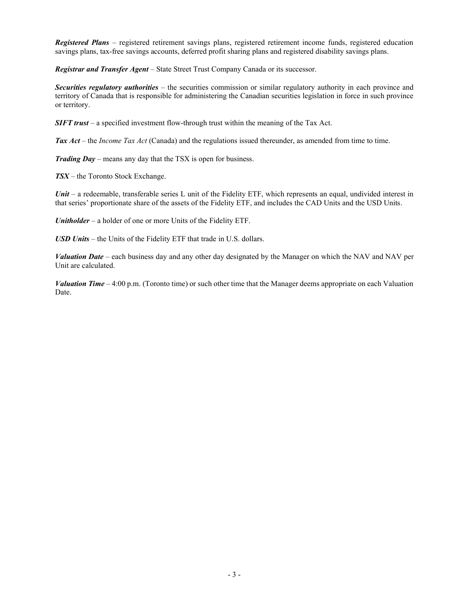*Registered Plans* – registered retirement savings plans, registered retirement income funds, registered education savings plans, tax-free savings accounts, deferred profit sharing plans and registered disability savings plans.

*Registrar and Transfer Agent* – State Street Trust Company Canada or its successor.

*Securities regulatory authorities* – the securities commission or similar regulatory authority in each province and territory of Canada that is responsible for administering the Canadian securities legislation in force in such province or territory.

*SIFT trust* – a specified investment flow-through trust within the meaning of the Tax Act.

*Tax Act* – the *Income Tax Act* (Canada) and the regulations issued thereunder, as amended from time to time.

*Trading Day* – means any day that the TSX is open for business.

*TSX* – the Toronto Stock Exchange.

*Unit* – a redeemable, transferable series L unit of the Fidelity ETF, which represents an equal, undivided interest in that series' proportionate share of the assets of the Fidelity ETF, and includes the CAD Units and the USD Units.

*Unitholder* – a holder of one or more Units of the Fidelity ETF.

*USD Units* – the Units of the Fidelity ETF that trade in U.S. dollars.

*Valuation Date* – each business day and any other day designated by the Manager on which the NAV and NAV per Unit are calculated.

*Valuation Time* – 4:00 p.m. (Toronto time) or such other time that the Manager deems appropriate on each Valuation Date.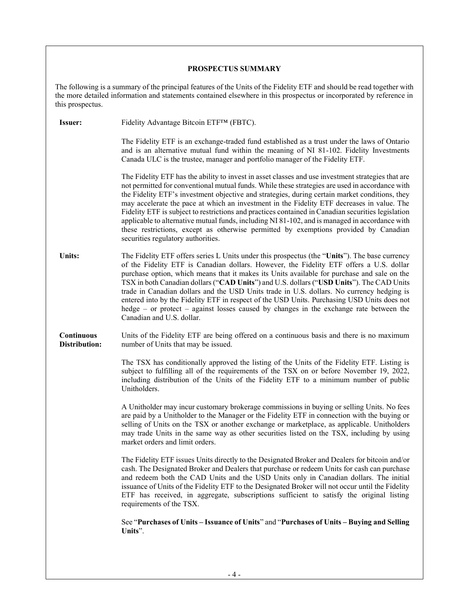# **PROSPECTUS SUMMARY**

<span id="page-6-0"></span>The following is a summary of the principal features of the Units of the Fidelity ETF and should be read together with the more detailed information and statements contained elsewhere in this prospectus or incorporated by reference in this prospectus.

| <b>Issuer:</b>                     | Fidelity Advantage Bitcoin ETFTM (FBTC).                                                                                                                                                                                                                                                                                                                                                                                                                                                                                                                                                                                                                                                                                                    |  |  |
|------------------------------------|---------------------------------------------------------------------------------------------------------------------------------------------------------------------------------------------------------------------------------------------------------------------------------------------------------------------------------------------------------------------------------------------------------------------------------------------------------------------------------------------------------------------------------------------------------------------------------------------------------------------------------------------------------------------------------------------------------------------------------------------|--|--|
|                                    | The Fidelity ETF is an exchange-traded fund established as a trust under the laws of Ontario<br>and is an alternative mutual fund within the meaning of NI 81-102. Fidelity Investments<br>Canada ULC is the trustee, manager and portfolio manager of the Fidelity ETF.                                                                                                                                                                                                                                                                                                                                                                                                                                                                    |  |  |
|                                    | The Fidelity ETF has the ability to invest in asset classes and use investment strategies that are<br>not permitted for conventional mutual funds. While these strategies are used in accordance with<br>the Fidelity ETF's investment objective and strategies, during certain market conditions, they<br>may accelerate the pace at which an investment in the Fidelity ETF decreases in value. The<br>Fidelity ETF is subject to restrictions and practices contained in Canadian securities legislation<br>applicable to alternative mutual funds, including NI 81-102, and is managed in accordance with<br>these restrictions, except as otherwise permitted by exemptions provided by Canadian<br>securities regulatory authorities. |  |  |
| <b>Units:</b>                      | The Fidelity ETF offers series L Units under this prospectus (the "Units"). The base currency<br>of the Fidelity ETF is Canadian dollars. However, the Fidelity ETF offers a U.S. dollar<br>purchase option, which means that it makes its Units available for purchase and sale on the<br>TSX in both Canadian dollars ("CAD Units") and U.S. dollars ("USD Units"). The CAD Units<br>trade in Canadian dollars and the USD Units trade in U.S. dollars. No currency hedging is<br>entered into by the Fidelity ETF in respect of the USD Units. Purchasing USD Units does not<br>hedge - or protect - against losses caused by changes in the exchange rate between the<br>Canadian and U.S. dollar.                                      |  |  |
| Continuous<br><b>Distribution:</b> | Units of the Fidelity ETF are being offered on a continuous basis and there is no maximum<br>number of Units that may be issued.                                                                                                                                                                                                                                                                                                                                                                                                                                                                                                                                                                                                            |  |  |
|                                    | The TSX has conditionally approved the listing of the Units of the Fidelity ETF. Listing is<br>subject to fulfilling all of the requirements of the TSX on or before November 19, 2022,<br>including distribution of the Units of the Fidelity ETF to a minimum number of public<br>Unitholders.                                                                                                                                                                                                                                                                                                                                                                                                                                            |  |  |
|                                    | A Unitholder may incur customary brokerage commissions in buying or selling Units. No fees<br>are paid by a Unitholder to the Manager or the Fidelity ETF in connection with the buying or<br>selling of Units on the TSX or another exchange or marketplace, as applicable. Unitholders<br>may trade Units in the same way as other securities listed on the TSX, including by using<br>market orders and limit orders.                                                                                                                                                                                                                                                                                                                    |  |  |
|                                    | The Fidelity ETF issues Units directly to the Designated Broker and Dealers for bitcoin and/or<br>cash. The Designated Broker and Dealers that purchase or redeem Units for cash can purchase<br>and redeem both the CAD Units and the USD Units only in Canadian dollars. The initial<br>issuance of Units of the Fidelity ETF to the Designated Broker will not occur until the Fidelity<br>ETF has received, in aggregate, subscriptions sufficient to satisfy the original listing<br>requirements of the TSX.                                                                                                                                                                                                                          |  |  |
|                                    | See "Purchases of Units - Issuance of Units" and "Purchases of Units - Buying and Selling<br>Units".                                                                                                                                                                                                                                                                                                                                                                                                                                                                                                                                                                                                                                        |  |  |
|                                    |                                                                                                                                                                                                                                                                                                                                                                                                                                                                                                                                                                                                                                                                                                                                             |  |  |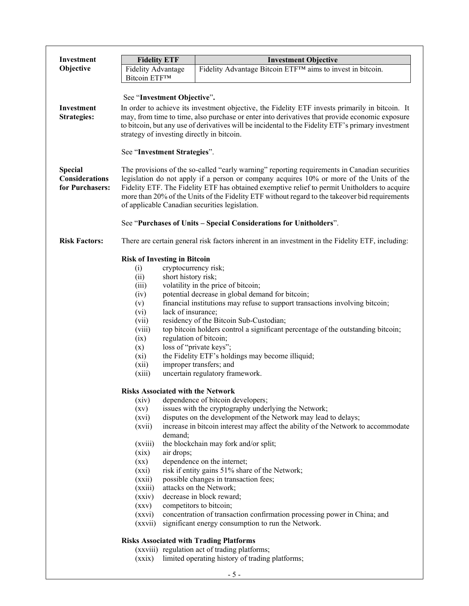| Investment            | <b>Fidelity ETF</b>                                                                             | <b>Investment Objective</b>                                                                         |  |  |
|-----------------------|-------------------------------------------------------------------------------------------------|-----------------------------------------------------------------------------------------------------|--|--|
| Objective             | <b>Fidelity Advantage</b>                                                                       | Fidelity Advantage Bitcoin ETF™ aims to invest in bitcoin.                                          |  |  |
|                       | <b>Bitcoin ETF™</b>                                                                             |                                                                                                     |  |  |
|                       | See "Investment Objective".                                                                     |                                                                                                     |  |  |
| Investment            | In order to achieve its investment objective, the Fidelity ETF invests primarily in bitcoin. It |                                                                                                     |  |  |
| <b>Strategies:</b>    |                                                                                                 | may, from time to time, also purchase or enter into derivatives that provide economic exposure      |  |  |
|                       |                                                                                                 | to bitcoin, but any use of derivatives will be incidental to the Fidelity ETF's primary investment  |  |  |
|                       | strategy of investing directly in bitcoin.                                                      |                                                                                                     |  |  |
|                       | See "Investment Strategies".                                                                    |                                                                                                     |  |  |
| <b>Special</b>        | The provisions of the so-called "early warning" reporting requirements in Canadian securities   |                                                                                                     |  |  |
| <b>Considerations</b> |                                                                                                 | legislation do not apply if a person or company acquires 10% or more of the Units of the            |  |  |
| for Purchasers:       |                                                                                                 | Fidelity ETF. The Fidelity ETF has obtained exemptive relief to permit Unitholders to acquire       |  |  |
|                       |                                                                                                 | more than 20% of the Units of the Fidelity ETF without regard to the takeover bid requirements      |  |  |
|                       | of applicable Canadian securities legislation.                                                  |                                                                                                     |  |  |
|                       |                                                                                                 | See "Purchases of Units - Special Considerations for Unitholders".                                  |  |  |
| <b>Risk Factors:</b>  |                                                                                                 | There are certain general risk factors inherent in an investment in the Fidelity ETF, including:    |  |  |
|                       | <b>Risk of Investing in Bitcoin</b>                                                             |                                                                                                     |  |  |
|                       | (i)                                                                                             | cryptocurrency risk;                                                                                |  |  |
|                       | (ii)                                                                                            | short history risk;                                                                                 |  |  |
|                       | (iii)                                                                                           | volatility in the price of bitcoin;                                                                 |  |  |
|                       | (iv)                                                                                            | potential decrease in global demand for bitcoin;                                                    |  |  |
|                       | (v)                                                                                             | financial institutions may refuse to support transactions involving bitcoin;                        |  |  |
|                       | (vi)                                                                                            | lack of insurance;                                                                                  |  |  |
|                       | (vii)                                                                                           | residency of the Bitcoin Sub-Custodian;                                                             |  |  |
|                       | (viii)                                                                                          | top bitcoin holders control a significant percentage of the outstanding bitcoin;                    |  |  |
|                       | (ix)                                                                                            | regulation of bitcoin;                                                                              |  |  |
|                       | (x)                                                                                             | loss of "private keys";                                                                             |  |  |
|                       | (xi)                                                                                            | the Fidelity ETF's holdings may become illiquid;<br>improper transfers; and                         |  |  |
|                       | (xii)<br>(xiii)                                                                                 | uncertain regulatory framework.                                                                     |  |  |
|                       | <b>Risks Associated with the Network</b>                                                        |                                                                                                     |  |  |
|                       | (xiv)                                                                                           | dependence of bitcoin developers;                                                                   |  |  |
|                       | $\left( xy\right)$                                                                              | issues with the cryptography underlying the Network;                                                |  |  |
|                       | (xvi)                                                                                           | disputes on the development of the Network may lead to delays;                                      |  |  |
|                       | (xvii)                                                                                          | increase in bitcoin interest may affect the ability of the Network to accommodate                   |  |  |
|                       | demand;                                                                                         |                                                                                                     |  |  |
|                       | (xviii)                                                                                         | the blockchain may fork and/or split;                                                               |  |  |
|                       | air drops;<br>(xix)                                                                             |                                                                                                     |  |  |
|                       | $(\mathbf{xx})$                                                                                 | dependence on the internet;                                                                         |  |  |
|                       | (xxi)                                                                                           | risk if entity gains 51% share of the Network;                                                      |  |  |
|                       | (xxii)                                                                                          | possible changes in transaction fees;                                                               |  |  |
|                       | (xxiii)                                                                                         | attacks on the Network;                                                                             |  |  |
|                       | (xxiv)                                                                                          | decrease in block reward;                                                                           |  |  |
|                       | (xxy)                                                                                           | competitors to bitcoin;<br>concentration of transaction confirmation processing power in China; and |  |  |
|                       | (xxvi)<br>(xxvii)                                                                               | significant energy consumption to run the Network.                                                  |  |  |
|                       |                                                                                                 | <b>Risks Associated with Trading Platforms</b>                                                      |  |  |
|                       |                                                                                                 | (xxviii) regulation act of trading platforms;                                                       |  |  |
|                       | (xxix)                                                                                          | limited operating history of trading platforms;                                                     |  |  |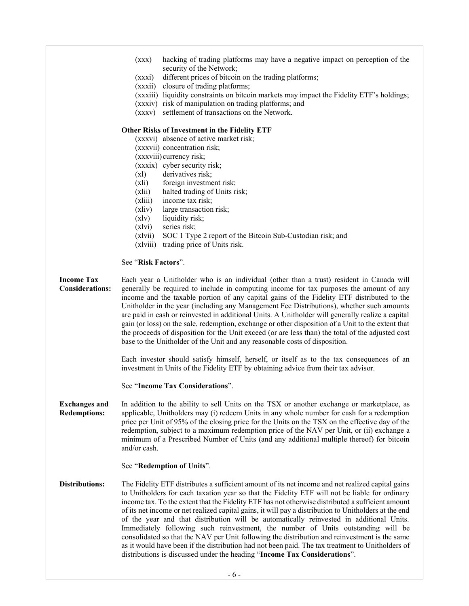|                                                                                            | hacking of trading platforms may have a negative impact on perception of the<br>(xxx)                                                                                                                                                                                                                                                                                                                                                                                                                                                                                                                                                                                                                                                                                                                                                                                                                                                                                                                                                                                                                                                                                                                                                                                                                |  |  |
|--------------------------------------------------------------------------------------------|------------------------------------------------------------------------------------------------------------------------------------------------------------------------------------------------------------------------------------------------------------------------------------------------------------------------------------------------------------------------------------------------------------------------------------------------------------------------------------------------------------------------------------------------------------------------------------------------------------------------------------------------------------------------------------------------------------------------------------------------------------------------------------------------------------------------------------------------------------------------------------------------------------------------------------------------------------------------------------------------------------------------------------------------------------------------------------------------------------------------------------------------------------------------------------------------------------------------------------------------------------------------------------------------------|--|--|
|                                                                                            | security of the Network;<br>different prices of bitcoin on the trading platforms;<br>(xxxi)                                                                                                                                                                                                                                                                                                                                                                                                                                                                                                                                                                                                                                                                                                                                                                                                                                                                                                                                                                                                                                                                                                                                                                                                          |  |  |
|                                                                                            | (xxxii) closure of trading platforms;                                                                                                                                                                                                                                                                                                                                                                                                                                                                                                                                                                                                                                                                                                                                                                                                                                                                                                                                                                                                                                                                                                                                                                                                                                                                |  |  |
|                                                                                            | (xxxiii) liquidity constraints on bitcoin markets may impact the Fidelity ETF's holdings;                                                                                                                                                                                                                                                                                                                                                                                                                                                                                                                                                                                                                                                                                                                                                                                                                                                                                                                                                                                                                                                                                                                                                                                                            |  |  |
|                                                                                            | (xxxiv) risk of manipulation on trading platforms; and                                                                                                                                                                                                                                                                                                                                                                                                                                                                                                                                                                                                                                                                                                                                                                                                                                                                                                                                                                                                                                                                                                                                                                                                                                               |  |  |
|                                                                                            | (xxxv) settlement of transactions on the Network.                                                                                                                                                                                                                                                                                                                                                                                                                                                                                                                                                                                                                                                                                                                                                                                                                                                                                                                                                                                                                                                                                                                                                                                                                                                    |  |  |
|                                                                                            | Other Risks of Investment in the Fidelity ETF                                                                                                                                                                                                                                                                                                                                                                                                                                                                                                                                                                                                                                                                                                                                                                                                                                                                                                                                                                                                                                                                                                                                                                                                                                                        |  |  |
|                                                                                            | (xxxvi) absence of active market risk;                                                                                                                                                                                                                                                                                                                                                                                                                                                                                                                                                                                                                                                                                                                                                                                                                                                                                                                                                                                                                                                                                                                                                                                                                                                               |  |  |
|                                                                                            | (xxxvii) concentration risk;                                                                                                                                                                                                                                                                                                                                                                                                                                                                                                                                                                                                                                                                                                                                                                                                                                                                                                                                                                                                                                                                                                                                                                                                                                                                         |  |  |
|                                                                                            | (xxxviii) currency risk;                                                                                                                                                                                                                                                                                                                                                                                                                                                                                                                                                                                                                                                                                                                                                                                                                                                                                                                                                                                                                                                                                                                                                                                                                                                                             |  |  |
|                                                                                            | (xxxix) cyber security risk;<br>derivatives risk;<br>(x)                                                                                                                                                                                                                                                                                                                                                                                                                                                                                                                                                                                                                                                                                                                                                                                                                                                                                                                                                                                                                                                                                                                                                                                                                                             |  |  |
|                                                                                            | (xli)<br>foreign investment risk;                                                                                                                                                                                                                                                                                                                                                                                                                                                                                                                                                                                                                                                                                                                                                                                                                                                                                                                                                                                                                                                                                                                                                                                                                                                                    |  |  |
|                                                                                            | halted trading of Units risk;<br>(xli)                                                                                                                                                                                                                                                                                                                                                                                                                                                                                                                                                                                                                                                                                                                                                                                                                                                                                                                                                                                                                                                                                                                                                                                                                                                               |  |  |
|                                                                                            | income tax risk;<br>(xliii)                                                                                                                                                                                                                                                                                                                                                                                                                                                                                                                                                                                                                                                                                                                                                                                                                                                                                                                                                                                                                                                                                                                                                                                                                                                                          |  |  |
|                                                                                            | large transaction risk;<br>(xliv)                                                                                                                                                                                                                                                                                                                                                                                                                                                                                                                                                                                                                                                                                                                                                                                                                                                                                                                                                                                                                                                                                                                                                                                                                                                                    |  |  |
|                                                                                            | liquidity risk;<br>(x v)                                                                                                                                                                                                                                                                                                                                                                                                                                                                                                                                                                                                                                                                                                                                                                                                                                                                                                                                                                                                                                                                                                                                                                                                                                                                             |  |  |
|                                                                                            | series risk;<br>(x vi)<br>SOC 1 Type 2 report of the Bitcoin Sub-Custodian risk; and<br>(xlvii)                                                                                                                                                                                                                                                                                                                                                                                                                                                                                                                                                                                                                                                                                                                                                                                                                                                                                                                                                                                                                                                                                                                                                                                                      |  |  |
|                                                                                            | (xlviii) trading price of Units risk.                                                                                                                                                                                                                                                                                                                                                                                                                                                                                                                                                                                                                                                                                                                                                                                                                                                                                                                                                                                                                                                                                                                                                                                                                                                                |  |  |
|                                                                                            |                                                                                                                                                                                                                                                                                                                                                                                                                                                                                                                                                                                                                                                                                                                                                                                                                                                                                                                                                                                                                                                                                                                                                                                                                                                                                                      |  |  |
|                                                                                            | See "Risk Factors".                                                                                                                                                                                                                                                                                                                                                                                                                                                                                                                                                                                                                                                                                                                                                                                                                                                                                                                                                                                                                                                                                                                                                                                                                                                                                  |  |  |
| <b>Income Tax</b><br><b>Considerations:</b><br><b>Exchanges and</b><br><b>Redemptions:</b> | Each year a Unitholder who is an individual (other than a trust) resident in Canada will<br>generally be required to include in computing income for tax purposes the amount of any<br>income and the taxable portion of any capital gains of the Fidelity ETF distributed to the<br>Unitholder in the year (including any Management Fee Distributions), whether such amounts<br>are paid in cash or reinvested in additional Units. A Unitholder will generally realize a capital<br>gain (or loss) on the sale, redemption, exchange or other disposition of a Unit to the extent that<br>the proceeds of disposition for the Unit exceed (or are less than) the total of the adjusted cost<br>base to the Unitholder of the Unit and any reasonable costs of disposition.<br>Each investor should satisfy himself, herself, or itself as to the tax consequences of an<br>investment in Units of the Fidelity ETF by obtaining advice from their tax advisor.<br>See "Income Tax Considerations".<br>In addition to the ability to sell Units on the TSX or another exchange or marketplace, as<br>applicable, Unitholders may (i) redeem Units in any whole number for cash for a redemption<br>price per Unit of 95% of the closing price for the Units on the TSX on the effective day of the |  |  |
|                                                                                            | redemption, subject to a maximum redemption price of the NAV per Unit, or (ii) exchange a<br>minimum of a Prescribed Number of Units (and any additional multiple thereof) for bitcoin<br>and/or cash.<br>See "Redemption of Units".                                                                                                                                                                                                                                                                                                                                                                                                                                                                                                                                                                                                                                                                                                                                                                                                                                                                                                                                                                                                                                                                 |  |  |
| <b>Distributions:</b>                                                                      | The Fidelity ETF distributes a sufficient amount of its net income and net realized capital gains<br>to Unitholders for each taxation year so that the Fidelity ETF will not be liable for ordinary<br>income tax. To the extent that the Fidelity ETF has not otherwise distributed a sufficient amount<br>of its net income or net realized capital gains, it will pay a distribution to Unitholders at the end<br>of the year and that distribution will be automatically reinvested in additional Units.<br>Immediately following such reinvestment, the number of Units outstanding will be<br>consolidated so that the NAV per Unit following the distribution and reinvestment is the same<br>as it would have been if the distribution had not been paid. The tax treatment to Unitholders of<br>distributions is discussed under the heading "Income Tax Considerations".                                                                                                                                                                                                                                                                                                                                                                                                                   |  |  |
|                                                                                            |                                                                                                                                                                                                                                                                                                                                                                                                                                                                                                                                                                                                                                                                                                                                                                                                                                                                                                                                                                                                                                                                                                                                                                                                                                                                                                      |  |  |

г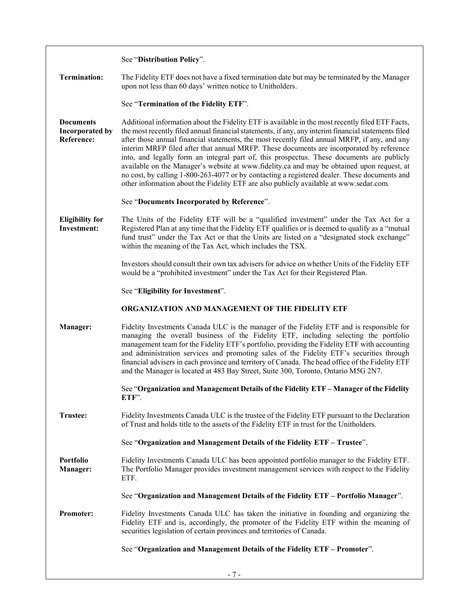|                                                          | See "Distribution Policy".                                                                                                                                                                                                                                                                                                                                                                                                                                                                                                                                                                                                                                                                                                                                                                |  |  |
|----------------------------------------------------------|-------------------------------------------------------------------------------------------------------------------------------------------------------------------------------------------------------------------------------------------------------------------------------------------------------------------------------------------------------------------------------------------------------------------------------------------------------------------------------------------------------------------------------------------------------------------------------------------------------------------------------------------------------------------------------------------------------------------------------------------------------------------------------------------|--|--|
| <b>Termination:</b>                                      | The Fidelity ETF does not have a fixed termination date but may be terminated by the Manager<br>upon not less than 60 days' written notice to Unitholders.                                                                                                                                                                                                                                                                                                                                                                                                                                                                                                                                                                                                                                |  |  |
|                                                          | See "Termination of the Fidelity ETF".                                                                                                                                                                                                                                                                                                                                                                                                                                                                                                                                                                                                                                                                                                                                                    |  |  |
| <b>Documents</b><br><b>Incorporated by</b><br>Reference: | Additional information about the Fidelity ETF is available in the most recently filed ETF Facts,<br>the most recently filed annual financial statements, if any, any interim financial statements filed<br>after those annual financial statements, the most recently filed annual MRFP, if any, and any<br>interim MRFP filed after that annual MRFP. These documents are incorporated by reference<br>into, and legally form an integral part of, this prospectus. These documents are publicly<br>available on the Manager's website at www.fidelity.ca and may be obtained upon request, at<br>no cost, by calling 1-800-263-4077 or by contacting a registered dealer. These documents and<br>other information about the Fidelity ETF are also publicly available at www.sedar.com. |  |  |
|                                                          | See "Documents Incorporated by Reference".                                                                                                                                                                                                                                                                                                                                                                                                                                                                                                                                                                                                                                                                                                                                                |  |  |
| <b>Eligibility for</b><br>Investment:                    | The Units of the Fidelity ETF will be a "qualified investment" under the Tax Act for a<br>Registered Plan at any time that the Fidelity ETF qualifies or is deemed to qualify as a "mutual"<br>fund trust" under the Tax Act or that the Units are listed on a "designated stock exchange"<br>within the meaning of the Tax Act, which includes the TSX.                                                                                                                                                                                                                                                                                                                                                                                                                                  |  |  |
|                                                          | Investors should consult their own tax advisers for advice on whether Units of the Fidelity ETF<br>would be a "prohibited investment" under the Tax Act for their Registered Plan.                                                                                                                                                                                                                                                                                                                                                                                                                                                                                                                                                                                                        |  |  |
|                                                          | See "Eligibility for Investment".                                                                                                                                                                                                                                                                                                                                                                                                                                                                                                                                                                                                                                                                                                                                                         |  |  |
|                                                          | <b>ORGANIZATION AND MANAGEMENT OF THE FIDELITY ETF</b>                                                                                                                                                                                                                                                                                                                                                                                                                                                                                                                                                                                                                                                                                                                                    |  |  |
| Manager:                                                 | Fidelity Investments Canada ULC is the manager of the Fidelity ETF and is responsible for<br>managing the overall business of the Fidelity ETF, including selecting the portfolio<br>management team for the Fidelity ETF's portfolio, providing the Fidelity ETF with accounting<br>and administration services and promoting sales of the Fidelity ETF's securities through<br>financial advisers in each province and territory of Canada. The head office of the Fidelity ETF<br>and the Manager is located at 483 Bay Street, Suite 300, Toronto, Ontario M5G 2N7.                                                                                                                                                                                                                   |  |  |
|                                                          | See "Organization and Management Details of the Fidelity ETF - Manager of the Fidelity<br>ETF".                                                                                                                                                                                                                                                                                                                                                                                                                                                                                                                                                                                                                                                                                           |  |  |
| <b>Trustee:</b>                                          | Fidelity Investments Canada ULC is the trustee of the Fidelity ETF pursuant to the Declaration<br>of Trust and holds title to the assets of the Fidelity ETF in trust for the Unitholders.                                                                                                                                                                                                                                                                                                                                                                                                                                                                                                                                                                                                |  |  |
|                                                          | See "Organization and Management Details of the Fidelity ETF - Trustee".                                                                                                                                                                                                                                                                                                                                                                                                                                                                                                                                                                                                                                                                                                                  |  |  |
| Portfolio<br>Manager:                                    | Fidelity Investments Canada ULC has been appointed portfolio manager to the Fidelity ETF.<br>The Portfolio Manager provides investment management services with respect to the Fidelity<br>ETF.                                                                                                                                                                                                                                                                                                                                                                                                                                                                                                                                                                                           |  |  |
|                                                          | See "Organization and Management Details of the Fidelity ETF - Portfolio Manager".                                                                                                                                                                                                                                                                                                                                                                                                                                                                                                                                                                                                                                                                                                        |  |  |
| Promoter:                                                | Fidelity Investments Canada ULC has taken the initiative in founding and organizing the<br>Fidelity ETF and is, accordingly, the promoter of the Fidelity ETF within the meaning of<br>securities legislation of certain provinces and territories of Canada.                                                                                                                                                                                                                                                                                                                                                                                                                                                                                                                             |  |  |
|                                                          | See "Organization and Management Details of the Fidelity ETF – Promoter".                                                                                                                                                                                                                                                                                                                                                                                                                                                                                                                                                                                                                                                                                                                 |  |  |
|                                                          |                                                                                                                                                                                                                                                                                                                                                                                                                                                                                                                                                                                                                                                                                                                                                                                           |  |  |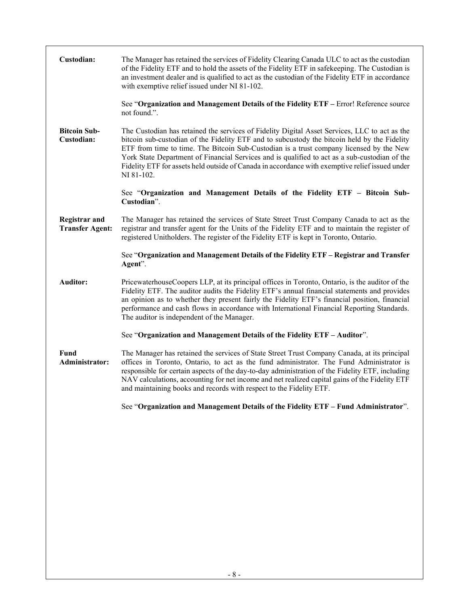<span id="page-10-0"></span>

| Custodian:                                     | The Manager has retained the services of Fidelity Clearing Canada ULC to act as the custodian<br>of the Fidelity ETF and to hold the assets of the Fidelity ETF in safekeeping. The Custodian is<br>an investment dealer and is qualified to act as the custodian of the Fidelity ETF in accordance<br>with exemptive relief issued under NI 81-102.                                                                                                                                                       |  |  |
|------------------------------------------------|------------------------------------------------------------------------------------------------------------------------------------------------------------------------------------------------------------------------------------------------------------------------------------------------------------------------------------------------------------------------------------------------------------------------------------------------------------------------------------------------------------|--|--|
|                                                | See "Organization and Management Details of the Fidelity ETF – Error! Reference source<br>not found.".                                                                                                                                                                                                                                                                                                                                                                                                     |  |  |
| <b>Bitcoin Sub-</b><br>Custodian:              | The Custodian has retained the services of Fidelity Digital Asset Services, LLC to act as the<br>bitcoin sub-custodian of the Fidelity ETF and to subcustody the bitcoin held by the Fidelity<br>ETF from time to time. The Bitcoin Sub-Custodian is a trust company licensed by the New<br>York State Department of Financial Services and is qualified to act as a sub-custodian of the<br>Fidelity ETF for assets held outside of Canada in accordance with exemptive relief issued under<br>NI 81-102. |  |  |
|                                                | See "Organization and Management Details of the Fidelity ETF - Bitcoin Sub-<br>Custodian".                                                                                                                                                                                                                                                                                                                                                                                                                 |  |  |
| <b>Registrar and</b><br><b>Transfer Agent:</b> | The Manager has retained the services of State Street Trust Company Canada to act as the<br>registrar and transfer agent for the Units of the Fidelity ETF and to maintain the register of<br>registered Unitholders. The register of the Fidelity ETF is kept in Toronto, Ontario.                                                                                                                                                                                                                        |  |  |
|                                                | See "Organization and Management Details of the Fidelity ETF - Registrar and Transfer<br>Agent".                                                                                                                                                                                                                                                                                                                                                                                                           |  |  |
| <b>Auditor:</b>                                | PricewaterhouseCoopers LLP, at its principal offices in Toronto, Ontario, is the auditor of the<br>Fidelity ETF. The auditor audits the Fidelity ETF's annual financial statements and provides<br>an opinion as to whether they present fairly the Fidelity ETF's financial position, financial<br>performance and cash flows in accordance with International Financial Reporting Standards.<br>The auditor is independent of the Manager.                                                               |  |  |
|                                                | See "Organization and Management Details of the Fidelity ETF - Auditor".                                                                                                                                                                                                                                                                                                                                                                                                                                   |  |  |
| <b>Fund</b><br>Administrator:                  | The Manager has retained the services of State Street Trust Company Canada, at its principal<br>offices in Toronto, Ontario, to act as the fund administrator. The Fund Administrator is<br>responsible for certain aspects of the day-to-day administration of the Fidelity ETF, including<br>NAV calculations, accounting for net income and net realized capital gains of the Fidelity ETF<br>and maintaining books and records with respect to the Fidelity ETF.                                       |  |  |
|                                                | See "Organization and Management Details of the Fidelity ETF - Fund Administrator".                                                                                                                                                                                                                                                                                                                                                                                                                        |  |  |
|                                                |                                                                                                                                                                                                                                                                                                                                                                                                                                                                                                            |  |  |
|                                                |                                                                                                                                                                                                                                                                                                                                                                                                                                                                                                            |  |  |
|                                                |                                                                                                                                                                                                                                                                                                                                                                                                                                                                                                            |  |  |
|                                                |                                                                                                                                                                                                                                                                                                                                                                                                                                                                                                            |  |  |
|                                                |                                                                                                                                                                                                                                                                                                                                                                                                                                                                                                            |  |  |
|                                                |                                                                                                                                                                                                                                                                                                                                                                                                                                                                                                            |  |  |
|                                                |                                                                                                                                                                                                                                                                                                                                                                                                                                                                                                            |  |  |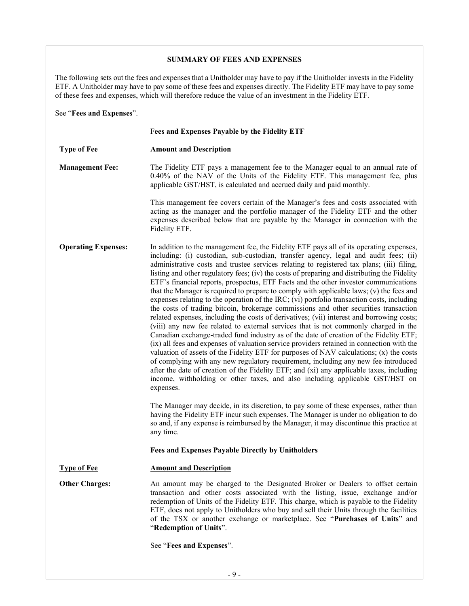# **SUMMARY OF FEES AND EXPENSES**

The following sets out the fees and expenses that a Unitholder may have to pay if the Unitholder invests in the Fidelity ETF. A Unitholder may have to pay some of these fees and expenses directly. The Fidelity ETF may have to pay some of these fees and expenses, which will therefore reduce the value of an investment in the Fidelity ETF.

See "**[Fees and Expenses](#page-17-0)**".

|                            | Fees and Expenses Payable by the Fidelity ETF                                                                                                                                                                                                                                                                                                                                                                                                                                                                                                                                                                                                                                                                                                                                                                                                                                                                                                                                                                                                                                                                                                                                                                                                                                                                                                                                                                                                                                                                                                                                                                                                                                                                                                                                                          |  |  |
|----------------------------|--------------------------------------------------------------------------------------------------------------------------------------------------------------------------------------------------------------------------------------------------------------------------------------------------------------------------------------------------------------------------------------------------------------------------------------------------------------------------------------------------------------------------------------------------------------------------------------------------------------------------------------------------------------------------------------------------------------------------------------------------------------------------------------------------------------------------------------------------------------------------------------------------------------------------------------------------------------------------------------------------------------------------------------------------------------------------------------------------------------------------------------------------------------------------------------------------------------------------------------------------------------------------------------------------------------------------------------------------------------------------------------------------------------------------------------------------------------------------------------------------------------------------------------------------------------------------------------------------------------------------------------------------------------------------------------------------------------------------------------------------------------------------------------------------------|--|--|
| <b>Type of Fee</b>         | <b>Amount and Description</b>                                                                                                                                                                                                                                                                                                                                                                                                                                                                                                                                                                                                                                                                                                                                                                                                                                                                                                                                                                                                                                                                                                                                                                                                                                                                                                                                                                                                                                                                                                                                                                                                                                                                                                                                                                          |  |  |
| <b>Management Fee:</b>     | The Fidelity ETF pays a management fee to the Manager equal to an annual rate of<br>0.40% of the NAV of the Units of the Fidelity ETF. This management fee, plus<br>applicable GST/HST, is calculated and accrued daily and paid monthly.                                                                                                                                                                                                                                                                                                                                                                                                                                                                                                                                                                                                                                                                                                                                                                                                                                                                                                                                                                                                                                                                                                                                                                                                                                                                                                                                                                                                                                                                                                                                                              |  |  |
|                            | This management fee covers certain of the Manager's fees and costs associated with<br>acting as the manager and the portfolio manager of the Fidelity ETF and the other<br>expenses described below that are payable by the Manager in connection with the<br>Fidelity ETF.                                                                                                                                                                                                                                                                                                                                                                                                                                                                                                                                                                                                                                                                                                                                                                                                                                                                                                                                                                                                                                                                                                                                                                                                                                                                                                                                                                                                                                                                                                                            |  |  |
| <b>Operating Expenses:</b> | In addition to the management fee, the Fidelity ETF pays all of its operating expenses,<br>including: (i) custodian, sub-custodian, transfer agency, legal and audit fees; (ii)<br>administrative costs and trustee services relating to registered tax plans; (iii) filing,<br>listing and other regulatory fees; (iv) the costs of preparing and distributing the Fidelity<br>ETF's financial reports, prospectus, ETF Facts and the other investor communications<br>that the Manager is required to prepare to comply with applicable laws; (v) the fees and<br>expenses relating to the operation of the IRC; (vi) portfolio transaction costs, including<br>the costs of trading bitcoin, brokerage commissions and other securities transaction<br>related expenses, including the costs of derivatives; (vii) interest and borrowing costs;<br>(viii) any new fee related to external services that is not commonly charged in the<br>Canadian exchange-traded fund industry as of the date of creation of the Fidelity ETF;<br>(ix) all fees and expenses of valuation service providers retained in connection with the<br>valuation of assets of the Fidelity ETF for purposes of NAV calculations; (x) the costs<br>of complying with any new regulatory requirement, including any new fee introduced<br>after the date of creation of the Fidelity ETF; and (xi) any applicable taxes, including<br>income, withholding or other taxes, and also including applicable GST/HST on<br>expenses.<br>The Manager may decide, in its discretion, to pay some of these expenses, rather than<br>having the Fidelity ETF incur such expenses. The Manager is under no obligation to do<br>so and, if any expense is reimbursed by the Manager, it may discontinue this practice at<br>any time. |  |  |
|                            | <b>Fees and Expenses Payable Directly by Unitholders</b>                                                                                                                                                                                                                                                                                                                                                                                                                                                                                                                                                                                                                                                                                                                                                                                                                                                                                                                                                                                                                                                                                                                                                                                                                                                                                                                                                                                                                                                                                                                                                                                                                                                                                                                                               |  |  |
| <b>Type of Fee</b>         | <b>Amount and Description</b>                                                                                                                                                                                                                                                                                                                                                                                                                                                                                                                                                                                                                                                                                                                                                                                                                                                                                                                                                                                                                                                                                                                                                                                                                                                                                                                                                                                                                                                                                                                                                                                                                                                                                                                                                                          |  |  |
| <b>Other Charges:</b>      | An amount may be charged to the Designated Broker or Dealers to offset certain<br>transaction and other costs associated with the listing, issue, exchange and/or<br>redemption of Units of the Fidelity ETF. This charge, which is payable to the Fidelity<br>ETF, does not apply to Unitholders who buy and sell their Units through the facilities<br>of the TSX or another exchange or marketplace. See "Purchases of Units" and<br>"Redemption of Units".                                                                                                                                                                                                                                                                                                                                                                                                                                                                                                                                                                                                                                                                                                                                                                                                                                                                                                                                                                                                                                                                                                                                                                                                                                                                                                                                         |  |  |
|                            | See "Fees and Expenses".                                                                                                                                                                                                                                                                                                                                                                                                                                                                                                                                                                                                                                                                                                                                                                                                                                                                                                                                                                                                                                                                                                                                                                                                                                                                                                                                                                                                                                                                                                                                                                                                                                                                                                                                                                               |  |  |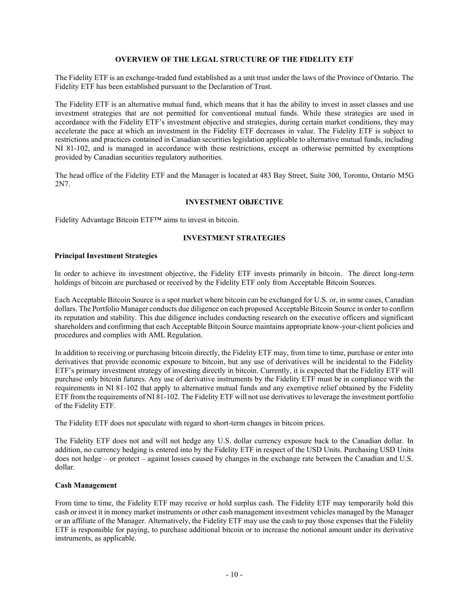# **OVERVIEW OF THE LEGAL STRUCTURE OF THE FIDELITY ETF**

<span id="page-12-0"></span>The Fidelity ETF is an exchange-traded fund established as a unit trust under the laws of the Province of Ontario. The Fidelity ETF has been established pursuant to the Declaration of Trust.

The Fidelity ETF is an alternative mutual fund, which means that it has the ability to invest in asset classes and use investment strategies that are not permitted for conventional mutual funds. While these strategies are used in accordance with the Fidelity ETF's investment objective and strategies, during certain market conditions, they may accelerate the pace at which an investment in the Fidelity ETF decreases in value. The Fidelity ETF is subject to restrictions and practices contained in Canadian securities legislation applicable to alternative mutual funds, including NI 81-102, and is managed in accordance with these restrictions, except as otherwise permitted by exemptions provided by Canadian securities regulatory authorities.

The head office of the Fidelity ETF and the Manager is located at 483 Bay Street, Suite 300, Toronto, Ontario M5G 2N7.

### **INVESTMENT OBJECTIVE**

<span id="page-12-2"></span><span id="page-12-1"></span>Fidelity Advantage Bitcoin ETF™ aims to invest in bitcoin.

### **INVESTMENT STRATEGIES**

#### **Principal Investment Strategies**

In order to achieve its investment objective, the Fidelity ETF invests primarily in bitcoin. The direct long-term holdings of bitcoin are purchased or received by the Fidelity ETF only from Acceptable Bitcoin Sources.

Each Acceptable Bitcoin Source is a spot market where bitcoin can be exchanged for U.S. or, in some cases, Canadian dollars. The Portfolio Manager conducts due diligence on each proposed Acceptable Bitcoin Source in order to confirm its reputation and stability. This due diligence includes conducting research on the executive officers and significant shareholders and confirming that each Acceptable Bitcoin Source maintains appropriate know-your-client policies and procedures and complies with AML Regulation.

In addition to receiving or purchasing bitcoin directly, the Fidelity ETF may, from time to time, purchase or enter into derivatives that provide economic exposure to bitcoin, but any use of derivatives will be incidental to the Fidelity ETF's primary investment strategy of investing directly in bitcoin. Currently, it is expected that the Fidelity ETF will purchase only bitcoin futures. Any use of derivative instruments by the Fidelity ETF must be in compliance with the requirements in NI 81-102 that apply to alternative mutual funds and any exemptive relief obtained by the Fidelity ETF from the requirements of NI 81-102. The Fidelity ETF will not use derivatives to leverage the investment portfolio of the Fidelity ETF.

The Fidelity ETF does not speculate with regard to short-term changes in bitcoin prices.

The Fidelity ETF does not and will not hedge any U.S. dollar currency exposure back to the Canadian dollar. In addition, no currency hedging is entered into by the Fidelity ETF in respect of the USD Units. Purchasing USD Units does not hedge – or protect – against losses caused by changes in the exchange rate between the Canadian and U.S. dollar.

#### **Cash Management**

From time to time, the Fidelity ETF may receive or hold surplus cash. The Fidelity ETF may temporarily hold this cash or invest it in money market instruments or other cash management investment vehicles managed by the Manager or an affiliate of the Manager. Alternatively, the Fidelity ETF may use the cash to pay those expenses that the Fidelity ETF is responsible for paying, to purchase additional bitcoin or to increase the notional amount under its derivative instruments, as applicable.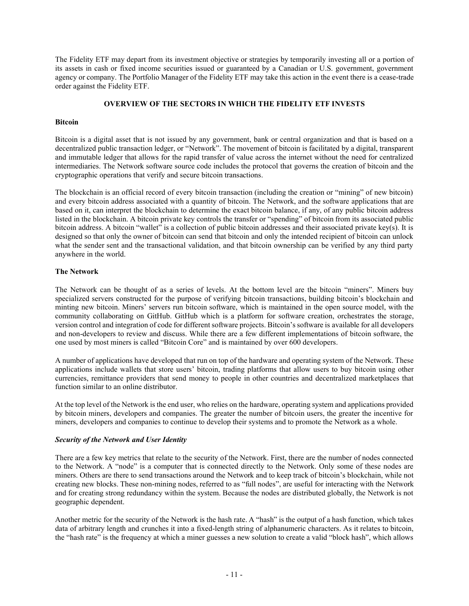The Fidelity ETF may depart from its investment objective or strategies by temporarily investing all or a portion of its assets in cash or fixed income securities issued or guaranteed by a Canadian or U.S. government, government agency or company. The Portfolio Manager of the Fidelity ETF may take this action in the event there is a cease-trade order against the Fidelity ETF.

#### **OVERVIEW OF THE SECTORS IN WHICH THE FIDELITY ETF INVESTS**

#### <span id="page-13-0"></span>**Bitcoin**

Bitcoin is a digital asset that is not issued by any government, bank or central organization and that is based on a decentralized public transaction ledger, or "Network". The movement of bitcoin is facilitated by a digital, transparent and immutable ledger that allows for the rapid transfer of value across the internet without the need for centralized intermediaries. The Network software source code includes the protocol that governs the creation of bitcoin and the cryptographic operations that verify and secure bitcoin transactions.

The blockchain is an official record of every bitcoin transaction (including the creation or "mining" of new bitcoin) and every bitcoin address associated with a quantity of bitcoin. The Network, and the software applications that are based on it, can interpret the blockchain to determine the exact bitcoin balance, if any, of any public bitcoin address listed in the blockchain. A bitcoin private key controls the transfer or "spending" of bitcoin from its associated public bitcoin address. A bitcoin "wallet" is a collection of public bitcoin addresses and their associated private key(s). It is designed so that only the owner of bitcoin can send that bitcoin and only the intended recipient of bitcoin can unlock what the sender sent and the transactional validation, and that bitcoin ownership can be verified by any third party anywhere in the world.

### **The Network**

The Network can be thought of as a series of levels. At the bottom level are the bitcoin "miners". Miners buy specialized servers constructed for the purpose of verifying bitcoin transactions, building bitcoin's blockchain and minting new bitcoin. Miners' servers run bitcoin software, which is maintained in the open source model, with the community collaborating on GitHub. GitHub which is a platform for software creation, orchestrates the storage, version control and integration of code for different software projects. Bitcoin's software is available for all developers and non-developers to review and discuss. While there are a few different implementations of bitcoin software, the one used by most miners is called "Bitcoin Core" and is maintained by over 600 developers.

A number of applications have developed that run on top of the hardware and operating system of the Network. These applications include wallets that store users' bitcoin, trading platforms that allow users to buy bitcoin using other currencies, remittance providers that send money to people in other countries and decentralized marketplaces that function similar to an online distributor.

At the top level of the Network is the end user, who relies on the hardware, operating system and applications provided by bitcoin miners, developers and companies. The greater the number of bitcoin users, the greater the incentive for miners, developers and companies to continue to develop their systems and to promote the Network as a whole.

### *Security of the Network and User Identity*

There are a few key metrics that relate to the security of the Network. First, there are the number of nodes connected to the Network. A "node" is a computer that is connected directly to the Network. Only some of these nodes are miners. Others are there to send transactions around the Network and to keep track of bitcoin's blockchain, while not creating new blocks. These non-mining nodes, referred to as "full nodes", are useful for interacting with the Network and for creating strong redundancy within the system. Because the nodes are distributed globally, the Network is not geographic dependent.

Another metric for the security of the Network is the hash rate. A "hash" is the output of a hash function, which takes data of arbitrary length and crunches it into a fixed-length string of alphanumeric characters. As it relates to bitcoin, the "hash rate" is the frequency at which a miner guesses a new solution to create a valid "block hash", which allows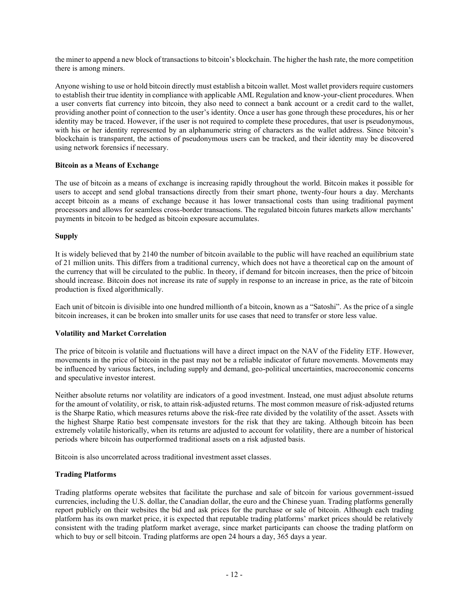the miner to append a new block of transactions to bitcoin's blockchain. The higher the hash rate, the more competition there is among miners.

Anyone wishing to use or hold bitcoin directly must establish a bitcoin wallet. Most wallet providers require customers to establish their true identity in compliance with applicable AML Regulation and know-your-client procedures. When a user converts fiat currency into bitcoin, they also need to connect a bank account or a credit card to the wallet, providing another point of connection to the user's identity. Once a user has gone through these procedures, his or her identity may be traced. However, if the user is not required to complete these procedures, that user is pseudonymous, with his or her identity represented by an alphanumeric string of characters as the wallet address. Since bitcoin's blockchain is transparent, the actions of pseudonymous users can be tracked, and their identity may be discovered using network forensics if necessary.

### **Bitcoin as a Means of Exchange**

The use of bitcoin as a means of exchange is increasing rapidly throughout the world. Bitcoin makes it possible for users to accept and send global transactions directly from their smart phone, twenty-four hours a day. Merchants accept bitcoin as a means of exchange because it has lower transactional costs than using traditional payment processors and allows for seamless cross-border transactions. The regulated bitcoin futures markets allow merchants' payments in bitcoin to be hedged as bitcoin exposure accumulates.

#### **Supply**

It is widely believed that by 2140 the number of bitcoin available to the public will have reached an equilibrium state of 21 million units. This differs from a traditional currency, which does not have a theoretical cap on the amount of the currency that will be circulated to the public. In theory, if demand for bitcoin increases, then the price of bitcoin should increase. Bitcoin does not increase its rate of supply in response to an increase in price, as the rate of bitcoin production is fixed algorithmically.

Each unit of bitcoin is divisible into one hundred millionth of a bitcoin, known as a "Satoshi". As the price of a single bitcoin increases, it can be broken into smaller units for use cases that need to transfer or store less value.

### **Volatility and Market Correlation**

The price of bitcoin is volatile and fluctuations will have a direct impact on the NAV of the Fidelity ETF. However, movements in the price of bitcoin in the past may not be a reliable indicator of future movements. Movements may be influenced by various factors, including supply and demand, geo-political uncertainties, macroeconomic concerns and speculative investor interest.

Neither absolute returns nor volatility are indicators of a good investment. Instead, one must adjust absolute returns for the amount of volatility, or risk, to attain risk-adjusted returns. The most common measure of risk-adjusted returns is the Sharpe Ratio, which measures returns above the risk-free rate divided by the volatility of the asset. Assets with the highest Sharpe Ratio best compensate investors for the risk that they are taking. Although bitcoin has been extremely volatile historically, when its returns are adjusted to account for volatility, there are a number of historical periods where bitcoin has outperformed traditional assets on a risk adjusted basis.

Bitcoin is also uncorrelated across traditional investment asset classes.

#### **Trading Platforms**

Trading platforms operate websites that facilitate the purchase and sale of bitcoin for various government-issued currencies, including the U.S. dollar, the Canadian dollar, the euro and the Chinese yuan. Trading platforms generally report publicly on their websites the bid and ask prices for the purchase or sale of bitcoin. Although each trading platform has its own market price, it is expected that reputable trading platforms' market prices should be relatively consistent with the trading platform market average, since market participants can choose the trading platform on which to buy or sell bitcoin. Trading platforms are open 24 hours a day, 365 days a year.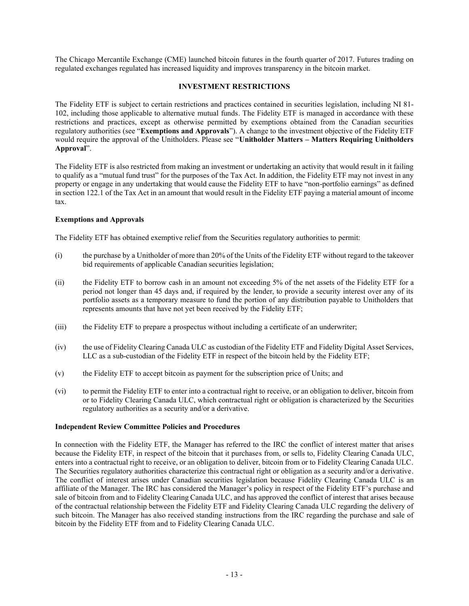<span id="page-15-0"></span>The Chicago Mercantile Exchange (CME) launched bitcoin futures in the fourth quarter of 2017. Futures trading on regulated exchanges regulated has increased liquidity and improves transparency in the bitcoin market.

### **INVESTMENT RESTRICTIONS**

The Fidelity ETF is subject to certain restrictions and practices contained in securities legislation, including NI 81- 102, including those applicable to alternative mutual funds. The Fidelity ETF is managed in accordance with these restrictions and practices, except as otherwise permitted by exemptions obtained from the Canadian securities regulatory authorities (see "**[Exemptions and Approvals](#page-15-1)**"). A change to the investment objective of the Fidelity ETF would require the approval of the Unitholders. Please see "**[Unitholder Matters](#page-46-1) – [Matters Requiring Unitholders](#page-46-2)  [Approval](#page-46-2)**".

The Fidelity ETF is also restricted from making an investment or undertaking an activity that would result in it failing to qualify as a "mutual fund trust" for the purposes of the Tax Act. In addition, the Fidelity ETF may not invest in any property or engage in any undertaking that would cause the Fidelity ETF to have "non-portfolio earnings" as defined in section 122.1 of the Tax Act in an amount that would result in the Fidelity ETF paying a material amount of income tax.

### <span id="page-15-1"></span>**Exemptions and Approvals**

The Fidelity ETF has obtained exemptive relief from the Securities regulatory authorities to permit:

- (i) the purchase by a Unitholder of more than 20% of the Units of the Fidelity ETF without regard to the takeover bid requirements of applicable Canadian securities legislation;
- (ii) the Fidelity ETF to borrow cash in an amount not exceeding 5% of the net assets of the Fidelity ETF for a period not longer than 45 days and, if required by the lender, to provide a security interest over any of its portfolio assets as a temporary measure to fund the portion of any distribution payable to Unitholders that represents amounts that have not yet been received by the Fidelity ETF;
- (iii) the Fidelity ETF to prepare a prospectus without including a certificate of an underwriter;
- (iv) the use of Fidelity Clearing Canada ULC as custodian of the Fidelity ETF and Fidelity Digital Asset Services, LLC as a sub-custodian of the Fidelity ETF in respect of the bitcoin held by the Fidelity ETF;
- (v) the Fidelity ETF to accept bitcoin as payment for the subscription price of Units; and
- (vi) to permit the Fidelity ETF to enter into a contractual right to receive, or an obligation to deliver, bitcoin from or to Fidelity Clearing Canada ULC, which contractual right or obligation is characterized by the Securities regulatory authorities as a security and/or a derivative.

### **Independent Review Committee Policies and Procedures**

In connection with the Fidelity ETF, the Manager has referred to the IRC the conflict of interest matter that arises because the Fidelity ETF, in respect of the bitcoin that it purchases from, or sells to, Fidelity Clearing Canada ULC, enters into a contractual right to receive, or an obligation to deliver, bitcoin from or to Fidelity Clearing Canada ULC. The Securities regulatory authorities characterize this contractual right or obligation as a security and/or a derivative. The conflict of interest arises under Canadian securities legislation because Fidelity Clearing Canada ULC is an affiliate of the Manager. The IRC has considered the Manager's policy in respect of the Fidelity ETF's purchase and sale of bitcoin from and to Fidelity Clearing Canada ULC, and has approved the conflict of interest that arises because of the contractual relationship between the Fidelity ETF and Fidelity Clearing Canada ULC regarding the delivery of such bitcoin. The Manager has also received standing instructions from the IRC regarding the purchase and sale of bitcoin by the Fidelity ETF from and to Fidelity Clearing Canada ULC.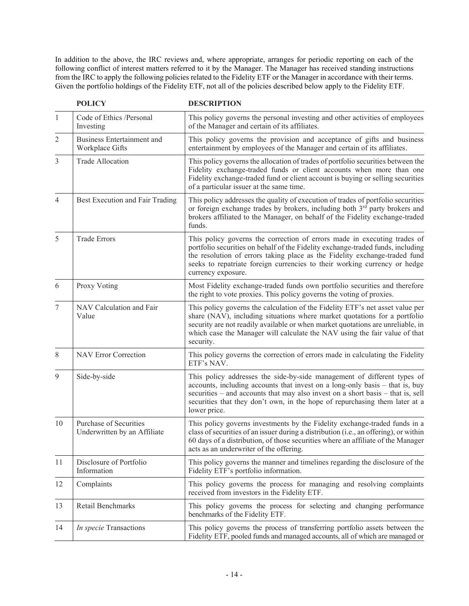In addition to the above, the IRC reviews and, where appropriate, arranges for periodic reporting on each of the following conflict of interest matters referred to it by the Manager. The Manager has received standing instructions from the IRC to apply the following policies related to the Fidelity ETF or the Manager in accordance with their terms. Given the portfolio holdings of the Fidelity ETF, not all of the policies described below apply to the Fidelity ETF.

|                | <b>POLICY</b>                                          | <b>DESCRIPTION</b>                                                                                                                                                                                                                                                                                                                           |  |
|----------------|--------------------------------------------------------|----------------------------------------------------------------------------------------------------------------------------------------------------------------------------------------------------------------------------------------------------------------------------------------------------------------------------------------------|--|
| -1             | Code of Ethics /Personal<br>Investing                  | This policy governs the personal investing and other activities of employees<br>of the Manager and certain of its affiliates.                                                                                                                                                                                                                |  |
| $\overline{2}$ | <b>Business Entertainment and</b><br>Workplace Gifts   | This policy governs the provision and acceptance of gifts and business<br>entertainment by employees of the Manager and certain of its affiliates.                                                                                                                                                                                           |  |
| 3              | <b>Trade Allocation</b>                                | This policy governs the allocation of trades of portfolio securities between the<br>Fidelity exchange-traded funds or client accounts when more than one<br>Fidelity exchange-traded fund or client account is buying or selling securities<br>of a particular issuer at the same time.                                                      |  |
| $\overline{4}$ | Best Execution and Fair Trading                        | This policy addresses the quality of execution of trades of portfolio securities<br>or foreign exchange trades by brokers, including both 3 <sup>rd</sup> party brokers and<br>brokers affiliated to the Manager, on behalf of the Fidelity exchange-traded<br>funds.                                                                        |  |
| 5              | <b>Trade Errors</b>                                    | This policy governs the correction of errors made in executing trades of<br>portfolio securities on behalf of the Fidelity exchange-traded funds, including<br>the resolution of errors taking place as the Fidelity exchange-traded fund<br>seeks to repatriate foreign currencies to their working currency or hedge<br>currency exposure. |  |
| 6              | Proxy Voting                                           | Most Fidelity exchange-traded funds own portfolio securities and therefore<br>the right to vote proxies. This policy governs the voting of proxies.                                                                                                                                                                                          |  |
| 7              | NAV Calculation and Fair<br>Value                      | This policy governs the calculation of the Fidelity ETF's net asset value per<br>share (NAV), including situations where market quotations for a portfolio<br>security are not readily available or when market quotations are unreliable, in<br>which case the Manager will calculate the NAV using the fair value of that<br>security.     |  |
| 8              | <b>NAV Error Correction</b>                            | This policy governs the correction of errors made in calculating the Fidelity<br>ETF's NAV.                                                                                                                                                                                                                                                  |  |
| 9              | Side-by-side                                           | This policy addresses the side-by-side management of different types of<br>accounts, including accounts that invest on a long-only basis – that is, buy<br>securities – and accounts that may also invest on a short basis – that is, sell<br>securities that they don't own, in the hope of repurchasing them later at a<br>lower price.    |  |
| 10             | Purchase of Securities<br>Underwritten by an Affiliate | This policy governs investments by the Fidelity exchange-traded funds in a<br>class of securities of an issuer during a distribution (i.e., an offering), or within<br>60 days of a distribution, of those securities where an affiliate of the Manager<br>acts as an underwriter of the offering.                                           |  |
| 11             | Disclosure of Portfolio<br>Information                 | This policy governs the manner and timelines regarding the disclosure of the<br>Fidelity ETF's portfolio information.                                                                                                                                                                                                                        |  |
| 12             | Complaints                                             | This policy governs the process for managing and resolving complaints<br>received from investors in the Fidelity ETF.                                                                                                                                                                                                                        |  |
| 13             | Retail Benchmarks                                      | This policy governs the process for selecting and changing performance<br>benchmarks of the Fidelity ETF.                                                                                                                                                                                                                                    |  |
| 14             | <i>In specie</i> Transactions                          | This policy governs the process of transferring portfolio assets between the<br>Fidelity ETF, pooled funds and managed accounts, all of which are managed or                                                                                                                                                                                 |  |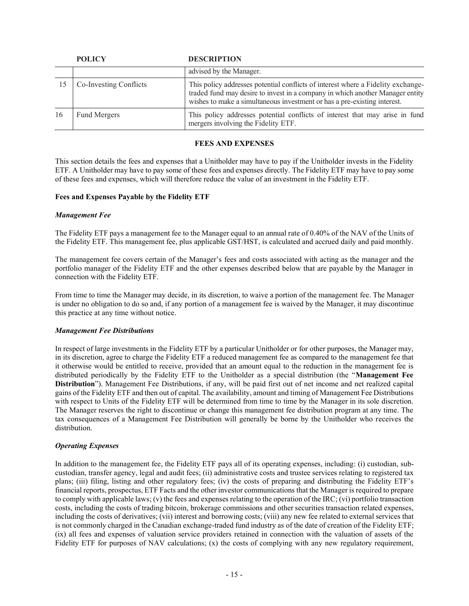|    | <b>POLICY</b>          | <b>DESCRIPTION</b>                                                                                                                                                                                                                            |
|----|------------------------|-----------------------------------------------------------------------------------------------------------------------------------------------------------------------------------------------------------------------------------------------|
|    |                        | advised by the Manager.                                                                                                                                                                                                                       |
| 15 | Co-Investing Conflicts | This policy addresses potential conflicts of interest where a Fidelity exchange-<br>traded fund may desire to invest in a company in which another Manager entity<br>wishes to make a simultaneous investment or has a pre-existing interest. |
| 16 | Fund Mergers           | This policy addresses potential conflicts of interest that may arise in fund<br>mergers involving the Fidelity ETF.                                                                                                                           |

#### **FEES AND EXPENSES**

<span id="page-17-0"></span>This section details the fees and expenses that a Unitholder may have to pay if the Unitholder invests in the Fidelity ETF. A Unitholder may have to pay some of these fees and expenses directly. The Fidelity ETF may have to pay some of these fees and expenses, which will therefore reduce the value of an investment in the Fidelity ETF.

#### **Fees and Expenses Payable by the Fidelity ETF**

#### <span id="page-17-1"></span>*Management Fee*

The Fidelity ETF pays a management fee to the Manager equal to an annual rate of 0.40% of the NAV of the Units of the Fidelity ETF. This management fee, plus applicable GST/HST, is calculated and accrued daily and paid monthly.

The management fee covers certain of the Manager's fees and costs associated with acting as the manager and the portfolio manager of the Fidelity ETF and the other expenses described below that are payable by the Manager in connection with the Fidelity ETF.

From time to time the Manager may decide, in its discretion, to waive a portion of the management fee. The Manager is under no obligation to do so and, if any portion of a management fee is waived by the Manager, it may discontinue this practice at any time without notice.

#### *Management Fee Distributions*

In respect of large investments in the Fidelity ETF by a particular Unitholder or for other purposes, the Manager may, in its discretion, agree to charge the Fidelity ETF a reduced management fee as compared to the management fee that it otherwise would be entitled to receive, provided that an amount equal to the reduction in the management fee is distributed periodically by the Fidelity ETF to the Unitholder as a special distribution (the "**Management Fee Distribution**"). Management Fee Distributions, if any, will be paid first out of net income and net realized capital gains of the Fidelity ETF and then out of capital. The availability, amount and timing of Management Fee Distributions with respect to Units of the Fidelity ETF will be determined from time to time by the Manager in its sole discretion. The Manager reserves the right to discontinue or change this management fee distribution program at any time. The tax consequences of a Management Fee Distribution will generally be borne by the Unitholder who receives the distribution.

### *Operating Expenses*

In addition to the management fee, the Fidelity ETF pays all of its operating expenses, including: (i) custodian, subcustodian, transfer agency, legal and audit fees; (ii) administrative costs and trustee services relating to registered tax plans; (iii) filing, listing and other regulatory fees; (iv) the costs of preparing and distributing the Fidelity ETF's financial reports, prospectus, ETF Facts and the other investor communications that the Manager is required to prepare to comply with applicable laws; (v) the fees and expenses relating to the operation of the IRC; (vi) portfolio transaction costs, including the costs of trading bitcoin, brokerage commissions and other securities transaction related expenses, including the costs of derivatives; (vii) interest and borrowing costs; (viii) any new fee related to external services that is not commonly charged in the Canadian exchange-traded fund industry as of the date of creation of the Fidelity ETF; (ix) all fees and expenses of valuation service providers retained in connection with the valuation of assets of the Fidelity ETF for purposes of NAV calculations; (x) the costs of complying with any new regulatory requirement,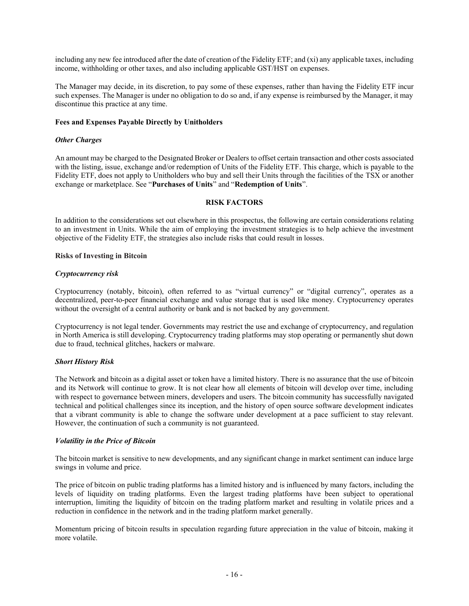including any new fee introduced after the date of creation of the Fidelity ETF; and (xi) any applicable taxes, including income, withholding or other taxes, and also including applicable GST/HST on expenses.

The Manager may decide, in its discretion, to pay some of these expenses, rather than having the Fidelity ETF incur such expenses. The Manager is under no obligation to do so and, if any expense is reimbursed by the Manager, it may discontinue this practice at any time.

#### **Fees and Expenses Payable Directly by Unitholders**

#### *Other Charges*

An amount may be charged to the Designated Broker or Dealers to offset certain transaction and other costs associated with the listing, issue, exchange and/or redemption of Units of the Fidelity ETF. This charge, which is payable to the Fidelity ETF, does not apply to Unitholders who buy and sell their Units through the facilities of the TSX or another exchange or marketplace. See "**[Purchases of Units](#page-29-1)**" and "**[Redemption of Units](#page-31-0)**".

#### **RISK FACTORS**

<span id="page-18-0"></span>In addition to the considerations set out elsewhere in this prospectus, the following are certain considerations relating to an investment in Units. While the aim of employing the investment strategies is to help achieve the investment objective of the Fidelity ETF, the strategies also include risks that could result in losses.

#### **Risks of Investing in Bitcoin**

#### *Cryptocurrency risk*

Cryptocurrency (notably, bitcoin), often referred to as "virtual currency" or "digital currency", operates as a decentralized, peer-to-peer financial exchange and value storage that is used like money. Cryptocurrency operates without the oversight of a central authority or bank and is not backed by any government.

Cryptocurrency is not legal tender. Governments may restrict the use and exchange of cryptocurrency, and regulation in North America is still developing. Cryptocurrency trading platforms may stop operating or permanently shut down due to fraud, technical glitches, hackers or malware.

### *Short History Risk*

The Network and bitcoin as a digital asset or token have a limited history. There is no assurance that the use of bitcoin and its Network will continue to grow. It is not clear how all elements of bitcoin will develop over time, including with respect to governance between miners, developers and users. The bitcoin community has successfully navigated technical and political challenges since its inception, and the history of open source software development indicates that a vibrant community is able to change the software under development at a pace sufficient to stay relevant. However, the continuation of such a community is not guaranteed.

### *Volatility in the Price of Bitcoin*

The bitcoin market is sensitive to new developments, and any significant change in market sentiment can induce large swings in volume and price.

The price of bitcoin on public trading platforms has a limited history and is influenced by many factors, including the levels of liquidity on trading platforms. Even the largest trading platforms have been subject to operational interruption, limiting the liquidity of bitcoin on the trading platform market and resulting in volatile prices and a reduction in confidence in the network and in the trading platform market generally.

Momentum pricing of bitcoin results in speculation regarding future appreciation in the value of bitcoin, making it more volatile.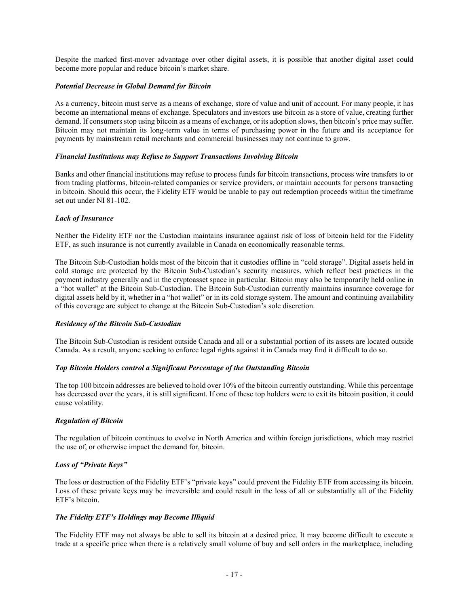Despite the marked first-mover advantage over other digital assets, it is possible that another digital asset could become more popular and reduce bitcoin's market share.

# *Potential Decrease in Global Demand for Bitcoin*

As a currency, bitcoin must serve as a means of exchange, store of value and unit of account. For many people, it has become an international means of exchange. Speculators and investors use bitcoin as a store of value, creating further demand. If consumers stop using bitcoin as a means of exchange, or its adoption slows, then bitcoin's price may suffer. Bitcoin may not maintain its long-term value in terms of purchasing power in the future and its acceptance for payments by mainstream retail merchants and commercial businesses may not continue to grow.

### *Financial Institutions may Refuse to Support Transactions Involving Bitcoin*

Banks and other financial institutions may refuse to process funds for bitcoin transactions, process wire transfers to or from trading platforms, bitcoin-related companies or service providers, or maintain accounts for persons transacting in bitcoin. Should this occur, the Fidelity ETF would be unable to pay out redemption proceeds within the timeframe set out under NI 81-102.

#### *Lack of Insurance*

Neither the Fidelity ETF nor the Custodian maintains insurance against risk of loss of bitcoin held for the Fidelity ETF, as such insurance is not currently available in Canada on economically reasonable terms.

The Bitcoin Sub-Custodian holds most of the bitcoin that it custodies offline in "cold storage". Digital assets held in cold storage are protected by the Bitcoin Sub-Custodian's security measures, which reflect best practices in the payment industry generally and in the cryptoasset space in particular. Bitcoin may also be temporarily held online in a "hot wallet" at the Bitcoin Sub-Custodian. The Bitcoin Sub-Custodian currently maintains insurance coverage for digital assets held by it, whether in a "hot wallet" or in its cold storage system. The amount and continuing availability of this coverage are subject to change at the Bitcoin Sub-Custodian's sole discretion.

### *Residency of the Bitcoin Sub-Custodian*

The Bitcoin Sub-Custodian is resident outside Canada and all or a substantial portion of its assets are located outside Canada. As a result, anyone seeking to enforce legal rights against it in Canada may find it difficult to do so.

### *Top Bitcoin Holders control a Significant Percentage of the Outstanding Bitcoin*

The top 100 bitcoin addresses are believed to hold over 10% of the bitcoin currently outstanding. While this percentage has decreased over the years, it is still significant. If one of these top holders were to exit its bitcoin position, it could cause volatility.

### *Regulation of Bitcoin*

The regulation of bitcoin continues to evolve in North America and within foreign jurisdictions, which may restrict the use of, or otherwise impact the demand for, bitcoin.

### *Loss of "Private Keys"*

The loss or destruction of the Fidelity ETF's "private keys" could prevent the Fidelity ETF from accessing its bitcoin. Loss of these private keys may be irreversible and could result in the loss of all or substantially all of the Fidelity ETF's bitcoin.

### *The Fidelity ETF's Holdings may Become Illiquid*

The Fidelity ETF may not always be able to sell its bitcoin at a desired price. It may become difficult to execute a trade at a specific price when there is a relatively small volume of buy and sell orders in the marketplace, including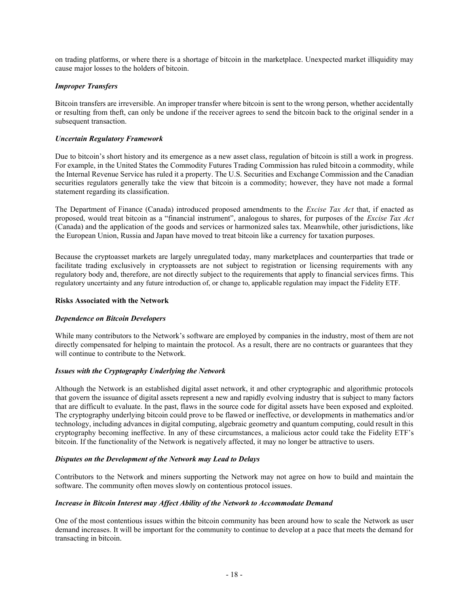on trading platforms, or where there is a shortage of bitcoin in the marketplace. Unexpected market illiquidity may cause major losses to the holders of bitcoin.

# *Improper Transfers*

Bitcoin transfers are irreversible. An improper transfer where bitcoin is sent to the wrong person, whether accidentally or resulting from theft, can only be undone if the receiver agrees to send the bitcoin back to the original sender in a subsequent transaction.

### *Uncertain Regulatory Framework*

Due to bitcoin's short history and its emergence as a new asset class, regulation of bitcoin is still a work in progress. For example, in the United States the Commodity Futures Trading Commission has ruled bitcoin a commodity, while the Internal Revenue Service has ruled it a property. The U.S. Securities and Exchange Commission and the Canadian securities regulators generally take the view that bitcoin is a commodity; however, they have not made a formal statement regarding its classification.

The Department of Finance (Canada) introduced proposed amendments to the *Excise Tax Act* that, if enacted as proposed, would treat bitcoin as a "financial instrument", analogous to shares, for purposes of the *Excise Tax Act*  (Canada) and the application of the goods and services or harmonized sales tax. Meanwhile, other jurisdictions, like the European Union, Russia and Japan have moved to treat bitcoin like a currency for taxation purposes.

Because the cryptoasset markets are largely unregulated today, many marketplaces and counterparties that trade or facilitate trading exclusively in cryptoassets are not subject to registration or licensing requirements with any regulatory body and, therefore, are not directly subject to the requirements that apply to financial services firms. This regulatory uncertainty and any future introduction of, or change to, applicable regulation may impact the Fidelity ETF.

### **Risks Associated with the Network**

### *Dependence on Bitcoin Developers*

While many contributors to the Network's software are employed by companies in the industry, most of them are not directly compensated for helping to maintain the protocol. As a result, there are no contracts or guarantees that they will continue to contribute to the Network.

### *Issues with the Cryptography Underlying the Network*

Although the Network is an established digital asset network, it and other cryptographic and algorithmic protocols that govern the issuance of digital assets represent a new and rapidly evolving industry that is subject to many factors that are difficult to evaluate. In the past, flaws in the source code for digital assets have been exposed and exploited. The cryptography underlying bitcoin could prove to be flawed or ineffective, or developments in mathematics and/or technology, including advances in digital computing, algebraic geometry and quantum computing, could result in this cryptography becoming ineffective. In any of these circumstances, a malicious actor could take the Fidelity ETF's bitcoin. If the functionality of the Network is negatively affected, it may no longer be attractive to users.

### *Disputes on the Development of the Network may Lead to Delays*

Contributors to the Network and miners supporting the Network may not agree on how to build and maintain the software. The community often moves slowly on contentious protocol issues.

# *Increase in Bitcoin Interest may Affect Ability of the Network to Accommodate Demand*

One of the most contentious issues within the bitcoin community has been around how to scale the Network as user demand increases. It will be important for the community to continue to develop at a pace that meets the demand for transacting in bitcoin.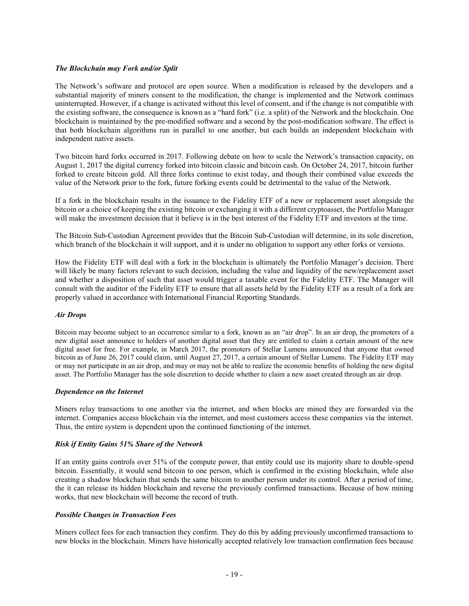#### *The Blockchain may Fork and/or Split*

The Network's software and protocol are open source. When a modification is released by the developers and a substantial majority of miners consent to the modification, the change is implemented and the Network continues uninterrupted. However, if a change is activated without this level of consent, and if the change is not compatible with the existing software, the consequence is known as a "hard fork" (i.e. a split) of the Network and the blockchain. One blockchain is maintained by the pre-modified software and a second by the post-modification software. The effect is that both blockchain algorithms run in parallel to one another, but each builds an independent blockchain with independent native assets.

Two bitcoin hard forks occurred in 2017. Following debate on how to scale the Network's transaction capacity, on August 1, 2017 the digital currency forked into bitcoin classic and bitcoin cash. On October 24, 2017, bitcoin further forked to create bitcoin gold. All three forks continue to exist today, and though their combined value exceeds the value of the Network prior to the fork, future forking events could be detrimental to the value of the Network.

If a fork in the blockchain results in the issuance to the Fidelity ETF of a new or replacement asset alongside the bitcoin or a choice of keeping the existing bitcoin or exchanging it with a different cryptoasset, the Portfolio Manager will make the investment decision that it believe is in the best interest of the Fidelity ETF and investors at the time.

The Bitcoin Sub-Custodian Agreement provides that the Bitcoin Sub-Custodian will determine, in its sole discretion, which branch of the blockchain it will support, and it is under no obligation to support any other forks or versions.

How the Fidelity ETF will deal with a fork in the blockchain is ultimately the Portfolio Manager's decision. There will likely be many factors relevant to such decision, including the value and liquidity of the new/replacement asset and whether a disposition of such that asset would trigger a taxable event for the Fidelity ETF. The Manager will consult with the auditor of the Fidelity ETF to ensure that all assets held by the Fidelity ETF as a result of a fork are properly valued in accordance with International Financial Reporting Standards.

### *Air Drops*

Bitcoin may become subject to an occurrence similar to a fork, known as an "air drop". In an air drop, the promoters of a new digital asset announce to holders of another digital asset that they are entitled to claim a certain amount of the new digital asset for free. For example, in March 2017, the promoters of Stellar Lumens announced that anyone that owned bitcoin as of June 26, 2017 could claim, until August 27, 2017, a certain amount of Stellar Lumens. The Fidelity ETF may or may not participate in an air drop, and may or may not be able to realize the economic benefits of holding the new digital asset. The Portfolio Manager has the sole discretion to decide whether to claim a new asset created through an air drop.

#### *Dependence on the Internet*

Miners relay transactions to one another via the internet, and when blocks are mined they are forwarded via the internet. Companies access blockchain via the internet, and most customers access these companies via the internet. Thus, the entire system is dependent upon the continued functioning of the internet.

#### *Risk if Entity Gains 51% Share of the Network*

If an entity gains controls over 51% of the compute power, that entity could use its majority share to double-spend bitcoin. Essentially, it would send bitcoin to one person, which is confirmed in the existing blockchain, while also creating a shadow blockchain that sends the same bitcoin to another person under its control. After a period of time, the it can release its hidden blockchain and reverse the previously confirmed transactions. Because of how mining works, that new blockchain will become the record of truth.

#### *Possible Changes in Transaction Fees*

Miners collect fees for each transaction they confirm. They do this by adding previously unconfirmed transactions to new blocks in the blockchain. Miners have historically accepted relatively low transaction confirmation fees because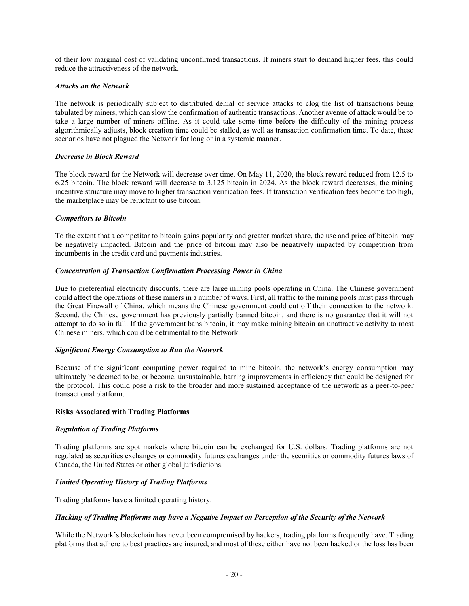of their low marginal cost of validating unconfirmed transactions. If miners start to demand higher fees, this could reduce the attractiveness of the network.

#### *Attacks on the Network*

The network is periodically subject to distributed denial of service attacks to clog the list of transactions being tabulated by miners, which can slow the confirmation of authentic transactions. Another avenue of attack would be to take a large number of miners offline. As it could take some time before the difficulty of the mining process algorithmically adjusts, block creation time could be stalled, as well as transaction confirmation time. To date, these scenarios have not plagued the Network for long or in a systemic manner.

#### *Decrease in Block Reward*

The block reward for the Network will decrease over time. On May 11, 2020, the block reward reduced from 12.5 to 6.25 bitcoin. The block reward will decrease to 3.125 bitcoin in 2024. As the block reward decreases, the mining incentive structure may move to higher transaction verification fees. If transaction verification fees become too high, the marketplace may be reluctant to use bitcoin.

#### *Competitors to Bitcoin*

To the extent that a competitor to bitcoin gains popularity and greater market share, the use and price of bitcoin may be negatively impacted. Bitcoin and the price of bitcoin may also be negatively impacted by competition from incumbents in the credit card and payments industries.

#### *Concentration of Transaction Confirmation Processing Power in China*

Due to preferential electricity discounts, there are large mining pools operating in China. The Chinese government could affect the operations of these miners in a number of ways. First, all traffic to the mining pools must pass through the Great Firewall of China, which means the Chinese government could cut off their connection to the network. Second, the Chinese government has previously partially banned bitcoin, and there is no guarantee that it will not attempt to do so in full. If the government bans bitcoin, it may make mining bitcoin an unattractive activity to most Chinese miners, which could be detrimental to the Network.

#### *Significant Energy Consumption to Run the Network*

Because of the significant computing power required to mine bitcoin, the network's energy consumption may ultimately be deemed to be, or become, unsustainable, barring improvements in efficiency that could be designed for the protocol. This could pose a risk to the broader and more sustained acceptance of the network as a peer-to-peer transactional platform.

#### **Risks Associated with Trading Platforms**

### *Regulation of Trading Platforms*

Trading platforms are spot markets where bitcoin can be exchanged for U.S. dollars. Trading platforms are not regulated as securities exchanges or commodity futures exchanges under the securities or commodity futures laws of Canada, the United States or other global jurisdictions.

### *Limited Operating History of Trading Platforms*

Trading platforms have a limited operating history.

#### *Hacking of Trading Platforms may have a Negative Impact on Perception of the Security of the Network*

While the Network's blockchain has never been compromised by hackers, trading platforms frequently have. Trading platforms that adhere to best practices are insured, and most of these either have not been hacked or the loss has been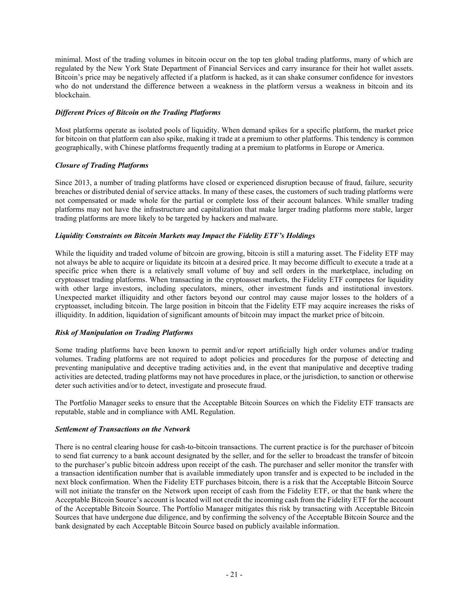minimal. Most of the trading volumes in bitcoin occur on the top ten global trading platforms, many of which are regulated by the New York State Department of Financial Services and carry insurance for their hot wallet assets. Bitcoin's price may be negatively affected if a platform is hacked, as it can shake consumer confidence for investors who do not understand the difference between a weakness in the platform versus a weakness in bitcoin and its blockchain.

### *Different Prices of Bitcoin on the Trading Platforms*

Most platforms operate as isolated pools of liquidity. When demand spikes for a specific platform, the market price for bitcoin on that platform can also spike, making it trade at a premium to other platforms. This tendency is common geographically, with Chinese platforms frequently trading at a premium to platforms in Europe or America.

# *Closure of Trading Platforms*

Since 2013, a number of trading platforms have closed or experienced disruption because of fraud, failure, security breaches or distributed denial of service attacks. In many of these cases, the customers of such trading platforms were not compensated or made whole for the partial or complete loss of their account balances. While smaller trading platforms may not have the infrastructure and capitalization that make larger trading platforms more stable, larger trading platforms are more likely to be targeted by hackers and malware.

# *Liquidity Constraints on Bitcoin Markets may Impact the Fidelity ETF's Holdings*

While the liquidity and traded volume of bitcoin are growing, bitcoin is still a maturing asset. The Fidelity ETF may not always be able to acquire or liquidate its bitcoin at a desired price. It may become difficult to execute a trade at a specific price when there is a relatively small volume of buy and sell orders in the marketplace, including on cryptoasset trading platforms. When transacting in the cryptoasset markets, the Fidelity ETF competes for liquidity with other large investors, including speculators, miners, other investment funds and institutional investors. Unexpected market illiquidity and other factors beyond our control may cause major losses to the holders of a cryptoasset, including bitcoin. The large position in bitcoin that the Fidelity ETF may acquire increases the risks of illiquidity. In addition, liquidation of significant amounts of bitcoin may impact the market price of bitcoin.

### *Risk of Manipulation on Trading Platforms*

Some trading platforms have been known to permit and/or report artificially high order volumes and/or trading volumes. Trading platforms are not required to adopt policies and procedures for the purpose of detecting and preventing manipulative and deceptive trading activities and, in the event that manipulative and deceptive trading activities are detected, trading platforms may not have procedures in place, or the jurisdiction, to sanction or otherwise deter such activities and/or to detect, investigate and prosecute fraud.

The Portfolio Manager seeks to ensure that the Acceptable Bitcoin Sources on which the Fidelity ETF transacts are reputable, stable and in compliance with AML Regulation.

### *Settlement of Transactions on the Network*

There is no central clearing house for cash-to-bitcoin transactions. The current practice is for the purchaser of bitcoin to send fiat currency to a bank account designated by the seller, and for the seller to broadcast the transfer of bitcoin to the purchaser's public bitcoin address upon receipt of the cash. The purchaser and seller monitor the transfer with a transaction identification number that is available immediately upon transfer and is expected to be included in the next block confirmation. When the Fidelity ETF purchases bitcoin, there is a risk that the Acceptable Bitcoin Source will not initiate the transfer on the Network upon receipt of cash from the Fidelity ETF, or that the bank where the Acceptable Bitcoin Source's account is located will not credit the incoming cash from the Fidelity ETF for the account of the Acceptable Bitcoin Source. The Portfolio Manager mitigates this risk by transacting with Acceptable Bitcoin Sources that have undergone due diligence, and by confirming the solvency of the Acceptable Bitcoin Source and the bank designated by each Acceptable Bitcoin Source based on publicly available information.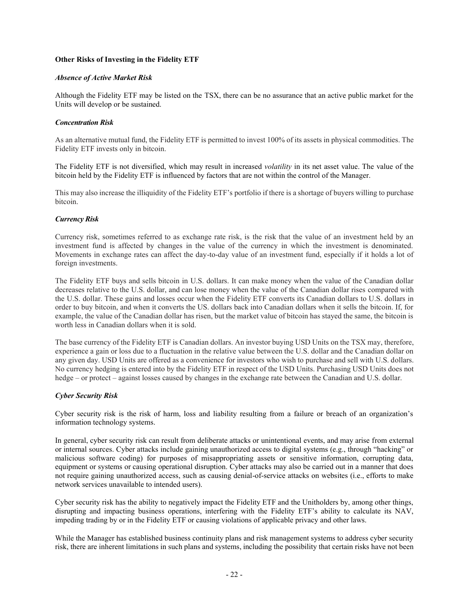### **Other Risks of Investing in the Fidelity ETF**

### *Absence of Active Market Risk*

Although the Fidelity ETF may be listed on the TSX, there can be no assurance that an active public market for the Units will develop or be sustained.

#### *Concentration Risk*

As an alternative mutual fund, the Fidelity ETF is permitted to invest 100% of its assets in physical commodities. The Fidelity ETF invests only in bitcoin.

The Fidelity ETF is not diversified, which may result in increased *volatility* in its net asset value. The value of the bitcoin held by the Fidelity ETF is influenced by factors that are not within the control of the Manager.

This may also increase the illiquidity of the Fidelity ETF's portfolio if there is a shortage of buyers willing to purchase bitcoin.

### *Currency Risk*

Currency risk, sometimes referred to as exchange rate risk, is the risk that the value of an investment held by an investment fund is affected by changes in the value of the currency in which the investment is denominated. Movements in exchange rates can affect the day-to-day value of an investment fund, especially if it holds a lot of foreign investments.

The Fidelity ETF buys and sells bitcoin in U.S. dollars. It can make money when the value of the Canadian dollar decreases relative to the U.S. dollar, and can lose money when the value of the Canadian dollar rises compared with the U.S. dollar. These gains and losses occur when the Fidelity ETF converts its Canadian dollars to U.S. dollars in order to buy bitcoin, and when it converts the US. dollars back into Canadian dollars when it sells the bitcoin. If, for example, the value of the Canadian dollar has risen, but the market value of bitcoin has stayed the same, the bitcoin is worth less in Canadian dollars when it is sold.

The base currency of the Fidelity ETF is Canadian dollars. An investor buying USD Units on the TSX may, therefore, experience a gain or loss due to a fluctuation in the relative value between the U.S. dollar and the Canadian dollar on any given day. USD Units are offered as a convenience for investors who wish to purchase and sell with U.S. dollars. No currency hedging is entered into by the Fidelity ETF in respect of the USD Units. Purchasing USD Units does not hedge – or protect – against losses caused by changes in the exchange rate between the Canadian and U.S. dollar.

### *Cyber Security Risk*

Cyber security risk is the risk of harm, loss and liability resulting from a failure or breach of an organization's information technology systems.

In general, cyber security risk can result from deliberate attacks or unintentional events, and may arise from external or internal sources. Cyber attacks include gaining unauthorized access to digital systems (e.g., through "hacking" or malicious software coding) for purposes of misappropriating assets or sensitive information, corrupting data, equipment or systems or causing operational disruption. Cyber attacks may also be carried out in a manner that does not require gaining unauthorized access, such as causing denial-of-service attacks on websites (i.e., efforts to make network services unavailable to intended users).

Cyber security risk has the ability to negatively impact the Fidelity ETF and the Unitholders by, among other things, disrupting and impacting business operations, interfering with the Fidelity ETF's ability to calculate its NAV, impeding trading by or in the Fidelity ETF or causing violations of applicable privacy and other laws.

While the Manager has established business continuity plans and risk management systems to address cyber security risk, there are inherent limitations in such plans and systems, including the possibility that certain risks have not been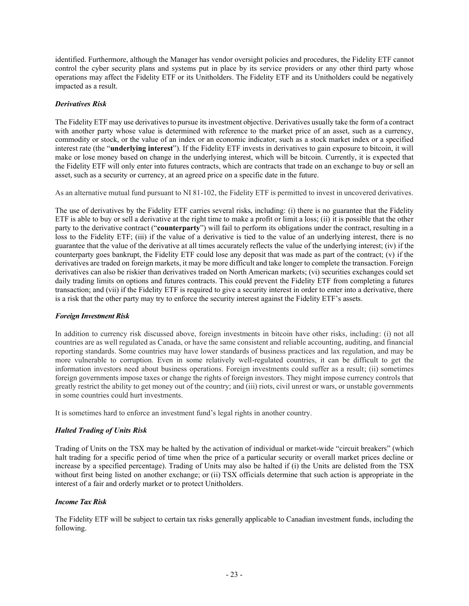identified. Furthermore, although the Manager has vendor oversight policies and procedures, the Fidelity ETF cannot control the cyber security plans and systems put in place by its service providers or any other third party whose operations may affect the Fidelity ETF or its Unitholders. The Fidelity ETF and its Unitholders could be negatively impacted as a result.

### *Derivatives Risk*

The Fidelity ETF may use derivatives to pursue its investment objective. Derivatives usually take the form of a contract with another party whose value is determined with reference to the market price of an asset, such as a currency, commodity or stock, or the value of an index or an economic indicator, such as a stock market index or a specified interest rate (the "**underlying interest**"). If the Fidelity ETF invests in derivatives to gain exposure to bitcoin, it will make or lose money based on change in the underlying interest, which will be bitcoin. Currently, it is expected that the Fidelity ETF will only enter into futures contracts, which are contracts that trade on an exchange to buy or sell an asset, such as a security or currency, at an agreed price on a specific date in the future.

As an alternative mutual fund pursuant to NI 81-102, the Fidelity ETF is permitted to invest in uncovered derivatives.

The use of derivatives by the Fidelity ETF carries several risks, including: (i) there is no guarantee that the Fidelity ETF is able to buy or sell a derivative at the right time to make a profit or limit a loss; (ii) it is possible that the other party to the derivative contract ("**counterparty**") will fail to perform its obligations under the contract, resulting in a loss to the Fidelity ETF; (iii) if the value of a derivative is tied to the value of an underlying interest, there is no guarantee that the value of the derivative at all times accurately reflects the value of the underlying interest; (iv) if the counterparty goes bankrupt, the Fidelity ETF could lose any deposit that was made as part of the contract; (v) if the derivatives are traded on foreign markets, it may be more difficult and take longer to complete the transaction. Foreign derivatives can also be riskier than derivatives traded on North American markets; (vi) securities exchanges could set daily trading limits on options and futures contracts. This could prevent the Fidelity ETF from completing a futures transaction; and (vii) if the Fidelity ETF is required to give a security interest in order to enter into a derivative, there is a risk that the other party may try to enforce the security interest against the Fidelity ETF's assets.

### *Foreign Investment Risk*

In addition to currency risk discussed above, foreign investments in bitcoin have other risks, including: (i) not all countries are as well regulated as Canada, or have the same consistent and reliable accounting, auditing, and financial reporting standards. Some countries may have lower standards of business practices and lax regulation, and may be more vulnerable to corruption. Even in some relatively well-regulated countries, it can be difficult to get the information investors need about business operations. Foreign investments could suffer as a result; (ii) sometimes foreign governments impose taxes or change the rights of foreign investors. They might impose currency controls that greatly restrict the ability to get money out of the country; and (iii) riots, civil unrest or wars, or unstable governments in some countries could hurt investments.

It is sometimes hard to enforce an investment fund's legal rights in another country.

### *Halted Trading of Units Risk*

Trading of Units on the TSX may be halted by the activation of individual or market-wide "circuit breakers" (which halt trading for a specific period of time when the price of a particular security or overall market prices decline or increase by a specified percentage). Trading of Units may also be halted if (i) the Units are delisted from the TSX without first being listed on another exchange; or (ii) TSX officials determine that such action is appropriate in the interest of a fair and orderly market or to protect Unitholders.

### *Income Tax Risk*

The Fidelity ETF will be subject to certain tax risks generally applicable to Canadian investment funds, including the following.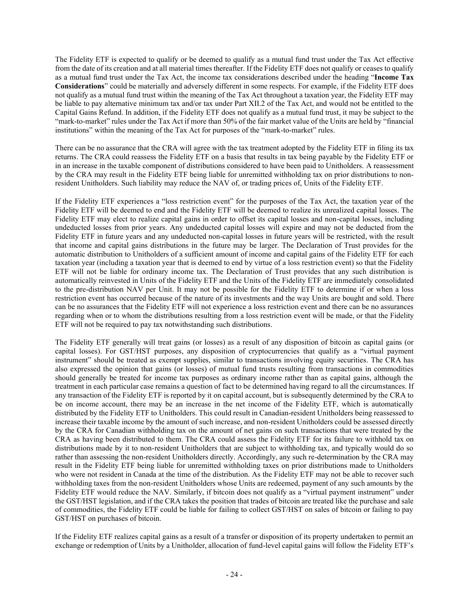The Fidelity ETF is expected to qualify or be deemed to qualify as a mutual fund trust under the Tax Act effective from the date of its creation and at all material times thereafter. If the Fidelity ETF does not qualify or ceases to qualify as a mutual fund trust under the Tax Act, the income tax considerations described under the heading "**Income Tax Considerations**" could be materially and adversely different in some respects. For example, if the Fidelity ETF does not qualify as a mutual fund trust within the meaning of the Tax Act throughout a taxation year, the Fidelity ETF may be liable to pay alternative minimum tax and/or tax under Part XII.2 of the Tax Act, and would not be entitled to the Capital Gains Refund. In addition, if the Fidelity ETF does not qualify as a mutual fund trust, it may be subject to the "mark-to-market" rules under the Tax Act if more than 50% of the fair market value of the Units are held by "financial institutions" within the meaning of the Tax Act for purposes of the "mark-to-market" rules.

There can be no assurance that the CRA will agree with the tax treatment adopted by the Fidelity ETF in filing its tax returns. The CRA could reassess the Fidelity ETF on a basis that results in tax being payable by the Fidelity ETF or in an increase in the taxable component of distributions considered to have been paid to Unitholders. A reassessment by the CRA may result in the Fidelity ETF being liable for unremitted withholding tax on prior distributions to nonresident Unitholders. Such liability may reduce the NAV of, or trading prices of, Units of the Fidelity ETF.

If the Fidelity ETF experiences a "loss restriction event" for the purposes of the Tax Act, the taxation year of the Fidelity ETF will be deemed to end and the Fidelity ETF will be deemed to realize its unrealized capital losses. The Fidelity ETF may elect to realize capital gains in order to offset its capital losses and non-capital losses, including undeducted losses from prior years. Any undeducted capital losses will expire and may not be deducted from the Fidelity ETF in future years and any undeducted non-capital losses in future years will be restricted, with the result that income and capital gains distributions in the future may be larger. The Declaration of Trust provides for the automatic distribution to Unitholders of a sufficient amount of income and capital gains of the Fidelity ETF for each taxation year (including a taxation year that is deemed to end by virtue of a loss restriction event) so that the Fidelity ETF will not be liable for ordinary income tax. The Declaration of Trust provides that any such distribution is automatically reinvested in Units of the Fidelity ETF and the Units of the Fidelity ETF are immediately consolidated to the pre-distribution NAV per Unit. It may not be possible for the Fidelity ETF to determine if or when a loss restriction event has occurred because of the nature of its investments and the way Units are bought and sold. There can be no assurances that the Fidelity ETF will not experience a loss restriction event and there can be no assurances regarding when or to whom the distributions resulting from a loss restriction event will be made, or that the Fidelity ETF will not be required to pay tax notwithstanding such distributions.

The Fidelity ETF generally will treat gains (or losses) as a result of any disposition of bitcoin as capital gains (or capital losses). For GST/HST purposes, any disposition of cryptocurrencies that qualify as a "virtual payment instrument" should be treated as exempt supplies, similar to transactions involving equity securities. The CRA has also expressed the opinion that gains (or losses) of mutual fund trusts resulting from transactions in commodities should generally be treated for income tax purposes as ordinary income rather than as capital gains, although the treatment in each particular case remains a question of fact to be determined having regard to all the circumstances. If any transaction of the Fidelity ETF is reported by it on capital account, but is subsequently determined by the CRA to be on income account, there may be an increase in the net income of the Fidelity ETF, which is automatically distributed by the Fidelity ETF to Unitholders. This could result in Canadian-resident Unitholders being reassessed to increase their taxable income by the amount of such increase, and non-resident Unitholders could be assessed directly by the CRA for Canadian withholding tax on the amount of net gains on such transactions that were treated by the CRA as having been distributed to them. The CRA could assess the Fidelity ETF for its failure to withhold tax on distributions made by it to non-resident Unitholders that are subject to withholding tax, and typically would do so rather than assessing the non-resident Unitholders directly. Accordingly, any such re-determination by the CRA may result in the Fidelity ETF being liable for unremitted withholding taxes on prior distributions made to Unitholders who were not resident in Canada at the time of the distribution. As the Fidelity ETF may not be able to recover such withholding taxes from the non-resident Unitholders whose Units are redeemed, payment of any such amounts by the Fidelity ETF would reduce the NAV. Similarly, if bitcoin does not qualify as a "virtual payment instrument" under the GST/HST legislation, and if the CRA takes the position that trades of bitcoin are treated like the purchase and sale of commodities, the Fidelity ETF could be liable for failing to collect GST/HST on sales of bitcoin or failing to pay GST/HST on purchases of bitcoin.

If the Fidelity ETF realizes capital gains as a result of a transfer or disposition of its property undertaken to permit an exchange or redemption of Units by a Unitholder, allocation of fund-level capital gains will follow the Fidelity ETF's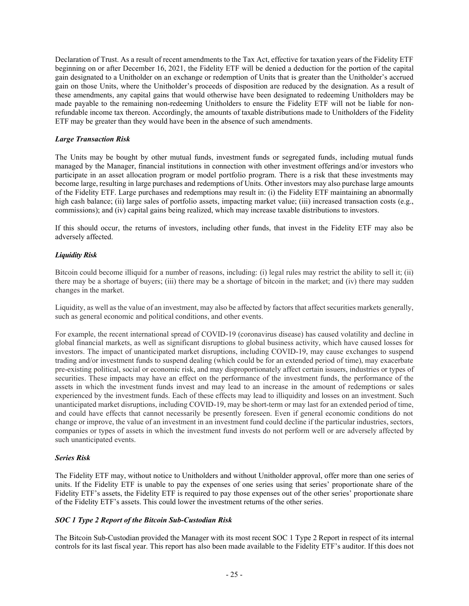Declaration of Trust. As a result of recent amendments to the Tax Act, effective for taxation years of the Fidelity ETF beginning on or after December 16, 2021, the Fidelity ETF will be denied a deduction for the portion of the capital gain designated to a Unitholder on an exchange or redemption of Units that is greater than the Unitholder's accrued gain on those Units, where the Unitholder's proceeds of disposition are reduced by the designation. As a result of these amendments, any capital gains that would otherwise have been designated to redeeming Unitholders may be made payable to the remaining non-redeeming Unitholders to ensure the Fidelity ETF will not be liable for nonrefundable income tax thereon. Accordingly, the amounts of taxable distributions made to Unitholders of the Fidelity ETF may be greater than they would have been in the absence of such amendments.

### *Large Transaction Risk*

The Units may be bought by other mutual funds, investment funds or segregated funds, including mutual funds managed by the Manager, financial institutions in connection with other investment offerings and/or investors who participate in an asset allocation program or model portfolio program. There is a risk that these investments may become large, resulting in large purchases and redemptions of Units. Other investors may also purchase large amounts of the Fidelity ETF. Large purchases and redemptions may result in: (i) the Fidelity ETF maintaining an abnormally high cash balance; (ii) large sales of portfolio assets, impacting market value; (iii) increased transaction costs (e.g., commissions); and (iv) capital gains being realized, which may increase taxable distributions to investors.

If this should occur, the returns of investors, including other funds, that invest in the Fidelity ETF may also be adversely affected.

# *Liquidity Risk*

Bitcoin could become illiquid for a number of reasons, including: (i) legal rules may restrict the ability to sell it; (ii) there may be a shortage of buyers; (iii) there may be a shortage of bitcoin in the market; and (iv) there may sudden changes in the market.

Liquidity, as well as the value of an investment, may also be affected by factors that affect securities markets generally, such as general economic and political conditions, and other events.

For example, the recent international spread of COVID-19 (coronavirus disease) has caused volatility and decline in global financial markets, as well as significant disruptions to global business activity, which have caused losses for investors. The impact of unanticipated market disruptions, including COVID-19, may cause exchanges to suspend trading and/or investment funds to suspend dealing (which could be for an extended period of time), may exacerbate pre-existing political, social or economic risk, and may disproportionately affect certain issuers, industries or types of securities. These impacts may have an effect on the performance of the investment funds, the performance of the assets in which the investment funds invest and may lead to an increase in the amount of redemptions or sales experienced by the investment funds. Each of these effects may lead to illiquidity and losses on an investment. Such unanticipated market disruptions, including COVID-19, may be short-term or may last for an extended period of time, and could have effects that cannot necessarily be presently foreseen. Even if general economic conditions do not change or improve, the value of an investment in an investment fund could decline if the particular industries, sectors, companies or types of assets in which the investment fund invests do not perform well or are adversely affected by such unanticipated events.

### *Series Risk*

The Fidelity ETF may, without notice to Unitholders and without Unitholder approval, offer more than one series of units. If the Fidelity ETF is unable to pay the expenses of one series using that series' proportionate share of the Fidelity ETF's assets, the Fidelity ETF is required to pay those expenses out of the other series' proportionate share of the Fidelity ETF's assets. This could lower the investment returns of the other series.

# *SOC 1 Type 2 Report of the Bitcoin Sub-Custodian Risk*

The Bitcoin Sub-Custodian provided the Manager with its most recent SOC 1 Type 2 Report in respect of its internal controls for its last fiscal year. This report has also been made available to the Fidelity ETF's auditor. If this does not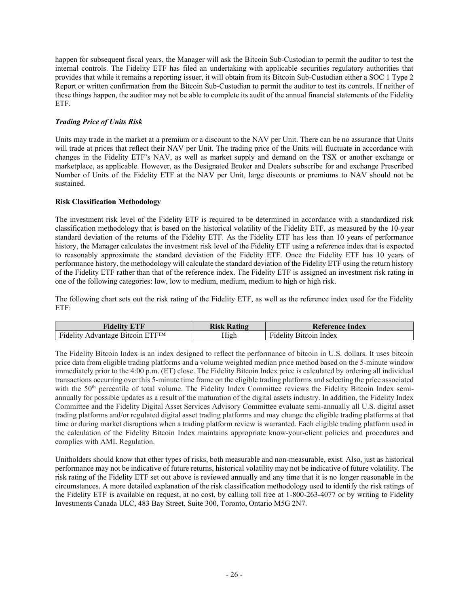happen for subsequent fiscal years, the Manager will ask the Bitcoin Sub-Custodian to permit the auditor to test the internal controls. The Fidelity ETF has filed an undertaking with applicable securities regulatory authorities that provides that while it remains a reporting issuer, it will obtain from its Bitcoin Sub-Custodian either a SOC 1 Type 2 Report or written confirmation from the Bitcoin Sub-Custodian to permit the auditor to test its controls. If neither of these things happen, the auditor may not be able to complete its audit of the annual financial statements of the Fidelity ETF.

# *Trading Price of Units Risk*

Units may trade in the market at a premium or a discount to the NAV per Unit. There can be no assurance that Units will trade at prices that reflect their NAV per Unit. The trading price of the Units will fluctuate in accordance with changes in the Fidelity ETF's NAV, as well as market supply and demand on the TSX or another exchange or marketplace, as applicable. However, as the Designated Broker and Dealers subscribe for and exchange Prescribed Number of Units of the Fidelity ETF at the NAV per Unit, large discounts or premiums to NAV should not be sustained.

### **Risk Classification Methodology**

The investment risk level of the Fidelity ETF is required to be determined in accordance with a standardized risk classification methodology that is based on the historical volatility of the Fidelity ETF, as measured by the 10-year standard deviation of the returns of the Fidelity ETF. As the Fidelity ETF has less than 10 years of performance history, the Manager calculates the investment risk level of the Fidelity ETF using a reference index that is expected to reasonably approximate the standard deviation of the Fidelity ETF. Once the Fidelity ETF has 10 years of performance history, the methodology will calculate the standard deviation of the Fidelity ETF using the return history of the Fidelity ETF rather than that of the reference index. The Fidelity ETF is assigned an investment risk rating in one of the following categories: low, low to medium, medium, medium to high or high risk.

The following chart sets out the risk rating of the Fidelity ETF, as well as the reference index used for the Fidelity ETF:

| Fidelity                                      | <b>Risk Rating</b> | <b>Reference Index</b>   |
|-----------------------------------------------|--------------------|--------------------------|
| <b>Bitcoin ETFTM</b><br>Fidelity<br>Advantage | Hıgh               | Bitcoin Index<br>$H = H$ |

The Fidelity Bitcoin Index is an index designed to reflect the performance of bitcoin in U.S. dollars. It uses bitcoin price data from eligible trading platforms and a volume weighted median price method based on the 5-minute window immediately prior to the 4:00 p.m. (ET) close. The Fidelity Bitcoin Index price is calculated by ordering all individual transactions occurring over this 5-minute time frame on the eligible trading platforms and selecting the price associated with the 50<sup>th</sup> percentile of total volume. The Fidelity Index Committee reviews the Fidelity Bitcoin Index semiannually for possible updates as a result of the maturation of the digital assets industry. In addition, the Fidelity Index Committee and the Fidelity Digital Asset Services Advisory Committee evaluate semi-annually all U.S. digital asset trading platforms and/or regulated digital asset trading platforms and may change the eligible trading platforms at that time or during market disruptions when a trading platform review is warranted. Each eligible trading platform used in the calculation of the Fidelity Bitcoin Index maintains appropriate know-your-client policies and procedures and complies with AML Regulation.

Unitholders should know that other types of risks, both measurable and non-measurable, exist. Also, just as historical performance may not be indicative of future returns, historical volatility may not be indicative of future volatility. The risk rating of the Fidelity ETF set out above is reviewed annually and any time that it is no longer reasonable in the circumstances. A more detailed explanation of the risk classification methodology used to identify the risk ratings of the Fidelity ETF is available on request, at no cost, by calling toll free at 1-800-263-4077 or by writing to Fidelity Investments Canada ULC, 483 Bay Street, Suite 300, Toronto, Ontario M5G 2N7.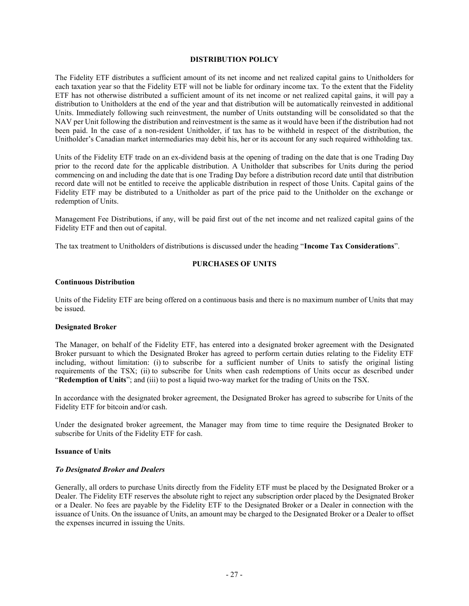#### **DISTRIBUTION POLICY**

<span id="page-29-0"></span>The Fidelity ETF distributes a sufficient amount of its net income and net realized capital gains to Unitholders for each taxation year so that the Fidelity ETF will not be liable for ordinary income tax. To the extent that the Fidelity ETF has not otherwise distributed a sufficient amount of its net income or net realized capital gains, it will pay a distribution to Unitholders at the end of the year and that distribution will be automatically reinvested in additional Units. Immediately following such reinvestment, the number of Units outstanding will be consolidated so that the NAV per Unit following the distribution and reinvestment is the same as it would have been if the distribution had not been paid. In the case of a non-resident Unitholder, if tax has to be withheld in respect of the distribution, the Unitholder's Canadian market intermediaries may debit his, her or its account for any such required withholding tax.

Units of the Fidelity ETF trade on an ex-dividend basis at the opening of trading on the date that is one Trading Day prior to the record date for the applicable distribution. A Unitholder that subscribes for Units during the period commencing on and including the date that is one Trading Day before a distribution record date until that distribution record date will not be entitled to receive the applicable distribution in respect of those Units. Capital gains of the Fidelity ETF may be distributed to a Unitholder as part of the price paid to the Unitholder on the exchange or redemption of Units.

Management Fee Distributions, if any, will be paid first out of the net income and net realized capital gains of the Fidelity ETF and then out of capital.

<span id="page-29-1"></span>The tax treatment to Unitholders of distributions is discussed under the heading "**[Income Tax Considerations](#page-33-0)**".

#### **PURCHASES OF UNITS**

#### **Continuous Distribution**

Units of the Fidelity ETF are being offered on a continuous basis and there is no maximum number of Units that may be issued.

#### **Designated Broker**

The Manager, on behalf of the Fidelity ETF, has entered into a designated broker agreement with the Designated Broker pursuant to which the Designated Broker has agreed to perform certain duties relating to the Fidelity ETF including, without limitation: (i) to subscribe for a sufficient number of Units to satisfy the original listing requirements of the TSX; (ii) to subscribe for Units when cash redemptions of Units occur as described under "**[Redemption of Units](#page-31-0)**"; and (iii) to post a liquid two-way market for the trading of Units on the TSX.

In accordance with the designated broker agreement, the Designated Broker has agreed to subscribe for Units of the Fidelity ETF for bitcoin and/or cash.

Under the designated broker agreement, the Manager may from time to time require the Designated Broker to subscribe for Units of the Fidelity ETF for cash.

### <span id="page-29-2"></span>**Issuance of Units**

#### *To Designated Broker and Dealers*

Generally, all orders to purchase Units directly from the Fidelity ETF must be placed by the Designated Broker or a Dealer. The Fidelity ETF reserves the absolute right to reject any subscription order placed by the Designated Broker or a Dealer. No fees are payable by the Fidelity ETF to the Designated Broker or a Dealer in connection with the issuance of Units. On the issuance of Units, an amount may be charged to the Designated Broker or a Dealer to offset the expenses incurred in issuing the Units.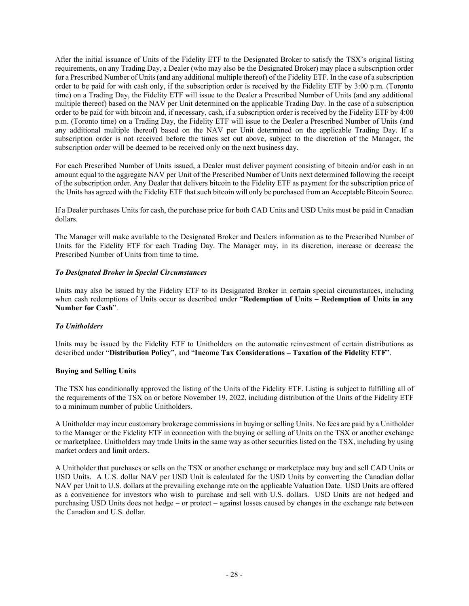After the initial issuance of Units of the Fidelity ETF to the Designated Broker to satisfy the TSX's original listing requirements, on any Trading Day, a Dealer (who may also be the Designated Broker) may place a subscription order for a Prescribed Number of Units (and any additional multiple thereof) of the Fidelity ETF. In the case of a subscription order to be paid for with cash only, if the subscription order is received by the Fidelity ETF by 3:00 p.m. (Toronto time) on a Trading Day, the Fidelity ETF will issue to the Dealer a Prescribed Number of Units (and any additional multiple thereof) based on the NAV per Unit determined on the applicable Trading Day. In the case of a subscription order to be paid for with bitcoin and, if necessary, cash, if a subscription order is received by the Fidelity ETF by 4:00 p.m. (Toronto time) on a Trading Day, the Fidelity ETF will issue to the Dealer a Prescribed Number of Units (and any additional multiple thereof) based on the NAV per Unit determined on the applicable Trading Day. If a subscription order is not received before the times set out above, subject to the discretion of the Manager, the subscription order will be deemed to be received only on the next business day.

For each Prescribed Number of Units issued, a Dealer must deliver payment consisting of bitcoin and/or cash in an amount equal to the aggregate NAV per Unit of the Prescribed Number of Units next determined following the receipt of the subscription order. Any Dealer that delivers bitcoin to the Fidelity ETF as payment for the subscription price of the Units has agreed with the Fidelity ETF that such bitcoin will only be purchased from an Acceptable Bitcoin Source.

If a Dealer purchases Units for cash, the purchase price for both CAD Units and USD Units must be paid in Canadian dollars.

The Manager will make available to the Designated Broker and Dealers information as to the Prescribed Number of Units for the Fidelity ETF for each Trading Day. The Manager may, in its discretion, increase or decrease the Prescribed Number of Units from time to time.

### *To Designated Broker in Special Circumstances*

Units may also be issued by the Fidelity ETF to its Designated Broker in certain special circumstances, including when cash redemptions of Units occur as described under "**[Redemption of Units](#page-31-0) – Redemption of Units in any Number for Cash**".

### *To Unitholders*

Units may be issued by the Fidelity ETF to Unitholders on the automatic reinvestment of certain distributions as described under "**[Distribution Policy](#page-29-0)**", and "**[Income Tax Considerations](#page-33-0) – [Taxation of the Fidelity ETF](#page-34-0)**".

### <span id="page-30-0"></span>**Buying and Selling Units**

The TSX has conditionally approved the listing of the Units of the Fidelity ETF. Listing is subject to fulfilling all of the requirements of the TSX on or before November 19, 2022, including distribution of the Units of the Fidelity ETF to a minimum number of public Unitholders.

A Unitholder may incur customary brokerage commissions in buying or selling Units. No fees are paid by a Unitholder to the Manager or the Fidelity ETF in connection with the buying or selling of Units on the TSX or another exchange or marketplace. Unitholders may trade Units in the same way as other securities listed on the TSX, including by using market orders and limit orders.

A Unitholder that purchases or sells on the TSX or another exchange or marketplace may buy and sell CAD Units or USD Units. A U.S. dollar NAV per USD Unit is calculated for the USD Units by converting the Canadian dollar NAV per Unit to U.S. dollars at the prevailing exchange rate on the applicable Valuation Date. USD Units are offered as a convenience for investors who wish to purchase and sell with U.S. dollars. USD Units are not hedged and purchasing USD Units does not hedge – or protect – against losses caused by changes in the exchange rate between the Canadian and U.S. dollar.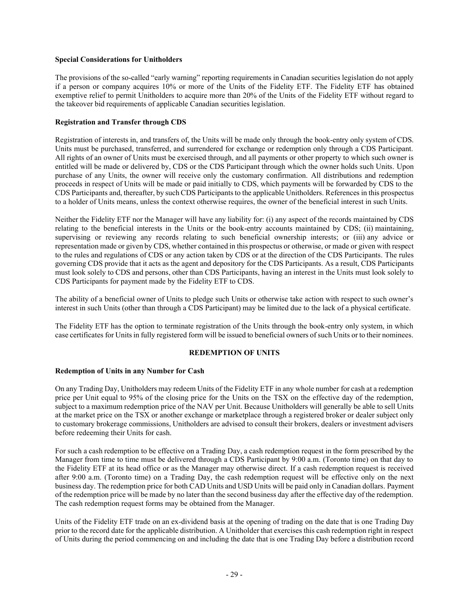#### **Special Considerations for Unitholders**

The provisions of the so-called "early warning" reporting requirements in Canadian securities legislation do not apply if a person or company acquires 10% or more of the Units of the Fidelity ETF. The Fidelity ETF has obtained exemptive relief to permit Unitholders to acquire more than 20% of the Units of the Fidelity ETF without regard to the takeover bid requirements of applicable Canadian securities legislation.

#### **Registration and Transfer through CDS**

Registration of interests in, and transfers of, the Units will be made only through the book-entry only system of CDS. Units must be purchased, transferred, and surrendered for exchange or redemption only through a CDS Participant. All rights of an owner of Units must be exercised through, and all payments or other property to which such owner is entitled will be made or delivered by, CDS or the CDS Participant through which the owner holds such Units. Upon purchase of any Units, the owner will receive only the customary confirmation. All distributions and redemption proceeds in respect of Units will be made or paid initially to CDS, which payments will be forwarded by CDS to the CDS Participants and, thereafter, by such CDS Participants to the applicable Unitholders. References in this prospectus to a holder of Units means, unless the context otherwise requires, the owner of the beneficial interest in such Units.

Neither the Fidelity ETF nor the Manager will have any liability for: (i) any aspect of the records maintained by CDS relating to the beneficial interests in the Units or the book-entry accounts maintained by CDS; (ii) maintaining, supervising or reviewing any records relating to such beneficial ownership interests; or (iii) any advice or representation made or given by CDS, whether contained in this prospectus or otherwise, or made or given with respect to the rules and regulations of CDS or any action taken by CDS or at the direction of the CDS Participants. The rules governing CDS provide that it acts as the agent and depository for the CDS Participants. As a result, CDS Participants must look solely to CDS and persons, other than CDS Participants, having an interest in the Units must look solely to CDS Participants for payment made by the Fidelity ETF to CDS.

The ability of a beneficial owner of Units to pledge such Units or otherwise take action with respect to such owner's interest in such Units (other than through a CDS Participant) may be limited due to the lack of a physical certificate.

The Fidelity ETF has the option to terminate registration of the Units through the book-entry only system, in which case certificates for Units in fully registered form will be issued to beneficial owners of such Units or to their nominees.

### **REDEMPTION OF UNITS**

### <span id="page-31-0"></span>**Redemption of Units in any Number for Cash**

On any Trading Day, Unitholders may redeem Units of theFidelity ETF in any whole number for cash at a redemption price per Unit equal to 95% of the closing price for the Units on the TSX on the effective day of the redemption, subject to a maximum redemption price of the NAV per Unit. Because Unitholders will generally be able to sell Units at the market price on the TSX or another exchange or marketplace through a registered broker or dealer subject only to customary brokerage commissions, Unitholders are advised to consult their brokers, dealers or investment advisers before redeeming their Units for cash.

For such a cash redemption to be effective on a Trading Day, a cash redemption request in the form prescribed by the Manager from time to time must be delivered through a CDS Participant by 9:00 a.m. (Toronto time) on that day to the Fidelity ETF at its head office or as the Manager may otherwise direct. If a cash redemption request is received after 9:00 a.m. (Toronto time) on a Trading Day, the cash redemption request will be effective only on the next business day. The redemption price for both CAD Units and USD Units will be paid only in Canadian dollars. Payment of the redemption price will be made by no later than the second business day after the effective day of the redemption. The cash redemption request forms may be obtained from the Manager.

Units of the Fidelity ETF trade on an ex-dividend basis at the opening of trading on the date that is one Trading Day prior to the record date for the applicable distribution. A Unitholder that exercises this cash redemption right in respect of Units during the period commencing on and including the date that is one Trading Day before a distribution record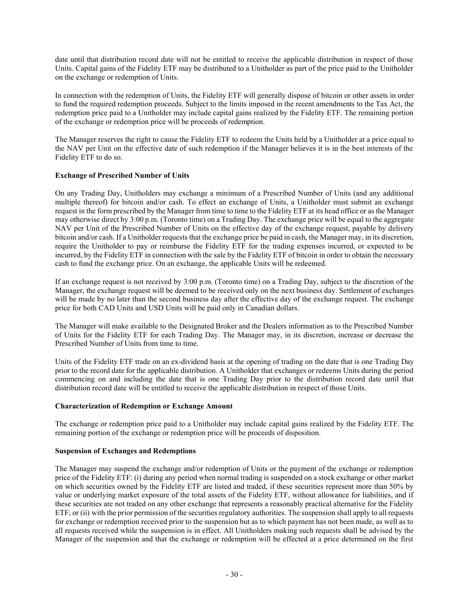date until that distribution record date will not be entitled to receive the applicable distribution in respect of those Units. Capital gains of the Fidelity ETF may be distributed to a Unitholder as part of the price paid to the Unitholder on the exchange or redemption of Units.

In connection with the redemption of Units, the Fidelity ETF will generally dispose of bitcoin or other assets in order to fund the required redemption proceeds. Subject to the limits imposed in the recent amendments to the Tax Act, the redemption price paid to a Unitholder may include capital gains realized by the Fidelity ETF. The remaining portion of the exchange or redemption price will be proceeds of redemption.

The Manager reserves the right to cause the Fidelity ETF to redeem the Units held by a Unitholder at a price equal to the NAV per Unit on the effective date of such redemption if the Manager believes it is in the best interests of the Fidelity ETF to do so.

# <span id="page-32-1"></span>**Exchange of Prescribed Number of Units**

On any Trading Day, Unitholders may exchange a minimum of a Prescribed Number of Units (and any additional multiple thereof) for bitcoin and/or cash. To effect an exchange of Units, a Unitholder must submit an exchange request in the form prescribed by the Manager from time to time to the Fidelity ETF at its head office or as the Manager may otherwise direct by 3:00 p.m. (Toronto time) on a Trading Day. The exchange price will be equal to the aggregate NAV per Unit of the Prescribed Number of Units on the effective day of the exchange request, payable by delivery bitcoin and/or cash. If a Unitholder requests that the exchange price be paid in cash, the Manager may, in its discretion, require the Unitholder to pay or reimburse the Fidelity ETF for the trading expenses incurred, or expected to be incurred, by the Fidelity ETF in connection with the sale by the Fidelity ETF of bitcoin in order to obtain the necessary cash to fund the exchange price. On an exchange, the applicable Units will be redeemed.

If an exchange request is not received by 3:00 p.m. (Toronto time) on a Trading Day, subject to the discretion of the Manager, the exchange request will be deemed to be received only on the next business day. Settlement of exchanges will be made by no later than the second business day after the effective day of the exchange request. The exchange price for both CAD Units and USD Units will be paid only in Canadian dollars.

The Manager will make available to the Designated Broker and the Dealers information as to the Prescribed Number of Units for the Fidelity ETF for each Trading Day. The Manager may, in its discretion, increase or decrease the Prescribed Number of Units from time to time.

Units of the Fidelity ETF trade on an ex-dividend basis at the opening of trading on the date that is one Trading Day prior to the record date for the applicable distribution. A Unitholder that exchanges or redeems Units during the period commencing on and including the date that is one Trading Day prior to the distribution record date until that distribution record date will be entitled to receive the applicable distribution in respect of those Units.

### **Characterization of Redemption or Exchange Amount**

The exchange or redemption price paid to a Unitholder may include capital gains realized by the Fidelity ETF. The remaining portion of the exchange or redemption price will be proceeds of disposition.

### <span id="page-32-0"></span>**Suspension of Exchanges and Redemptions**

The Manager may suspend the exchange and/or redemption of Units or the payment of the exchange or redemption price of the Fidelity ETF: (i) during any period when normal trading is suspended on a stock exchange or other market on which securities owned by the Fidelity ETF are listed and traded, if these securities represent more than 50% by value or underlying market exposure of the total assets of the Fidelity ETF, without allowance for liabilities, and if these securities are not traded on any other exchange that represents a reasonably practical alternative for the Fidelity ETF; or (ii) with the prior permission of the securities regulatory authorities. The suspension shall apply to all requests for exchange or redemption received prior to the suspension but as to which payment has not been made, as well as to all requests received while the suspension is in effect. All Unitholders making such requests shall be advised by the Manager of the suspension and that the exchange or redemption will be effected at a price determined on the first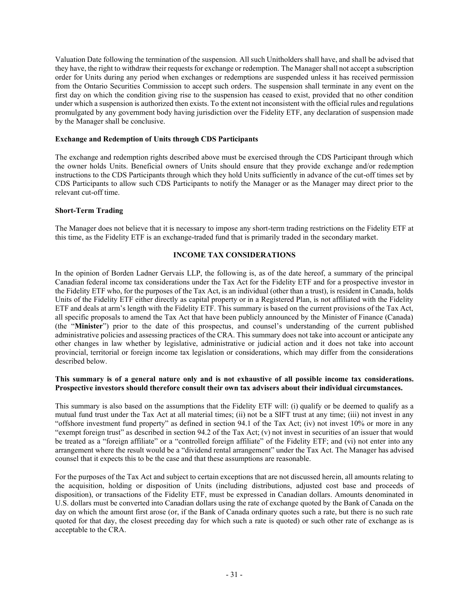Valuation Date following the termination of the suspension. All such Unitholders shall have, and shall be advised that they have, the right to withdraw their requests for exchange or redemption. The Manager shall not accept a subscription order for Units during any period when exchanges or redemptions are suspended unless it has received permission from the Ontario Securities Commission to accept such orders. The suspension shall terminate in any event on the first day on which the condition giving rise to the suspension has ceased to exist, provided that no other condition under which a suspension is authorized then exists. To the extent not inconsistent with the official rules and regulations promulgated by any government body having jurisdiction over the Fidelity ETF, any declaration of suspension made by the Manager shall be conclusive.

### **Exchange and Redemption of Units through CDS Participants**

The exchange and redemption rights described above must be exercised through the CDS Participant through which the owner holds Units. Beneficial owners of Units should ensure that they provide exchange and/or redemption instructions to the CDS Participants through which they hold Units sufficiently in advance of the cut-off times set by CDS Participants to allow such CDS Participants to notify the Manager or as the Manager may direct prior to the relevant cut-off time.

# **Short-Term Trading**

The Manager does not believe that it is necessary to impose any short-term trading restrictions on the Fidelity ETF at this time, as the Fidelity ETF is an exchange-traded fund that is primarily traded in the secondary market.

# **INCOME TAX CONSIDERATIONS**

<span id="page-33-0"></span>In the opinion of Borden Ladner Gervais LLP, the following is, as of the date hereof, a summary of the principal Canadian federal income tax considerations under the Tax Act for the Fidelity ETF and for a prospective investor in the Fidelity ETF who, for the purposes of the Tax Act, is an individual (other than a trust), is resident in Canada, holds Units of the Fidelity ETF either directly as capital property or in a Registered Plan, is not affiliated with the Fidelity ETF and deals at arm's length with the Fidelity ETF. This summary is based on the current provisions of the Tax Act, all specific proposals to amend the Tax Act that have been publicly announced by the Minister of Finance (Canada) (the "**Minister**") prior to the date of this prospectus, and counsel's understanding of the current published administrative policies and assessing practices of the CRA. This summary does not take into account or anticipate any other changes in law whether by legislative, administrative or judicial action and it does not take into account provincial, territorial or foreign income tax legislation or considerations, which may differ from the considerations described below.

#### **This summary is of a general nature only and is not exhaustive of all possible income tax considerations. Prospective investors should therefore consult their own tax advisers about their individual circumstances.**

This summary is also based on the assumptions that the Fidelity ETF will: (i) qualify or be deemed to qualify as a mutual fund trust under the Tax Act at all material times; (ii) not be a SIFT trust at any time; (iii) not invest in any "offshore investment fund property" as defined in section 94.1 of the Tax Act; (iv) not invest 10% or more in any "exempt foreign trust" as described in section 94.2 of the Tax Act; (v) not invest in securities of an issuer that would be treated as a "foreign affiliate" or a "controlled foreign affiliate" of the Fidelity ETF; and (vi) not enter into any arrangement where the result would be a "dividend rental arrangement" under the Tax Act. The Manager has advised counsel that it expects this to be the case and that these assumptions are reasonable.

For the purposes of the Tax Act and subject to certain exceptions that are not discussed herein, all amounts relating to the acquisition, holding or disposition of Units (including distributions, adjusted cost base and proceeds of disposition), or transactions of the Fidelity ETF, must be expressed in Canadian dollars. Amounts denominated in U.S. dollars must be converted into Canadian dollars using the rate of exchange quoted by the Bank of Canada on the day on which the amount first arose (or, if the Bank of Canada ordinary quotes such a rate, but there is no such rate quoted for that day, the closest preceding day for which such a rate is quoted) or such other rate of exchange as is acceptable to the CRA.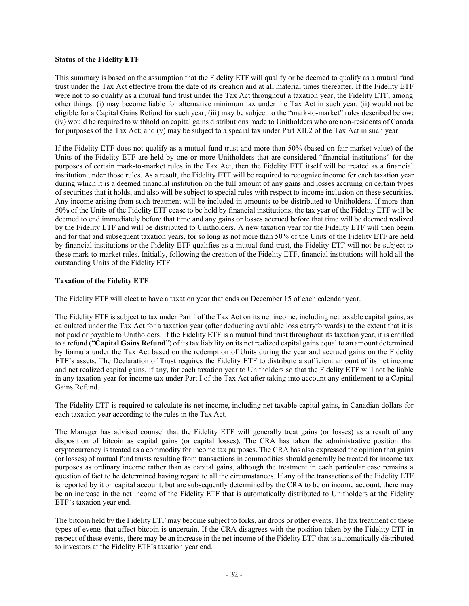#### **Status of the Fidelity ETF**

This summary is based on the assumption that the Fidelity ETF will qualify or be deemed to qualify as a mutual fund trust under the Tax Act effective from the date of its creation and at all material times thereafter. If the Fidelity ETF were not to so qualify as a mutual fund trust under the Tax Act throughout a taxation year, the Fidelity ETF, among other things: (i) may become liable for alternative minimum tax under the Tax Act in such year; (ii) would not be eligible for a Capital Gains Refund for such year; (iii) may be subject to the "mark-to-market" rules described below; (iv) would be required to withhold on capital gains distributions made to Unitholders who are non-residents of Canada for purposes of the Tax Act; and (v) may be subject to a special tax under Part XII.2 of the Tax Act in such year.

If the Fidelity ETF does not qualify as a mutual fund trust and more than 50% (based on fair market value) of the Units of the Fidelity ETF are held by one or more Unitholders that are considered "financial institutions" for the purposes of certain mark-to-market rules in the Tax Act, then the Fidelity ETF itself will be treated as a financial institution under those rules. As a result, the Fidelity ETF will be required to recognize income for each taxation year during which it is a deemed financial institution on the full amount of any gains and losses accruing on certain types of securities that it holds, and also will be subject to special rules with respect to income inclusion on these securities. Any income arising from such treatment will be included in amounts to be distributed to Unitholders. If more than 50% of the Units of the Fidelity ETF cease to be held by financial institutions, the tax year of the Fidelity ETF will be deemed to end immediately before that time and any gains or losses accrued before that time will be deemed realized by the Fidelity ETF and will be distributed to Unitholders. A new taxation year for the Fidelity ETF will then begin and for that and subsequent taxation years, for so long as not more than 50% of the Units of the Fidelity ETF are held by financial institutions or the Fidelity ETF qualifies as a mutual fund trust, the Fidelity ETF will not be subject to these mark-to-market rules. Initially, following the creation of the Fidelity ETF, financial institutions will hold all the outstanding Units of the Fidelity ETF.

#### <span id="page-34-0"></span>**Taxation of the Fidelity ETF**

The Fidelity ETF will elect to have a taxation year that ends on December 15 of each calendar year.

The Fidelity ETF is subject to tax under Part I of the Tax Act on its net income, including net taxable capital gains, as calculated under the Tax Act for a taxation year (after deducting available loss carryforwards) to the extent that it is not paid or payable to Unitholders. If the Fidelity ETF is a mutual fund trust throughout its taxation year, it is entitled to a refund ("**Capital Gains Refund**") of its tax liability on its net realized capital gains equal to an amount determined by formula under the Tax Act based on the redemption of Units during the year and accrued gains on the Fidelity ETF's assets. The Declaration of Trust requires the Fidelity ETF to distribute a sufficient amount of its net income and net realized capital gains, if any, for each taxation year to Unitholders so that the Fidelity ETF will not be liable in any taxation year for income tax under Part I of the Tax Act after taking into account any entitlement to a Capital Gains Refund.

The Fidelity ETF is required to calculate its net income, including net taxable capital gains, in Canadian dollars for each taxation year according to the rules in the Tax Act.

The Manager has advised counsel that the Fidelity ETF will generally treat gains (or losses) as a result of any disposition of bitcoin as capital gains (or capital losses). The CRA has taken the administrative position that cryptocurrency is treated as a commodity for income tax purposes. The CRA has also expressed the opinion that gains (or losses) of mutual fund trusts resulting from transactions in commodities should generally be treated for income tax purposes as ordinary income rather than as capital gains, although the treatment in each particular case remains a question of fact to be determined having regard to all the circumstances. If any of the transactions of the Fidelity ETF is reported by it on capital account, but are subsequently determined by the CRA to be on income account, there may be an increase in the net income of the Fidelity ETF that is automatically distributed to Unitholders at the Fidelity ETF's taxation year end.

The bitcoin held by the Fidelity ETF may become subject to forks, air drops or other events. The tax treatment of these types of events that affect bitcoin is uncertain. If the CRA disagrees with the position taken by the Fidelity ETF in respect of these events, there may be an increase in the net income of the Fidelity ETF that is automatically distributed to investors at the Fidelity ETF's taxation year end.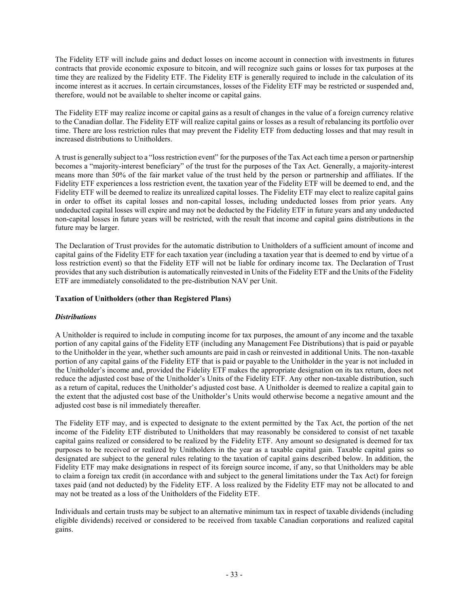The Fidelity ETF will include gains and deduct losses on income account in connection with investments in futures contracts that provide economic exposure to bitcoin, and will recognize such gains or losses for tax purposes at the time they are realized by the Fidelity ETF. The Fidelity ETF is generally required to include in the calculation of its income interest as it accrues. In certain circumstances, losses of the Fidelity ETF may be restricted or suspended and, therefore, would not be available to shelter income or capital gains.

The Fidelity ETF may realize income or capital gains as a result of changes in the value of a foreign currency relative to the Canadian dollar. The Fidelity ETF will realize capital gains or losses as a result of rebalancing its portfolio over time. There are loss restriction rules that may prevent the Fidelity ETF from deducting losses and that may result in increased distributions to Unitholders.

A trust is generally subject to a "loss restriction event" for the purposes of the Tax Act each time a person or partnership becomes a "majority-interest beneficiary" of the trust for the purposes of the Tax Act. Generally, a majority-interest means more than 50% of the fair market value of the trust held by the person or partnership and affiliates. If the Fidelity ETF experiences a loss restriction event, the taxation year of the Fidelity ETF will be deemed to end, and the Fidelity ETF will be deemed to realize its unrealized capital losses. The Fidelity ETF may elect to realize capital gains in order to offset its capital losses and non-capital losses, including undeducted losses from prior years. Any undeducted capital losses will expire and may not be deducted by the Fidelity ETF in future years and any undeducted non-capital losses in future years will be restricted, with the result that income and capital gains distributions in the future may be larger.

The Declaration of Trust provides for the automatic distribution to Unitholders of a sufficient amount of income and capital gains of the Fidelity ETF for each taxation year (including a taxation year that is deemed to end by virtue of a loss restriction event) so that the Fidelity ETF will not be liable for ordinary income tax. The Declaration of Trust provides that any such distribution is automatically reinvested in Units of the Fidelity ETF and the Units of the Fidelity ETF are immediately consolidated to the pre-distribution NAV per Unit.

# **Taxation of Unitholders (other than Registered Plans)**

# *Distributions*

A Unitholder is required to include in computing income for tax purposes, the amount of any income and the taxable portion of any capital gains of the Fidelity ETF (including any Management Fee Distributions) that is paid or payable to the Unitholder in the year, whether such amounts are paid in cash or reinvested in additional Units. The non-taxable portion of any capital gains of the Fidelity ETF that is paid or payable to the Unitholder in the year is not included in the Unitholder's income and, provided the Fidelity ETF makes the appropriate designation on its tax return, does not reduce the adjusted cost base of the Unitholder's Units of the Fidelity ETF. Any other non-taxable distribution, such as a return of capital, reduces the Unitholder's adjusted cost base. A Unitholder is deemed to realize a capital gain to the extent that the adjusted cost base of the Unitholder's Units would otherwise become a negative amount and the adjusted cost base is nil immediately thereafter.

The Fidelity ETF may, and is expected to designate to the extent permitted by the Tax Act, the portion of the net income of the Fidelity ETF distributed to Unitholders that may reasonably be considered to consist of net taxable capital gains realized or considered to be realized by the Fidelity ETF. Any amount so designated is deemed for tax purposes to be received or realized by Unitholders in the year as a taxable capital gain. Taxable capital gains so designated are subject to the general rules relating to the taxation of capital gains described below. In addition, the Fidelity ETF may make designations in respect of its foreign source income, if any, so that Unitholders may be able to claim a foreign tax credit (in accordance with and subject to the general limitations under the Tax Act) for foreign taxes paid (and not deducted) by the Fidelity ETF. A loss realized by the Fidelity ETF may not be allocated to and may not be treated as a loss of the Unitholders of the Fidelity ETF.

Individuals and certain trusts may be subject to an alternative minimum tax in respect of taxable dividends (including eligible dividends) received or considered to be received from taxable Canadian corporations and realized capital gains.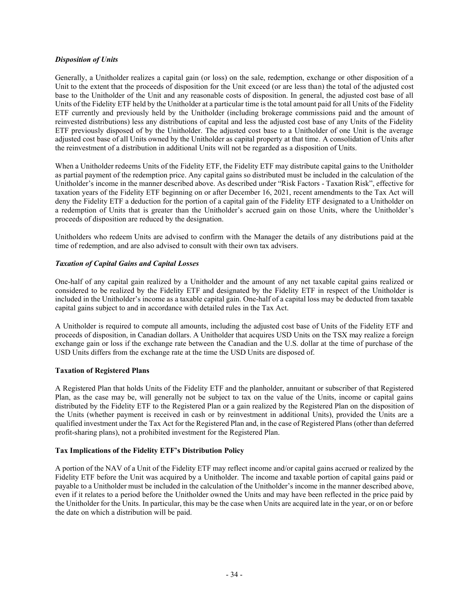### *Disposition of Units*

Generally, a Unitholder realizes a capital gain (or loss) on the sale, redemption, exchange or other disposition of a Unit to the extent that the proceeds of disposition for the Unit exceed (or are less than) the total of the adjusted cost base to the Unitholder of the Unit and any reasonable costs of disposition. In general, the adjusted cost base of all Units of the Fidelity ETF held by the Unitholder at a particular time is the total amount paid for all Units of the Fidelity ETF currently and previously held by the Unitholder (including brokerage commissions paid and the amount of reinvested distributions) less any distributions of capital and less the adjusted cost base of any Units of the Fidelity ETF previously disposed of by the Unitholder. The adjusted cost base to a Unitholder of one Unit is the average adjusted cost base of all Units owned by the Unitholder as capital property at that time. A consolidation of Units after the reinvestment of a distribution in additional Units will not be regarded as a disposition of Units.

When a Unitholder redeems Units of the Fidelity ETF, the Fidelity ETF may distribute capital gains to the Unitholder as partial payment of the redemption price. Any capital gains so distributed must be included in the calculation of the Unitholder's income in the manner described above. As described under "Risk Factors - Taxation Risk", effective for taxation years of the Fidelity ETF beginning on or after December 16, 2021, recent amendments to the Tax Act will deny the Fidelity ETF a deduction for the portion of a capital gain of the Fidelity ETF designated to a Unitholder on a redemption of Units that is greater than the Unitholder's accrued gain on those Units, where the Unitholder's proceeds of disposition are reduced by the designation.

Unitholders who redeem Units are advised to confirm with the Manager the details of any distributions paid at the time of redemption, and are also advised to consult with their own tax advisers.

### *Taxation of Capital Gains and Capital Losses*

One-half of any capital gain realized by a Unitholder and the amount of any net taxable capital gains realized or considered to be realized by the Fidelity ETF and designated by the Fidelity ETF in respect of the Unitholder is included in the Unitholder's income as a taxable capital gain. One-half of a capital loss may be deducted from taxable capital gains subject to and in accordance with detailed rules in the Tax Act.

A Unitholder is required to compute all amounts, including the adjusted cost base of Units of the Fidelity ETF and proceeds of disposition, in Canadian dollars. A Unitholder that acquires USD Units on the TSX may realize a foreign exchange gain or loss if the exchange rate between the Canadian and the U.S. dollar at the time of purchase of the USD Units differs from the exchange rate at the time the USD Units are disposed of.

#### **Taxation of Registered Plans**

A Registered Plan that holds Units of the Fidelity ETF and the planholder, annuitant or subscriber of that Registered Plan, as the case may be, will generally not be subject to tax on the value of the Units, income or capital gains distributed by the Fidelity ETF to the Registered Plan or a gain realized by the Registered Plan on the disposition of the Units (whether payment is received in cash or by reinvestment in additional Units), provided the Units are a qualified investment under the Tax Act for the Registered Plan and, in the case of Registered Plans (other than deferred profit-sharing plans), not a prohibited investment for the Registered Plan.

### **Tax Implications of the Fidelity ETF's Distribution Policy**

A portion of the NAV of a Unit of the Fidelity ETF may reflect income and/or capital gains accrued or realized by the Fidelity ETF before the Unit was acquired by a Unitholder. The income and taxable portion of capital gains paid or payable to a Unitholder must be included in the calculation of the Unitholder's income in the manner described above, even if it relates to a period before the Unitholder owned the Units and may have been reflected in the price paid by the Unitholder for the Units. In particular, this may be the case when Units are acquired late in the year, or on or before the date on which a distribution will be paid.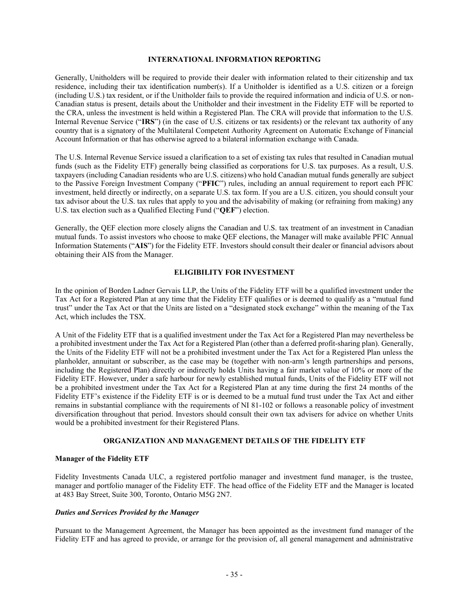#### **INTERNATIONAL INFORMATION REPORTING**

<span id="page-37-2"></span>Generally, Unitholders will be required to provide their dealer with information related to their citizenship and tax residence, including their tax identification number(s). If a Unitholder is identified as a U.S. citizen or a foreign (including U.S.) tax resident, or if the Unitholder fails to provide the required information and indicia of U.S. or non-Canadian status is present, details about the Unitholder and their investment in the Fidelity ETF will be reported to the CRA, unless the investment is held within a Registered Plan. The CRA will provide that information to the U.S. Internal Revenue Service ("**IRS**") (in the case of U.S. citizens or tax residents) or the relevant tax authority of any country that is a signatory of the Multilateral Competent Authority Agreement on Automatic Exchange of Financial Account Information or that has otherwise agreed to a bilateral information exchange with Canada.

The U.S. Internal Revenue Service issued a clarification to a set of existing tax rules that resulted in Canadian mutual funds (such as the Fidelity ETF) generally being classified as corporations for U.S. tax purposes. As a result, U.S. taxpayers (including Canadian residents who are U.S. citizens) who hold Canadian mutual funds generally are subject to the Passive Foreign Investment Company ("**PFIC**") rules, including an annual requirement to report each PFIC investment, held directly or indirectly, on a separate U.S. tax form. If you are a U.S. citizen, you should consult your tax advisor about the U.S. tax rules that apply to you and the advisability of making (or refraining from making) any U.S. tax election such as a Qualified Electing Fund ("**QEF**") election.

Generally, the QEF election more closely aligns the Canadian and U.S. tax treatment of an investment in Canadian mutual funds. To assist investors who choose to make QEF elections, the Manager will make available PFIC Annual Information Statements ("**AIS**") for the Fidelity ETF. Investors should consult their dealer or financial advisors about obtaining their AIS from the Manager.

#### **ELIGIBILITY FOR INVESTMENT**

<span id="page-37-3"></span>In the opinion of Borden Ladner Gervais LLP, the Units of the Fidelity ETF will be a qualified investment under the Tax Act for a Registered Plan at any time that the Fidelity ETF qualifies or is deemed to qualify as a "mutual fund trust" under the Tax Act or that the Units are listed on a "designated stock exchange" within the meaning of the Tax Act, which includes the TSX.

A Unit of the Fidelity ETF that is a qualified investment under the Tax Act for a Registered Plan may nevertheless be a prohibited investment under the Tax Act for a Registered Plan (other than a deferred profit-sharing plan). Generally, the Units of the Fidelity ETF will not be a prohibited investment under the Tax Act for a Registered Plan unless the planholder, annuitant or subscriber, as the case may be (together with non-arm's length partnerships and persons, including the Registered Plan) directly or indirectly holds Units having a fair market value of 10% or more of the Fidelity ETF. However, under a safe harbour for newly established mutual funds, Units of the Fidelity ETF will not be a prohibited investment under the Tax Act for a Registered Plan at any time during the first 24 months of the Fidelity ETF's existence if the Fidelity ETF is or is deemed to be a mutual fund trust under the Tax Act and either remains in substantial compliance with the requirements of NI 81-102 or follows a reasonable policy of investment diversification throughout that period. Investors should consult their own tax advisers for advice on whether Units would be a prohibited investment for their Registered Plans.

### **ORGANIZATION AND MANAGEMENT DETAILS OF THE FIDELITY ETF**

### <span id="page-37-1"></span><span id="page-37-0"></span>**Manager of the Fidelity ETF**

Fidelity Investments Canada ULC, a registered portfolio manager and investment fund manager, is the trustee, manager and portfolio manager of the Fidelity ETF. The head office of the Fidelity ETF and the Manager is located at 483 Bay Street, Suite 300, Toronto, Ontario M5G 2N7.

### *Duties and Services Provided by the Manager*

Pursuant to the Management Agreement, the Manager has been appointed as the investment fund manager of the Fidelity ETF and has agreed to provide, or arrange for the provision of, all general management and administrative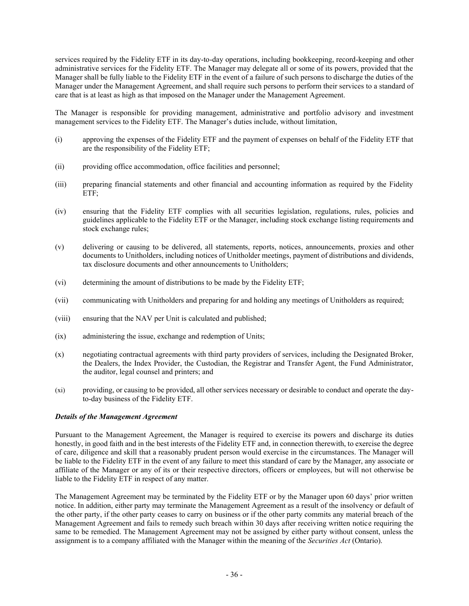services required by the Fidelity ETF in its day-to-day operations, including bookkeeping, record-keeping and other administrative services for the Fidelity ETF. The Manager may delegate all or some of its powers, provided that the Manager shall be fully liable to the Fidelity ETF in the event of a failure of such persons to discharge the duties of the Manager under the Management Agreement, and shall require such persons to perform their services to a standard of care that is at least as high as that imposed on the Manager under the Management Agreement.

The Manager is responsible for providing management, administrative and portfolio advisory and investment management services to the Fidelity ETF. The Manager's duties include, without limitation,

- (i) approving the expenses of the Fidelity ETF and the payment of expenses on behalf of the Fidelity ETF that are the responsibility of the Fidelity ETF;
- (ii) providing office accommodation, office facilities and personnel;
- (iii) preparing financial statements and other financial and accounting information as required by the Fidelity ETF;
- (iv) ensuring that the Fidelity ETF complies with all securities legislation, regulations, rules, policies and guidelines applicable to the Fidelity ETF or the Manager, including stock exchange listing requirements and stock exchange rules;
- (v) delivering or causing to be delivered, all statements, reports, notices, announcements, proxies and other documents to Unitholders, including notices of Unitholder meetings, payment of distributions and dividends, tax disclosure documents and other announcements to Unitholders;
- (vi) determining the amount of distributions to be made by the Fidelity ETF;
- (vii) communicating with Unitholders and preparing for and holding any meetings of Unitholders as required;
- (viii) ensuring that the NAV per Unit is calculated and published;
- (ix) administering the issue, exchange and redemption of Units;
- (x) negotiating contractual agreements with third party providers of services, including the Designated Broker, the Dealers, the Index Provider, the Custodian, the Registrar and Transfer Agent, the Fund Administrator, the auditor, legal counsel and printers; and
- (xi) providing, or causing to be provided, all other services necessary or desirable to conduct and operate the dayto-day business of the Fidelity ETF.

### *Details of the Management Agreement*

Pursuant to the Management Agreement, the Manager is required to exercise its powers and discharge its duties honestly, in good faith and in the best interests of the Fidelity ETF and, in connection therewith, to exercise the degree of care, diligence and skill that a reasonably prudent person would exercise in the circumstances. The Manager will be liable to the Fidelity ETF in the event of any failure to meet this standard of care by the Manager, any associate or affiliate of the Manager or any of its or their respective directors, officers or employees, but will not otherwise be liable to the Fidelity ETF in respect of any matter.

The Management Agreement may be terminated by the Fidelity ETF or by the Manager upon 60 days' prior written notice. In addition, either party may terminate the Management Agreement as a result of the insolvency or default of the other party, if the other party ceases to carry on business or if the other party commits any material breach of the Management Agreement and fails to remedy such breach within 30 days after receiving written notice requiring the same to be remedied. The Management Agreement may not be assigned by either party without consent, unless the assignment is to a company affiliated with the Manager within the meaning of the *Securities Act* (Ontario).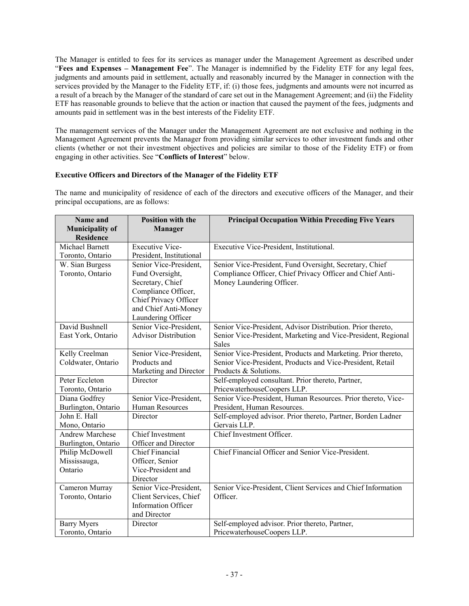The Manager is entitled to fees for its services as manager under the Management Agreement as described under "**[Fees and Expenses](#page-17-0) – [Management Fee](#page-17-1)**". The Manager is indemnified by the Fidelity ETF for any legal fees, judgments and amounts paid in settlement, actually and reasonably incurred by the Manager in connection with the services provided by the Manager to the Fidelity ETF, if: (i) those fees, judgments and amounts were not incurred as a result of a breach by the Manager of the standard of care set out in the Management Agreement; and (ii) the Fidelity ETF has reasonable grounds to believe that the action or inaction that caused the payment of the fees, judgments and amounts paid in settlement was in the best interests of the Fidelity ETF.

The management services of the Manager under the Management Agreement are not exclusive and nothing in the Management Agreement prevents the Manager from providing similar services to other investment funds and other clients (whether or not their investment objectives and policies are similar to those of the Fidelity ETF) or from engaging in other activities. See "**[Conflicts of Interest](#page-40-1)**" below.

# **Executive Officers and Directors of the Manager of the Fidelity ETF**

The name and municipality of residence of each of the directors and executive officers of the Manager, and their principal occupations, are as follows:

| Name and               | <b>Position with the</b>    | <b>Principal Occupation Within Preceding Five Years</b>       |
|------------------------|-----------------------------|---------------------------------------------------------------|
| <b>Municipality of</b> | <b>Manager</b>              |                                                               |
| <b>Residence</b>       |                             |                                                               |
| <b>Michael Barnett</b> | <b>Executive Vice-</b>      | Executive Vice-President, Institutional.                      |
| Toronto, Ontario       | President, Institutional    |                                                               |
| W. Sian Burgess        | Senior Vice-President,      | Senior Vice-President, Fund Oversight, Secretary, Chief       |
| Toronto, Ontario       | Fund Oversight,             | Compliance Officer, Chief Privacy Officer and Chief Anti-     |
|                        | Secretary, Chief            | Money Laundering Officer.                                     |
|                        | Compliance Officer,         |                                                               |
|                        | Chief Privacy Officer       |                                                               |
|                        | and Chief Anti-Money        |                                                               |
|                        | Laundering Officer          |                                                               |
| David Bushnell         | Senior Vice-President,      | Senior Vice-President, Advisor Distribution. Prior thereto,   |
| East York, Ontario     | <b>Advisor Distribution</b> | Senior Vice-President, Marketing and Vice-President, Regional |
|                        |                             | <b>Sales</b>                                                  |
| Kelly Creelman         | Senior Vice-President,      | Senior Vice-President, Products and Marketing. Prior thereto, |
| Coldwater, Ontario     | Products and                | Senior Vice-President, Products and Vice-President, Retail    |
|                        | Marketing and Director      | Products & Solutions.                                         |
| Peter Eccleton         | Director                    | Self-employed consultant. Prior thereto, Partner,             |
| Toronto, Ontario       |                             | PricewaterhouseCoopers LLP.                                   |
| Diana Godfrey          | Senior Vice-President,      | Senior Vice-President, Human Resources. Prior thereto, Vice-  |
| Burlington, Ontario    | Human Resources             | President, Human Resources.                                   |
| John E. Hall           | Director                    | Self-employed advisor. Prior thereto, Partner, Borden Ladner  |
| Mono, Ontario          |                             | Gervais LLP.                                                  |
| <b>Andrew Marchese</b> | <b>Chief Investment</b>     | Chief Investment Officer.                                     |
| Burlington, Ontario    | Officer and Director        |                                                               |
| Philip McDowell        | <b>Chief Financial</b>      | Chief Financial Officer and Senior Vice-President.            |
| Mississauga,           | Officer, Senior             |                                                               |
| Ontario                | Vice-President and          |                                                               |
|                        | Director                    |                                                               |
| Cameron Murray         | Senior Vice-President,      | Senior Vice-President, Client Services and Chief Information  |
| Toronto, Ontario       | Client Services, Chief      | Officer.                                                      |
|                        | <b>Information Officer</b>  |                                                               |
|                        | and Director                |                                                               |
| <b>Barry Myers</b>     | Director                    | Self-employed advisor. Prior thereto, Partner,                |
| Toronto, Ontario       |                             | PricewaterhouseCoopers LLP.                                   |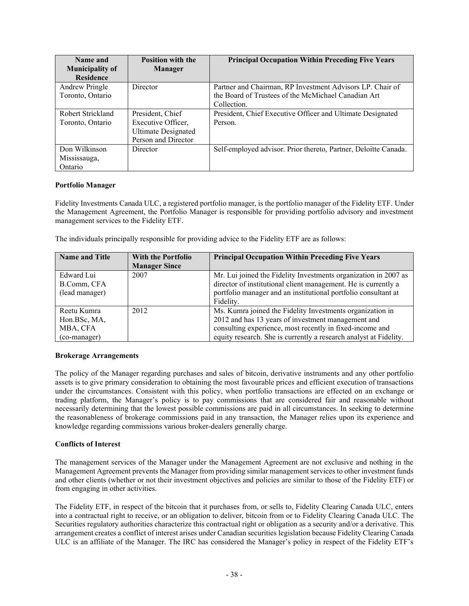| Name and               | <b>Position with the</b>   | <b>Principal Occupation Within Preceding Five Years</b>         |
|------------------------|----------------------------|-----------------------------------------------------------------|
| <b>Municipality of</b> | <b>Manager</b>             |                                                                 |
| <b>Residence</b>       |                            |                                                                 |
| Andrew Pringle         | Director                   | Partner and Chairman, RP Investment Advisors LP. Chair of       |
| Toronto, Ontario       |                            | the Board of Trustees of the McMichael Canadian Art             |
|                        |                            | Collection.                                                     |
| Robert Strickland      | President, Chief           | President, Chief Executive Officer and Ultimate Designated      |
| Toronto, Ontario       | Executive Officer,         | Person.                                                         |
|                        | <b>Ultimate Designated</b> |                                                                 |
|                        | Person and Director        |                                                                 |
| Don Wilkinson          | Director                   | Self-employed advisor. Prior thereto, Partner, Deloitte Canada. |
| Mississauga,           |                            |                                                                 |
| Ontario                |                            |                                                                 |

### <span id="page-40-0"></span>**Portfolio Manager**

Fidelity Investments Canada ULC, a registered portfolio manager, is the portfolio manager of the Fidelity ETF. Under the Management Agreement, the Portfolio Manager is responsible for providing portfolio advisory and investment management services to the Fidelity ETF.

The individuals principally responsible for providing advice to the Fidelity ETF are as follows:

| <b>Name and Title</b> | <b>With the Portfolio</b> | <b>Principal Occupation Within Preceding Five Years</b>           |  |
|-----------------------|---------------------------|-------------------------------------------------------------------|--|
|                       | <b>Manager Since</b>      |                                                                   |  |
| Edward Lui            | 2007                      | Mr. Lui joined the Fidelity Investments organization in 2007 as   |  |
| B.Comm, CFA           |                           | director of institutional client management. He is currently a    |  |
| (lead manager)        |                           | portfolio manager and an institutional portfolio consultant at    |  |
|                       |                           | Fidelity.                                                         |  |
| Reetu Kumra           | 2012                      | Ms. Kumra joined the Fidelity Investments organization in         |  |
| Hon.BSc, MA,          |                           | 2012 and has 13 years of investment management and                |  |
| MBA, CFA              |                           | consulting experience, most recently in fixed-income and          |  |
| (co-manager)          |                           | equity research. She is currently a research analyst at Fidelity. |  |

### **Brokerage Arrangements**

The policy of the Manager regarding purchases and sales of bitcoin, derivative instruments and any other portfolio assets is to give primary consideration to obtaining the most favourable prices and efficient execution of transactions under the circumstances. Consistent with this policy, when portfolio transactions are effected on an exchange or trading platform, the Manager's policy is to pay commissions that are considered fair and reasonable without necessarily determining that the lowest possible commissions are paid in all circumstances. In seeking to determine the reasonableness of brokerage commissions paid in any transaction, the Manager relies upon its experience and knowledge regarding commissions various broker-dealers generally charge.

### <span id="page-40-1"></span>**Conflicts of Interest**

The management services of the Manager under the Management Agreement are not exclusive and nothing in the Management Agreement prevents the Manager from providing similar management services to other investment funds and other clients (whether or not their investment objectives and policies are similar to those of the Fidelity ETF) or from engaging in other activities.

The Fidelity ETF, in respect of the bitcoin that it purchases from, or sells to, Fidelity Clearing Canada ULC, enters into a contractual right to receive, or an obligation to deliver, bitcoin from or to Fidelity Clearing Canada ULC. The Securities regulatory authorities characterize this contractual right or obligation as a security and/or a derivative. This arrangement creates a conflict of interest arises under Canadian securities legislation because Fidelity Clearing Canada ULC is an affiliate of the Manager. The IRC has considered the Manager's policy in respect of the Fidelity ETF's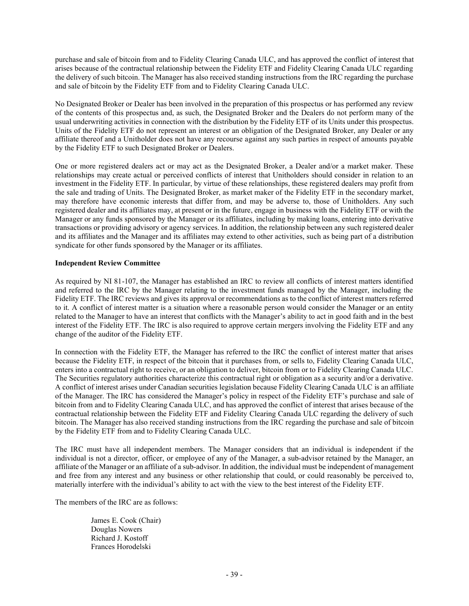purchase and sale of bitcoin from and to Fidelity Clearing Canada ULC, and has approved the conflict of interest that arises because of the contractual relationship between the Fidelity ETF and Fidelity Clearing Canada ULC regarding the delivery of such bitcoin. The Manager has also received standing instructions from the IRC regarding the purchase and sale of bitcoin by the Fidelity ETF from and to Fidelity Clearing Canada ULC.

No Designated Broker or Dealer has been involved in the preparation of this prospectus or has performed any review of the contents of this prospectus and, as such, the Designated Broker and the Dealers do not perform many of the usual underwriting activities in connection with the distribution by the Fidelity ETF of its Units under this prospectus. Units of the Fidelity ETF do not represent an interest or an obligation of the Designated Broker, any Dealer or any affiliate thereof and a Unitholder does not have any recourse against any such parties in respect of amounts payable by the Fidelity ETF to such Designated Broker or Dealers.

One or more registered dealers act or may act as the Designated Broker, a Dealer and/or a market maker. These relationships may create actual or perceived conflicts of interest that Unitholders should consider in relation to an investment in the Fidelity ETF. In particular, by virtue of these relationships, these registered dealers may profit from the sale and trading of Units. The Designated Broker, as market maker of the Fidelity ETF in the secondary market, may therefore have economic interests that differ from, and may be adverse to, those of Unitholders. Any such registered dealer and its affiliates may, at present or in the future, engage in business with the Fidelity ETF or with the Manager or any funds sponsored by the Manager or its affiliates, including by making loans, entering into derivative transactions or providing advisory or agency services. In addition, the relationship between any such registered dealer and its affiliates and the Manager and its affiliates may extend to other activities, such as being part of a distribution syndicate for other funds sponsored by the Manager or its affiliates.

### **Independent Review Committee**

As required by NI 81-107, the Manager has established an IRC to review all conflicts of interest matters identified and referred to the IRC by the Manager relating to the investment funds managed by the Manager, including the Fidelity ETF. The IRC reviews and gives its approval or recommendations as to the conflict of interest matters referred to it. A conflict of interest matter is a situation where a reasonable person would consider the Manager or an entity related to the Manager to have an interest that conflicts with the Manager's ability to act in good faith and in the best interest of the Fidelity ETF. The IRC is also required to approve certain mergers involving the Fidelity ETF and any change of the auditor of the Fidelity ETF.

In connection with the Fidelity ETF, the Manager has referred to the IRC the conflict of interest matter that arises because the Fidelity ETF, in respect of the bitcoin that it purchases from, or sells to, Fidelity Clearing Canada ULC, enters into a contractual right to receive, or an obligation to deliver, bitcoin from or to Fidelity Clearing Canada ULC. The Securities regulatory authorities characterize this contractual right or obligation as a security and/or a derivative. A conflict of interest arises under Canadian securities legislation because Fidelity Clearing Canada ULC is an affiliate of the Manager. The IRC has considered the Manager's policy in respect of the Fidelity ETF's purchase and sale of bitcoin from and to Fidelity Clearing Canada ULC, and has approved the conflict of interest that arises because of the contractual relationship between the Fidelity ETF and Fidelity Clearing Canada ULC regarding the delivery of such bitcoin. The Manager has also received standing instructions from the IRC regarding the purchase and sale of bitcoin by the Fidelity ETF from and to Fidelity Clearing Canada ULC.

The IRC must have all independent members. The Manager considers that an individual is independent if the individual is not a director, officer, or employee of any of the Manager, a sub-advisor retained by the Manager, an affiliate of the Manager or an affiliate of a sub-advisor. In addition, the individual must be independent of management and free from any interest and any business or other relationship that could, or could reasonably be perceived to, materially interfere with the individual's ability to act with the view to the best interest of the Fidelity ETF.

The members of the IRC are as follows:

James E. Cook (Chair) Douglas Nowers Richard J. Kostoff Frances Horodelski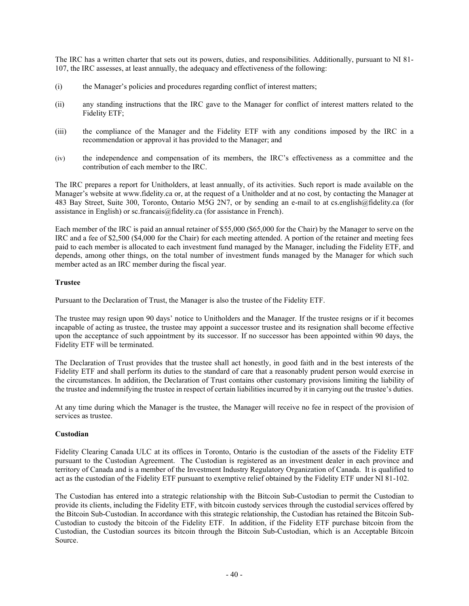The IRC has a written charter that sets out its powers, duties, and responsibilities. Additionally, pursuant to NI 81- 107, the IRC assesses, at least annually, the adequacy and effectiveness of the following:

- (i) the Manager's policies and procedures regarding conflict of interest matters;
- (ii) any standing instructions that the IRC gave to the Manager for conflict of interest matters related to the Fidelity ETF;
- (iii) the compliance of the Manager and the Fidelity ETF with any conditions imposed by the IRC in a recommendation or approval it has provided to the Manager; and
- (iv) the independence and compensation of its members, the IRC's effectiveness as a committee and the contribution of each member to the IRC.

The IRC prepares a report for Unitholders, at least annually, of its activities. Such report is made available on the Manager's website at www.fidelity.ca or, at the request of a Unitholder and at no cost, by contacting the Manager at 483 Bay Street, Suite 300, Toronto, Ontario M5G 2N7, or by sending an e-mail to at cs.english@fidelity.ca (for assistance in English) or sc.francais@fidelity.ca (for assistance in French).

Each member of the IRC is paid an annual retainer of \$55,000 (\$65,000 for the Chair) by the Manager to serve on the IRC and a fee of \$2,500 (\$4,000 for the Chair) for each meeting attended. A portion of the retainer and meeting fees paid to each member is allocated to each investment fund managed by the Manager, including the Fidelity ETF, and depends, among other things, on the total number of investment funds managed by the Manager for which such member acted as an IRC member during the fiscal year.

### <span id="page-42-0"></span>**Trustee**

Pursuant to the Declaration of Trust, the Manager is also the trustee of the Fidelity ETF.

The trustee may resign upon 90 days' notice to Unitholders and the Manager. If the trustee resigns or if it becomes incapable of acting as trustee, the trustee may appoint a successor trustee and its resignation shall become effective upon the acceptance of such appointment by its successor. If no successor has been appointed within 90 days, the Fidelity ETF will be terminated.

The Declaration of Trust provides that the trustee shall act honestly, in good faith and in the best interests of the Fidelity ETF and shall perform its duties to the standard of care that a reasonably prudent person would exercise in the circumstances. In addition, the Declaration of Trust contains other customary provisions limiting the liability of the trustee and indemnifying the trustee in respect of certain liabilities incurred by it in carrying out the trustee's duties.

At any time during which the Manager is the trustee, the Manager will receive no fee in respect of the provision of services as trustee.

### **Custodian**

Fidelity Clearing Canada ULC at its offices in Toronto, Ontario is the custodian of the assets of the Fidelity ETF pursuant to the Custodian Agreement. The Custodian is registered as an investment dealer in each province and territory of Canada and is a member of the Investment Industry Regulatory Organization of Canada. It is qualified to act as the custodian of the Fidelity ETF pursuant to exemptive relief obtained by the Fidelity ETF under NI 81-102.

The Custodian has entered into a strategic relationship with the Bitcoin Sub-Custodian to permit the Custodian to provide its clients, including the Fidelity ETF, with bitcoin custody services through the custodial services offered by the Bitcoin Sub-Custodian. In accordance with this strategic relationship, the Custodian has retained the Bitcoin Sub-Custodian to custody the bitcoin of the Fidelity ETF. In addition, if the Fidelity ETF purchase bitcoin from the Custodian, the Custodian sources its bitcoin through the Bitcoin Sub-Custodian, which is an Acceptable Bitcoin Source.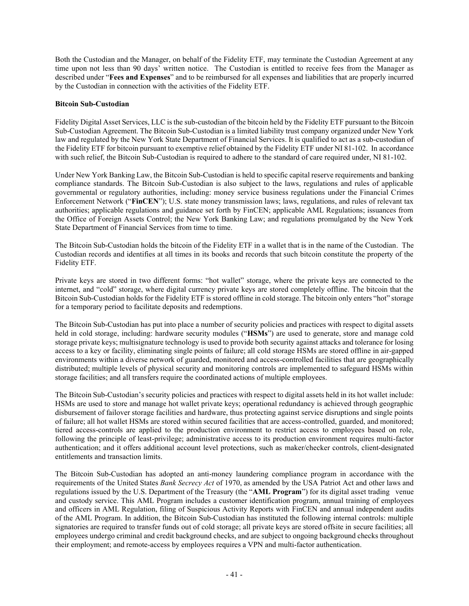Both the Custodian and the Manager, on behalf of the Fidelity ETF, may terminate the Custodian Agreement at any time upon not less than 90 days' written notice. The Custodian is entitled to receive fees from the Manager as described under "**[Fees and Expenses](#page-17-0)**" and to be reimbursed for all expenses and liabilities that are properly incurred by the Custodian in connection with the activities of the Fidelity ETF.

#### **Bitcoin Sub-Custodian**

Fidelity Digital Asset Services, LLC is the sub-custodian of the bitcoin held by the Fidelity ETF pursuant to the Bitcoin Sub-Custodian Agreement. The Bitcoin Sub-Custodian is a limited liability trust company organized under New York law and regulated by the New York State Department of Financial Services. It is qualified to act as a sub-custodian of the Fidelity ETF for bitcoin pursuant to exemptive relief obtained by the Fidelity ETF under NI 81-102. In accordance with such relief, the Bitcoin Sub-Custodian is required to adhere to the standard of care required under, NI 81-102.

Under New York Banking Law, the Bitcoin Sub-Custodian is held to specific capital reserve requirements and banking compliance standards. The Bitcoin Sub-Custodian is also subject to the laws, regulations and rules of applicable governmental or regulatory authorities, including: money service business regulations under the Financial Crimes Enforcement Network ("**FinCEN**"); U.S. state money transmission laws; laws, regulations, and rules of relevant tax authorities; applicable regulations and guidance set forth by FinCEN; applicable AML Regulations; issuances from the Office of Foreign Assets Control; the New York Banking Law; and regulations promulgated by the New York State Department of Financial Services from time to time.

The Bitcoin Sub-Custodian holds the bitcoin of the Fidelity ETF in a wallet that is in the name of the Custodian. The Custodian records and identifies at all times in its books and records that such bitcoin constitute the property of the Fidelity ETF.

Private keys are stored in two different forms: "hot wallet" storage, where the private keys are connected to the internet, and "cold" storage, where digital currency private keys are stored completely offline. The bitcoin that the Bitcoin Sub-Custodian holds for the Fidelity ETF is stored offline in cold storage. The bitcoin only enters "hot" storage for a temporary period to facilitate deposits and redemptions.

The Bitcoin Sub-Custodian has put into place a number of security policies and practices with respect to digital assets held in cold storage, including: hardware security modules ("**HSMs**") are used to generate, store and manage cold storage private keys; multisignature technology is used to provide both security against attacks and tolerance for losing access to a key or facility, eliminating single points of failure; all cold storage HSMs are stored offline in air-gapped environments within a diverse network of guarded, monitored and access-controlled facilities that are geographically distributed; multiple levels of physical security and monitoring controls are implemented to safeguard HSMs within storage facilities; and all transfers require the coordinated actions of multiple employees.

The Bitcoin Sub-Custodian's security policies and practices with respect to digital assets held in its hot wallet include: HSMs are used to store and manage hot wallet private keys; operational redundancy is achieved through geographic disbursement of failover storage facilities and hardware, thus protecting against service disruptions and single points of failure; all hot wallet HSMs are stored within secured facilities that are access-controlled, guarded, and monitored; tiered access-controls are applied to the production environment to restrict access to employees based on role, following the principle of least-privilege; administrative access to its production environment requires multi-factor authentication; and it offers additional account level protections, such as maker/checker controls, client-designated entitlements and transaction limits.

The Bitcoin Sub-Custodian has adopted an anti-money laundering compliance program in accordance with the requirements of the United States *Bank Secrecy Act* of 1970, as amended by the USA Patriot Act and other laws and regulations issued by the U.S. Department of the Treasury (the "**AML Program**") for its digital asset trading venue and custody service. This AML Program includes a customer identification program, annual training of employees and officers in AML Regulation, filing of Suspicious Activity Reports with FinCEN and annual independent audits of the AML Program. In addition, the Bitcoin Sub-Custodian has instituted the following internal controls: multiple signatories are required to transfer funds out of cold storage; all private keys are stored offsite in secure facilities; all employees undergo criminal and credit background checks, and are subject to ongoing background checks throughout their employment; and remote-access by employees requires a VPN and multi-factor authentication.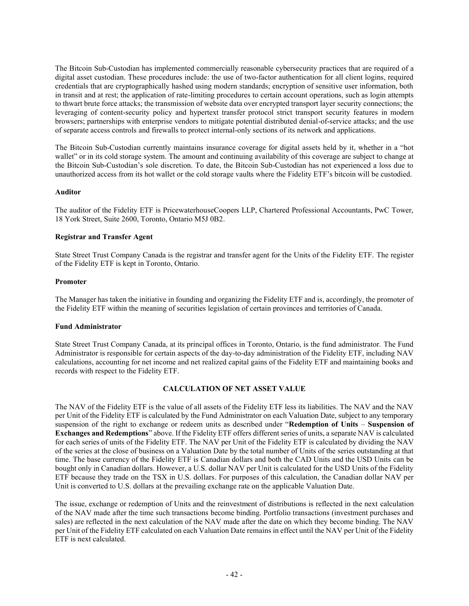The Bitcoin Sub-Custodian has implemented commercially reasonable cybersecurity practices that are required of a digital asset custodian. These procedures include: the use of two-factor authentication for all client logins, required credentials that are cryptographically hashed using modern standards; encryption of sensitive user information, both in transit and at rest; the application of rate-limiting procedures to certain account operations, such as login attempts to thwart brute force attacks; the transmission of website data over encrypted transport layer security connections; the leveraging of content-security policy and hypertext transfer protocol strict transport security features in modern browsers; partnerships with enterprise vendors to mitigate potential distributed denial-of-service attacks; and the use of separate access controls and firewalls to protect internal-only sections of its network and applications.

The Bitcoin Sub-Custodian currently maintains insurance coverage for digital assets held by it, whether in a "hot wallet" or in its cold storage system. The amount and continuing availability of this coverage are subject to change at the Bitcoin Sub-Custodian's sole discretion. To date, the Bitcoin Sub-Custodian has not experienced a loss due to unauthorized access from its hot wallet or the cold storage vaults where the Fidelity ETF's bitcoin will be custodied.

#### <span id="page-44-3"></span>**Auditor**

The auditor of the Fidelity ETF is PricewaterhouseCoopers LLP, Chartered Professional Accountants, PwC Tower, 18 York Street, Suite 2600, Toronto, Ontario M5J 0B2.

#### <span id="page-44-2"></span>**Registrar and Transfer Agent**

State Street Trust Company Canada is the registrar and transfer agent for the Units of the Fidelity ETF. The register of the Fidelity ETF is kept in Toronto, Ontario.

#### <span id="page-44-1"></span>**Promoter**

The Manager has taken the initiative in founding and organizing the Fidelity ETF and is, accordingly, the promoter of the Fidelity ETF within the meaning of securities legislation of certain provinces and territories of Canada.

### <span id="page-44-4"></span>**Fund Administrator**

State Street Trust Company Canada, at its principal offices in Toronto, Ontario, is the fund administrator. The Fund Administrator is responsible for certain aspects of the day-to-day administration of the Fidelity ETF, including NAV calculations, accounting for net income and net realized capital gains of the Fidelity ETF and maintaining books and records with respect to the Fidelity ETF.

### **CALCULATION OF NET ASSET VALUE**

<span id="page-44-0"></span>The NAV of the Fidelity ETF is the value of all assets of the Fidelity ETF less its liabilities. The NAV and the NAV per Unit of the Fidelity ETF is calculated by the Fund Administrator on each Valuation Date, subject to any temporary suspension of the right to exchange or redeem units as described under "**[Redemption of Units](#page-31-0)** – **[Suspension of](#page-32-0)  [Exchanges and Redemptions](#page-32-0)**" above. If the Fidelity ETF offers different series of units, a separate NAV is calculated for each series of units of the Fidelity ETF. The NAV per Unit of the Fidelity ETF is calculated by dividing the NAV of the series at the close of business on a Valuation Date by the total number of Units of the series outstanding at that time. The base currency of the Fidelity ETF is Canadian dollars and both the CAD Units and the USD Units can be bought only in Canadian dollars. However, a U.S. dollar NAV per Unit is calculated for the USD Units of the Fidelity ETF because they trade on the TSX in U.S. dollars. For purposes of this calculation, the Canadian dollar NAV per Unit is converted to U.S. dollars at the prevailing exchange rate on the applicable Valuation Date.

The issue, exchange or redemption of Units and the reinvestment of distributions is reflected in the next calculation of the NAV made after the time such transactions become binding. Portfolio transactions (investment purchases and sales) are reflected in the next calculation of the NAV made after the date on which they become binding. The NAV per Unit of the Fidelity ETF calculated on each Valuation Date remains in effect until the NAV per Unit of the Fidelity ETF is next calculated.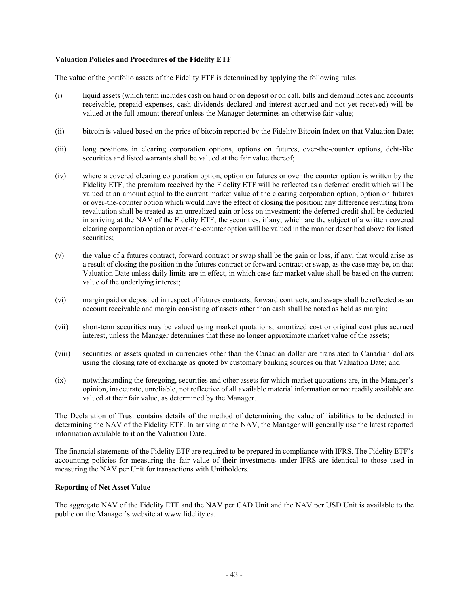### **Valuation Policies and Procedures of the Fidelity ETF**

The value of the portfolio assets of the Fidelity ETF is determined by applying the following rules:

- (i) liquid assets (which term includes cash on hand or on deposit or on call, bills and demand notes and accounts receivable, prepaid expenses, cash dividends declared and interest accrued and not yet received) will be valued at the full amount thereof unless the Manager determines an otherwise fair value;
- (ii) bitcoin is valued based on the price of bitcoin reported by the Fidelity Bitcoin Index on that Valuation Date;
- (iii) long positions in clearing corporation options, options on futures, over-the-counter options, debt-like securities and listed warrants shall be valued at the fair value thereof;
- (iv) where a covered clearing corporation option, option on futures or over the counter option is written by the Fidelity ETF, the premium received by the Fidelity ETF will be reflected as a deferred credit which will be valued at an amount equal to the current market value of the clearing corporation option, option on futures or over-the-counter option which would have the effect of closing the position; any difference resulting from revaluation shall be treated as an unrealized gain or loss on investment; the deferred credit shall be deducted in arriving at the NAV of the Fidelity ETF; the securities, if any, which are the subject of a written covered clearing corporation option or over-the-counter option will be valued in the manner described above for listed securities:
- (v) the value of a futures contract, forward contract or swap shall be the gain or loss, if any, that would arise as a result of closing the position in the futures contract or forward contract or swap, as the case may be, on that Valuation Date unless daily limits are in effect, in which case fair market value shall be based on the current value of the underlying interest;
- (vi) margin paid or deposited in respect of futures contracts, forward contracts, and swaps shall be reflected as an account receivable and margin consisting of assets other than cash shall be noted as held as margin;
- (vii) short-term securities may be valued using market quotations, amortized cost or original cost plus accrued interest, unless the Manager determines that these no longer approximate market value of the assets;
- (viii) securities or assets quoted in currencies other than the Canadian dollar are translated to Canadian dollars using the closing rate of exchange as quoted by customary banking sources on that Valuation Date; and
- (ix) notwithstanding the foregoing, securities and other assets for which market quotations are, in the Manager's opinion, inaccurate, unreliable, not reflective of all available material information or not readily available are valued at their fair value, as determined by the Manager.

The Declaration of Trust contains details of the method of determining the value of liabilities to be deducted in determining the NAV of the Fidelity ETF. In arriving at the NAV, the Manager will generally use the latest reported information available to it on the Valuation Date.

The financial statements of the Fidelity ETF are required to be prepared in compliance with IFRS. The Fidelity ETF's accounting policies for measuring the fair value of their investments under IFRS are identical to those used in measuring the NAV per Unit for transactions with Unitholders.

### **Reporting of Net Asset Value**

The aggregate NAV of the Fidelity ETF and the NAV per CAD Unit and the NAV per USD Unit is available to the public on the Manager's website at www.fidelity.ca.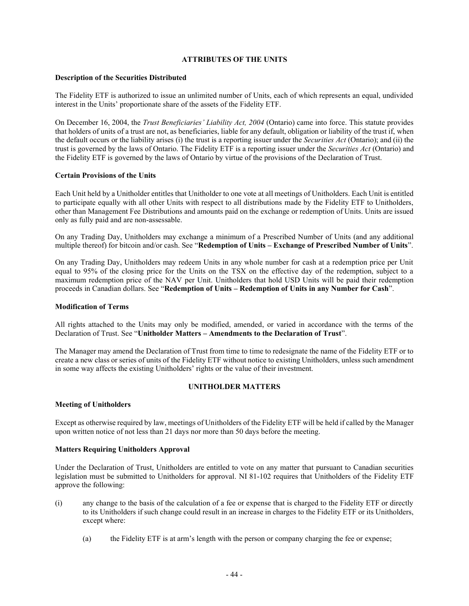### **ATTRIBUTES OF THE UNITS**

#### <span id="page-46-0"></span>**Description of the Securities Distributed**

The Fidelity ETF is authorized to issue an unlimited number of Units, each of which represents an equal, undivided interest in the Units' proportionate share of the assets of the Fidelity ETF.

On December 16, 2004, the *Trust Beneficiaries' Liability Act, 2004* (Ontario) came into force. This statute provides that holders of units of a trust are not, as beneficiaries, liable for any default, obligation or liability of the trust if, when the default occurs or the liability arises (i) the trust is a reporting issuer under the *Securities Act* (Ontario); and (ii) the trust is governed by the laws of Ontario. The Fidelity ETF is a reporting issuer under the *Securities Act* (Ontario) and the Fidelity ETF is governed by the laws of Ontario by virtue of the provisions of the Declaration of Trust.

#### **Certain Provisions of the Units**

Each Unit held by a Unitholder entitles that Unitholder to one vote at all meetings of Unitholders. Each Unit is entitled to participate equally with all other Units with respect to all distributions made by the Fidelity ETF to Unitholders, other than Management Fee Distributions and amounts paid on the exchange or redemption of Units. Units are issued only as fully paid and are non-assessable.

On any Trading Day, Unitholders may exchange a minimum of a Prescribed Number of Units (and any additional multiple thereof) for bitcoin and/or cash. See "**[Redemption of Units](#page-31-0) – [Exchange of Prescribed Number of Units](#page-32-1)**".

On any Trading Day, Unitholders may redeem Units in any whole number for cash at a redemption price per Unit equal to 95% of the closing price for the Units on the TSX on the effective day of the redemption, subject to a maximum redemption price of the NAV per Unit. Unitholders that hold USD Units will be paid their redemption proceeds in Canadian dollars. See "**[Redemption of Units](#page-31-0) – Redemption of Units in any Number for Cash**".

#### **Modification of Terms**

All rights attached to the Units may only be modified, amended, or varied in accordance with the terms of the Declaration of Trust. See "**[Unitholder Matters](#page-46-1) – [Amendments to the Declaration of Trust](#page-48-1)**".

<span id="page-46-1"></span>The Manager may amend the Declaration of Trust from time to time to redesignate the name of the Fidelity ETF or to create a new class or series of units of the Fidelity ETF without notice to existing Unitholders, unless such amendment in some way affects the existing Unitholders' rights or the value of their investment.

### **UNITHOLDER MATTERS**

#### **Meeting of Unitholders**

Except as otherwise required by law, meetings of Unitholders of the Fidelity ETF will be held if called by the Manager upon written notice of not less than 21 days nor more than 50 days before the meeting.

#### <span id="page-46-2"></span>**Matters Requiring Unitholders Approval**

Under the Declaration of Trust, Unitholders are entitled to vote on any matter that pursuant to Canadian securities legislation must be submitted to Unitholders for approval. NI 81-102 requires that Unitholders of the Fidelity ETF approve the following:

- (i) any change to the basis of the calculation of a fee or expense that is charged to the Fidelity ETF or directly to its Unitholders if such change could result in an increase in charges to the Fidelity ETF or its Unitholders, except where:
	- (a) the Fidelity ETF is at arm's length with the person or company charging the fee or expense;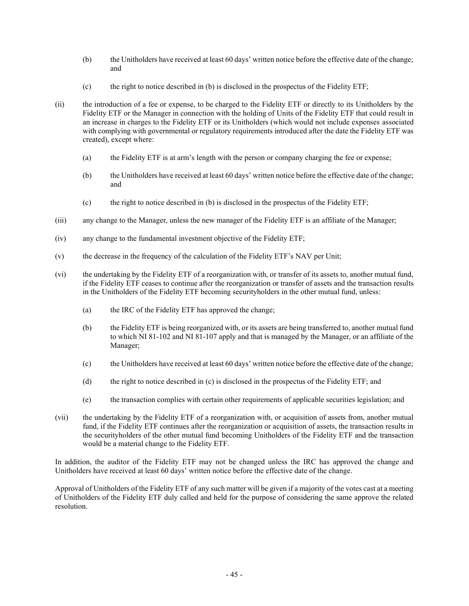- (b) the Unitholders have received at least 60 days' written notice before the effective date of the change; and
- (c) the right to notice described in (b) is disclosed in the prospectus of the Fidelity ETF;
- (ii) the introduction of a fee or expense, to be charged to the Fidelity ETF or directly to its Unitholders by the Fidelity ETF or the Manager in connection with the holding of Units of the Fidelity ETF that could result in an increase in charges to the Fidelity ETF or its Unitholders (which would not include expenses associated with complying with governmental or regulatory requirements introduced after the date the Fidelity ETF was created), except where:
	- (a) the Fidelity ETF is at arm's length with the person or company charging the fee or expense;
	- (b) the Unitholders have received at least 60 days' written notice before the effective date of the change; and
	- $(c)$  the right to notice described in (b) is disclosed in the prospectus of the Fidelity ETF;
- (iii) any change to the Manager, unless the new manager of the Fidelity ETF is an affiliate of the Manager;
- (iv) any change to the fundamental investment objective of the Fidelity ETF;
- (v) the decrease in the frequency of the calculation of the Fidelity ETF's NAV per Unit;
- (vi) the undertaking by the Fidelity ETF of a reorganization with, or transfer of its assets to, another mutual fund, if the Fidelity ETF ceases to continue after the reorganization or transfer of assets and the transaction results in the Unitholders of the Fidelity ETF becoming securityholders in the other mutual fund, unless:
	- (a) the IRC of the Fidelity ETF has approved the change;
	- (b) the Fidelity ETF is being reorganized with, or its assets are being transferred to, another mutual fund to which NI 81-102 and NI 81-107 apply and that is managed by the Manager, or an affiliate of the Manager;
	- (c) the Unitholders have received at least 60 days' written notice before the effective date of the change;
	- (d) the right to notice described in (c) is disclosed in the prospectus of the Fidelity ETF; and
	- (e) the transaction complies with certain other requirements of applicable securities legislation; and
- (vii) the undertaking by the Fidelity ETF of a reorganization with, or acquisition of assets from, another mutual fund, if the Fidelity ETF continues after the reorganization or acquisition of assets, the transaction results in the securityholders of the other mutual fund becoming Unitholders of the Fidelity ETF and the transaction would be a material change to the Fidelity ETF.

In addition, the auditor of the Fidelity ETF may not be changed unless the IRC has approved the change and Unitholders have received at least 60 days' written notice before the effective date of the change.

Approval of Unitholders of the Fidelity ETF of any such matter will be given if a majority of the votes cast at a meeting of Unitholders of the Fidelity ETF duly called and held for the purpose of considering the same approve the related resolution.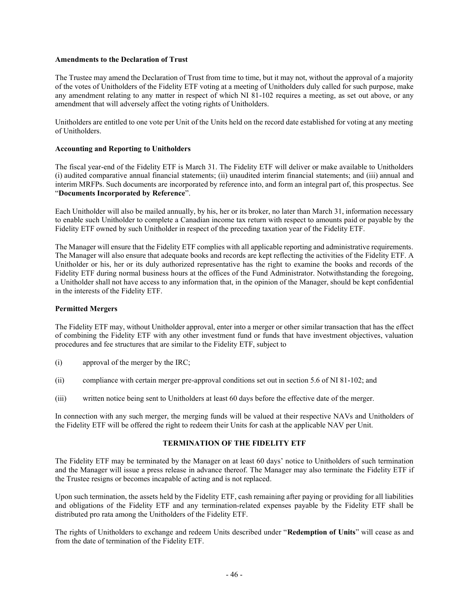#### <span id="page-48-1"></span>**Amendments to the Declaration of Trust**

The Trustee may amend the Declaration of Trust from time to time, but it may not, without the approval of a majority of the votes of Unitholders of the Fidelity ETF voting at a meeting of Unitholders duly called for such purpose, make any amendment relating to any matter in respect of which NI 81-102 requires a meeting, as set out above, or any amendment that will adversely affect the voting rights of Unitholders.

Unitholders are entitled to one vote per Unit of the Units held on the record date established for voting at any meeting of Unitholders.

### **Accounting and Reporting to Unitholders**

The fiscal year-end of the Fidelity ETF is March 31. The Fidelity ETF will deliver or make available to Unitholders (i) audited comparative annual financial statements; (ii) unaudited interim financial statements; and (iii) annual and interim MRFPs. Such documents are incorporated by reference into, and form an integral part of, this prospectus. See "**[Documents Incorporated by Reference](#page-50-0)**".

Each Unitholder will also be mailed annually, by his, her or its broker, no later than March 31, information necessary to enable such Unitholder to complete a Canadian income tax return with respect to amounts paid or payable by the Fidelity ETF owned by such Unitholder in respect of the preceding taxation year of the Fidelity ETF.

The Manager will ensure that the Fidelity ETF complies with all applicable reporting and administrative requirements. The Manager will also ensure that adequate books and records are kept reflecting the activities of the Fidelity ETF. A Unitholder or his, her or its duly authorized representative has the right to examine the books and records of the Fidelity ETF during normal business hours at the offices of the Fund Administrator. Notwithstanding the foregoing, a Unitholder shall not have access to any information that, in the opinion of the Manager, should be kept confidential in the interests of the Fidelity ETF.

### **Permitted Mergers**

The Fidelity ETF may, without Unitholder approval, enter into a merger or other similar transaction that has the effect of combining the Fidelity ETF with any other investment fund or funds that have investment objectives, valuation procedures and fee structures that are similar to the Fidelity ETF, subject to

- (i) approval of the merger by the IRC;
- (ii) compliance with certain merger pre-approval conditions set out in section 5.6 of NI 81-102; and
- (iii) written notice being sent to Unitholders at least 60 days before the effective date of the merger.

In connection with any such merger, the merging funds will be valued at their respective NAVs and Unitholders of the Fidelity ETF will be offered the right to redeem their Units for cash at the applicable NAV per Unit.

### **TERMINATION OF THE FIDELITY ETF**

<span id="page-48-0"></span>The Fidelity ETF may be terminated by the Manager on at least 60 days' notice to Unitholders of such termination and the Manager will issue a press release in advance thereof. The Manager may also terminate the Fidelity ETF if the Trustee resigns or becomes incapable of acting and is not replaced.

Upon such termination, the assets held by the Fidelity ETF, cash remaining after paying or providing for all liabilities and obligations of the Fidelity ETF and any termination-related expenses payable by the Fidelity ETF shall be distributed pro rata among the Unitholders of the Fidelity ETF.

The rights of Unitholders to exchange and redeem Units described under "**[Redemption of Units](#page-31-0)**" will cease as and from the date of termination of the Fidelity ETF.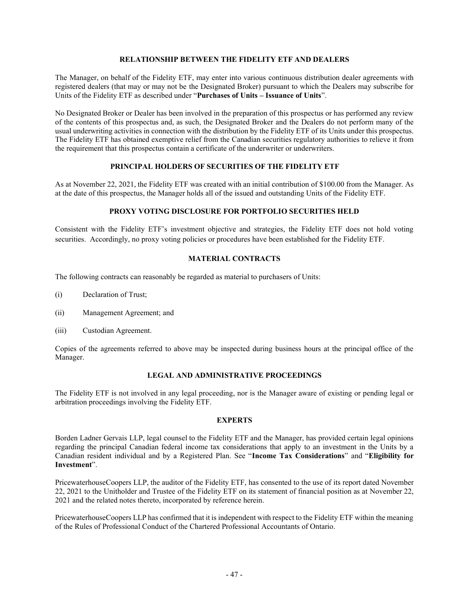### **RELATIONSHIP BETWEEN THE FIDELITY ETF AND DEALERS**

<span id="page-49-0"></span>The Manager, on behalf of the Fidelity ETF, may enter into various continuous distribution dealer agreements with registered dealers (that may or may not be the Designated Broker) pursuant to which the Dealers may subscribe for Units of the Fidelity ETF as described under "**[Purchases of Units](#page-29-1) – [Issuance of Units](#page-29-2)**".

No Designated Broker or Dealer has been involved in the preparation of this prospectus or has performed any review of the contents of this prospectus and, as such, the Designated Broker and the Dealers do not perform many of the usual underwriting activities in connection with the distribution by the Fidelity ETF of its Units under this prospectus. The Fidelity ETF has obtained exemptive relief from the Canadian securities regulatory authorities to relieve it from the requirement that this prospectus contain a certificate of the underwriter or underwriters.

### **PRINCIPAL HOLDERS OF SECURITIES OF THE FIDELITY ETF**

<span id="page-49-2"></span><span id="page-49-1"></span>As at November 22, 2021, the Fidelity ETF was created with an initial contribution of \$100.00 from the Manager. As at the date of this prospectus, the Manager holds all of the issued and outstanding Units of the Fidelity ETF.

# **PROXY VOTING DISCLOSURE FOR PORTFOLIO SECURITIES HELD**

<span id="page-49-3"></span>Consistent with the Fidelity ETF's investment objective and strategies, the Fidelity ETF does not hold voting securities. Accordingly, no proxy voting policies or procedures have been established for the Fidelity ETF.

#### **MATERIAL CONTRACTS**

The following contracts can reasonably be regarded as material to purchasers of Units:

- (i) Declaration of Trust;
- (ii) Management Agreement; and
- (iii) Custodian Agreement.

Copies of the agreements referred to above may be inspected during business hours at the principal office of the Manager.

#### **LEGAL AND ADMINISTRATIVE PROCEEDINGS**

<span id="page-49-4"></span>The Fidelity ETF is not involved in any legal proceeding, nor is the Manager aware of existing or pending legal or arbitration proceedings involving the Fidelity ETF.

### **EXPERTS**

<span id="page-49-5"></span>Borden Ladner Gervais LLP, legal counsel to the Fidelity ETF and the Manager, has provided certain legal opinions regarding the principal Canadian federal income tax considerations that apply to an investment in the Units by a Canadian resident individual and by a Registered Plan. See "**[Income Tax Considerations](#page-33-0)**" and "**[Eligibility for](#page-37-3)  [Investment](#page-37-3)**".

PricewaterhouseCoopers LLP, the auditor of the Fidelity ETF, has consented to the use of its report dated November 22, 2021 to the Unitholder and Trustee of the Fidelity ETF on its statement of financial position as at November 22, 2021 and the related notes thereto, incorporated by reference herein.

PricewaterhouseCoopers LLP has confirmed that it is independent with respect to the Fidelity ETF within the meaning of the Rules of Professional Conduct of the Chartered Professional Accountants of Ontario.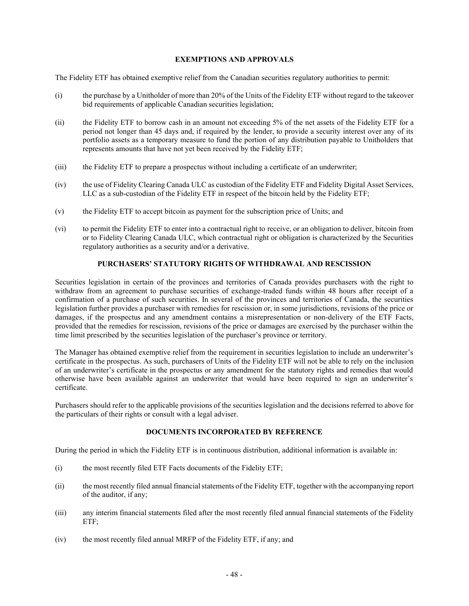### **EXEMPTIONS AND APPROVALS**

<span id="page-50-1"></span>The Fidelity ETF has obtained exemptive relief from the Canadian securities regulatory authorities to permit:

- (i) the purchase by a Unitholder of more than  $20\%$  of the Units of the Fidelity ETF without regard to the takeover bid requirements of applicable Canadian securities legislation;
- (ii) the Fidelity ETF to borrow cash in an amount not exceeding 5% of the net assets of the Fidelity ETF for a period not longer than 45 days and, if required by the lender, to provide a security interest over any of its portfolio assets as a temporary measure to fund the portion of any distribution payable to Unitholders that represents amounts that have not yet been received by the Fidelity ETF;
- (iii) the Fidelity ETF to prepare a prospectus without including a certificate of an underwriter;
- (iv) the use of Fidelity Clearing Canada ULC as custodian of the Fidelity ETF and Fidelity Digital Asset Services, LLC as a sub-custodian of the Fidelity ETF in respect of the bitcoin held by the Fidelity ETF;
- (v) the Fidelity ETF to accept bitcoin as payment for the subscription price of Units; and
- (vi) to permit the Fidelity ETF to enter into a contractual right to receive, or an obligation to deliver, bitcoin from or to Fidelity Clearing Canada ULC, which contractual right or obligation is characterized by the Securities regulatory authorities as a security and/or a derivative.

#### **PURCHASERS' STATUTORY RIGHTS OF WITHDRAWAL AND RESCISSION**

<span id="page-50-2"></span>Securities legislation in certain of the provinces and territories of Canada provides purchasers with the right to withdraw from an agreement to purchase securities of exchange-traded funds within 48 hours after receipt of a confirmation of a purchase of such securities. In several of the provinces and territories of Canada, the securities legislation further provides a purchaser with remedies for rescission or, in some jurisdictions, revisions of the price or damages, if the prospectus and any amendment contains a misrepresentation or non-delivery of the ETF Facts, provided that the remedies for rescission, revisions of the price or damages are exercised by the purchaser within the time limit prescribed by the securities legislation of the purchaser's province or territory.

The Manager has obtained exemptive relief from the requirement in securities legislation to include an underwriter's certificate in the prospectus. As such, purchasers of Units of the Fidelity ETF will not be able to rely on the inclusion of an underwriter's certificate in the prospectus or any amendment for the statutory rights and remedies that would otherwise have been available against an underwriter that would have been required to sign an underwriter's certificate.

Purchasers should refer to the applicable provisions of the securities legislation and the decisions referred to above for the particulars of their rights or consult with a legal adviser.

#### **DOCUMENTS INCORPORATED BY REFERENCE**

<span id="page-50-0"></span>During the period in which the Fidelity ETF is in continuous distribution, additional information is available in:

- (i) the most recently filed ETF Facts documents of the Fidelity ETF;
- (ii) the most recently filed annual financial statements of the Fidelity ETF, together with the accompanying report of the auditor, if any;
- (iii) any interim financial statements filed after the most recently filed annual financial statements of the Fidelity ETF:
- (iv) the most recently filed annual MRFP of the Fidelity ETF, if any; and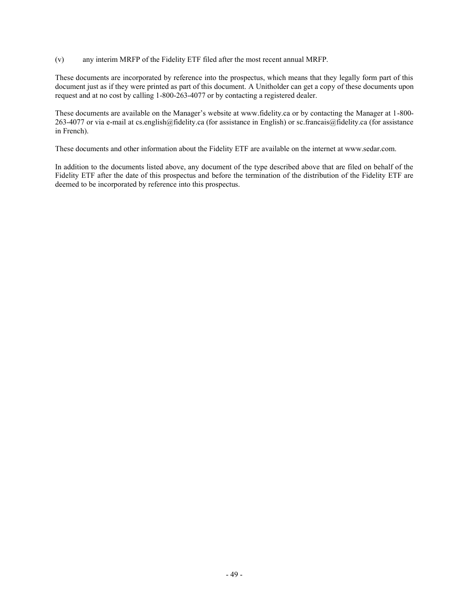(v) any interim MRFP of the Fidelity ETF filed after the most recent annual MRFP.

These documents are incorporated by reference into the prospectus, which means that they legally form part of this document just as if they were printed as part of this document. A Unitholder can get a copy of these documents upon request and at no cost by calling 1-800-263-4077 or by contacting a registered dealer.

These documents are available on the Manager's website at www.fidelity.ca or by contacting the Manager at 1-800- 263-4077 or via e-mail at cs.english@fidelity.ca (for assistance in English) or sc.francais@fidelity.ca (for assistance in French).

These documents and other information about the Fidelity ETF are available on the internet at www.sedar.com.

In addition to the documents listed above, any document of the type described above that are filed on behalf of the Fidelity ETF after the date of this prospectus and before the termination of the distribution of the Fidelity ETF are deemed to be incorporated by reference into this prospectus.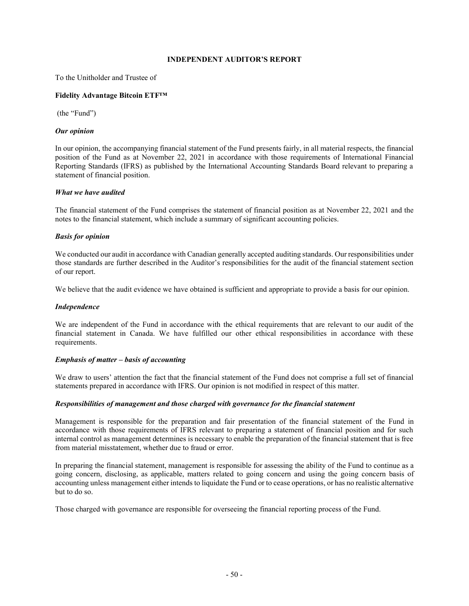#### **INDEPENDENT AUDITOR'S REPORT**

<span id="page-52-0"></span>To the Unitholder and Trustee of

#### **Fidelity Advantage Bitcoin ETF™**

(the "Fund")

#### *Our opinion*

In our opinion, the accompanying financial statement of the Fund presents fairly, in all material respects, the financial position of the Fund as at November 22, 2021 in accordance with those requirements of International Financial Reporting Standards (IFRS) as published by the International Accounting Standards Board relevant to preparing a statement of financial position.

#### *What we have audited*

The financial statement of the Fund comprises the statement of financial position as at November 22, 2021 and the notes to the financial statement, which include a summary of significant accounting policies.

#### *Basis for opinion*

We conducted our audit in accordance with Canadian generally accepted auditing standards. Our responsibilities under those standards are further described in the Auditor's responsibilities for the audit of the financial statement section of our report.

We believe that the audit evidence we have obtained is sufficient and appropriate to provide a basis for our opinion.

#### *Independence*

We are independent of the Fund in accordance with the ethical requirements that are relevant to our audit of the financial statement in Canada. We have fulfilled our other ethical responsibilities in accordance with these requirements.

#### *Emphasis of matter – basis of accounting*

We draw to users' attention the fact that the financial statement of the Fund does not comprise a full set of financial statements prepared in accordance with IFRS. Our opinion is not modified in respect of this matter.

#### *Responsibilities of management and those charged with governance for the financial statement*

Management is responsible for the preparation and fair presentation of the financial statement of the Fund in accordance with those requirements of IFRS relevant to preparing a statement of financial position and for such internal control as management determines is necessary to enable the preparation of the financial statement that is free from material misstatement, whether due to fraud or error.

In preparing the financial statement, management is responsible for assessing the ability of the Fund to continue as a going concern, disclosing, as applicable, matters related to going concern and using the going concern basis of accounting unless management either intends to liquidate the Fund or to cease operations, or has no realistic alternative but to do so.

Those charged with governance are responsible for overseeing the financial reporting process of the Fund.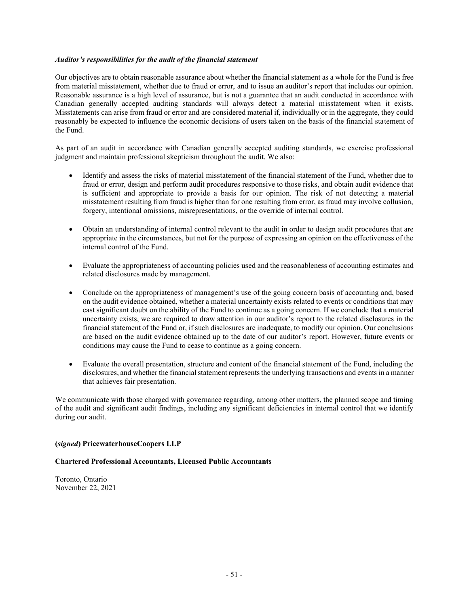#### *Auditor's responsibilities for the audit of the financial statement*

Our objectives are to obtain reasonable assurance about whether the financial statement as a whole for the Fund is free from material misstatement, whether due to fraud or error, and to issue an auditor's report that includes our opinion. Reasonable assurance is a high level of assurance, but is not a guarantee that an audit conducted in accordance with Canadian generally accepted auditing standards will always detect a material misstatement when it exists. Misstatements can arise from fraud or error and are considered material if, individually or in the aggregate, they could reasonably be expected to influence the economic decisions of users taken on the basis of the financial statement of the Fund.

As part of an audit in accordance with Canadian generally accepted auditing standards, we exercise professional judgment and maintain professional skepticism throughout the audit. We also:

- Identify and assess the risks of material misstatement of the financial statement of the Fund, whether due to fraud or error, design and perform audit procedures responsive to those risks, and obtain audit evidence that is sufficient and appropriate to provide a basis for our opinion. The risk of not detecting a material misstatement resulting from fraud is higher than for one resulting from error, as fraud may involve collusion, forgery, intentional omissions, misrepresentations, or the override of internal control.
- Obtain an understanding of internal control relevant to the audit in order to design audit procedures that are appropriate in the circumstances, but not for the purpose of expressing an opinion on the effectiveness of the internal control of the Fund.
- Evaluate the appropriateness of accounting policies used and the reasonableness of accounting estimates and related disclosures made by management.
- Conclude on the appropriateness of management's use of the going concern basis of accounting and, based on the audit evidence obtained, whether a material uncertainty exists related to events or conditions that may cast significant doubt on the ability of the Fund to continue as a going concern. If we conclude that a material uncertainty exists, we are required to draw attention in our auditor's report to the related disclosures in the financial statement of theFund or, if such disclosures are inadequate, to modify our opinion. Our conclusions are based on the audit evidence obtained up to the date of our auditor's report. However, future events or conditions may cause the Fund to cease to continue as a going concern.
- Evaluate the overall presentation, structure and content of the financial statement of the Fund, including the disclosures, and whether the financial statement represents the underlying transactions and events in a manner that achieves fair presentation.

We communicate with those charged with governance regarding, among other matters, the planned scope and timing of the audit and significant audit findings, including any significant deficiencies in internal control that we identify during our audit.

#### **(***signed***) PricewaterhouseCoopers LLP**

#### **Chartered Professional Accountants, Licensed Public Accountants**

Toronto, Ontario November 22, 2021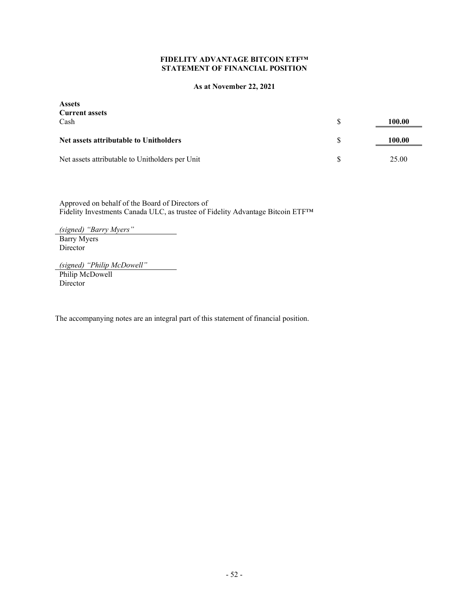# **FIDELITY ADVANTAGE BITCOIN ETF™ STATEMENT OF FINANCIAL POSITION**

#### **As at November 22, 2021**

| <b>Assets</b><br><b>Current assets</b>          |    |        |
|-------------------------------------------------|----|--------|
| Cash                                            | S  | 100.00 |
| Net assets attributable to Unitholders          | S  | 100.00 |
| Net assets attributable to Unitholders per Unit | S. | 25.00  |

Approved on behalf of the Board of Directors of Fidelity Investments Canada ULC, as trustee of Fidelity Advantage Bitcoin ETF™

*(signed) "Barry Myers"*

Barry Myers **Director** 

*(signed) "Philip McDowell"* Philip McDowell **Director** 

The accompanying notes are an integral part of this statement of financial position.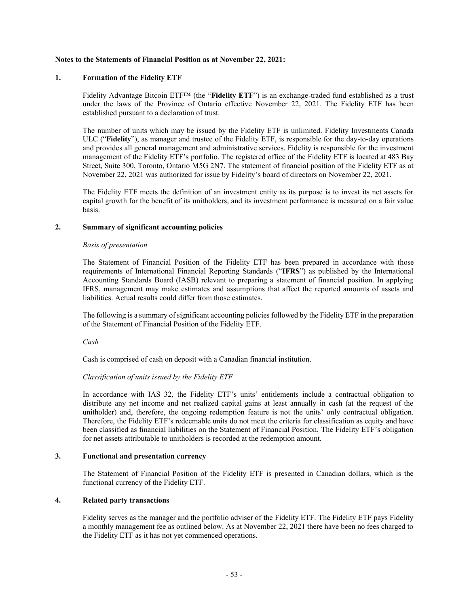#### **Notes to the Statements of Financial Position as at November 22, 2021:**

#### **1. Formation of the Fidelity ETF**

Fidelity Advantage Bitcoin ETF™ (the "**Fidelity ETF**") is an exchange-traded fund established as a trust under the laws of the Province of Ontario effective November 22, 2021. The Fidelity ETF has been established pursuant to a declaration of trust.

The number of units which may be issued by the Fidelity ETF is unlimited. Fidelity Investments Canada ULC ("**Fidelity**"), as manager and trustee of the Fidelity ETF, is responsible for the day-to-day operations and provides all general management and administrative services. Fidelity is responsible for the investment management of the Fidelity ETF's portfolio. The registered office of the Fidelity ETF is located at 483 Bay Street, Suite 300, Toronto, Ontario M5G 2N7. The statement of financial position of the Fidelity ETF as at November 22, 2021 was authorized for issue by Fidelity's board of directors on November 22, 2021.

The Fidelity ETF meets the definition of an investment entity as its purpose is to invest its net assets for capital growth for the benefit of its unitholders, and its investment performance is measured on a fair value basis.

#### **2. Summary of significant accounting policies**

#### *Basis of presentation*

The Statement of Financial Position of the Fidelity ETF has been prepared in accordance with those requirements of International Financial Reporting Standards ("**IFRS**") as published by the International Accounting Standards Board (IASB) relevant to preparing a statement of financial position. In applying IFRS, management may make estimates and assumptions that affect the reported amounts of assets and liabilities. Actual results could differ from those estimates.

The following is a summary of significant accounting policies followed by the Fidelity ETF in the preparation of the Statement of Financial Position of the Fidelity ETF.

*Cash*

Cash is comprised of cash on deposit with a Canadian financial institution.

### *Classification of units issued by the Fidelity ETF*

In accordance with IAS 32, the Fidelity ETF's units' entitlements include a contractual obligation to distribute any net income and net realized capital gains at least annually in cash (at the request of the unitholder) and, therefore, the ongoing redemption feature is not the units' only contractual obligation. Therefore, the Fidelity ETF's redeemable units do not meet the criteria for classification as equity and have been classified as financial liabilities on the Statement of Financial Position. The Fidelity ETF's obligation for net assets attributable to unitholders is recorded at the redemption amount.

#### **3. Functional and presentation currency**

The Statement of Financial Position of the Fidelity ETF is presented in Canadian dollars, which is the functional currency of the Fidelity ETF.

#### **4. Related party transactions**

Fidelity serves as the manager and the portfolio adviser of the Fidelity ETF. The Fidelity ETF pays Fidelity a monthly management fee as outlined below. As at November 22, 2021 there have been no fees charged to the Fidelity ETF as it has not yet commenced operations.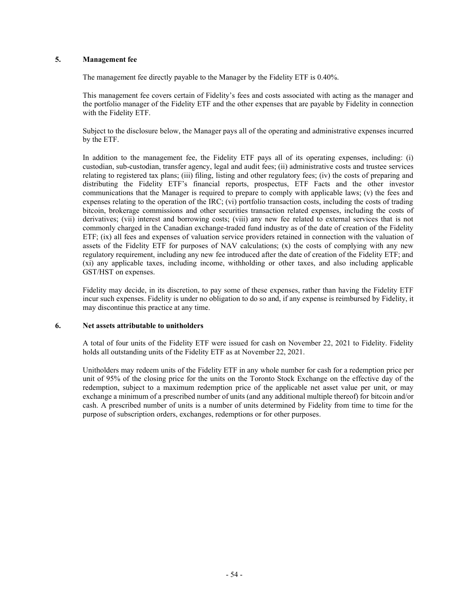### **5. Management fee**

The management fee directly payable to the Manager by the Fidelity ETF is 0.40%.

This management fee covers certain of Fidelity's fees and costs associated with acting as the manager and the portfolio manager of the Fidelity ETF and the other expenses that are payable by Fidelity in connection with the Fidelity ETF.

Subject to the disclosure below, the Manager pays all of the operating and administrative expenses incurred by the ETF.

In addition to the management fee, the Fidelity ETF pays all of its operating expenses, including: (i) custodian, sub-custodian, transfer agency, legal and audit fees; (ii) administrative costs and trustee services relating to registered tax plans; (iii) filing, listing and other regulatory fees; (iv) the costs of preparing and distributing the Fidelity ETF's financial reports, prospectus, ETF Facts and the other investor communications that the Manager is required to prepare to comply with applicable laws; (v) the fees and expenses relating to the operation of the IRC; (vi) portfolio transaction costs, including the costs of trading bitcoin, brokerage commissions and other securities transaction related expenses, including the costs of derivatives; (vii) interest and borrowing costs; (viii) any new fee related to external services that is not commonly charged in the Canadian exchange-traded fund industry as of the date of creation of the Fidelity ETF; (ix) all fees and expenses of valuation service providers retained in connection with the valuation of assets of the Fidelity ETF for purposes of NAV calculations; (x) the costs of complying with any new regulatory requirement, including any new fee introduced after the date of creation of the Fidelity ETF; and (xi) any applicable taxes, including income, withholding or other taxes, and also including applicable GST/HST on expenses.

Fidelity may decide, in its discretion, to pay some of these expenses, rather than having the Fidelity ETF incur such expenses. Fidelity is under no obligation to do so and, if any expense is reimbursed by Fidelity, it may discontinue this practice at any time.

#### **6. Net assets attributable to unitholders**

A total of four units of the Fidelity ETF were issued for cash on November 22, 2021 to Fidelity. Fidelity holds all outstanding units of the Fidelity ETF as at November 22, 2021.

Unitholders may redeem units of the Fidelity ETF in any whole number for cash for a redemption price per unit of 95% of the closing price for the units on the Toronto Stock Exchange on the effective day of the redemption, subject to a maximum redemption price of the applicable net asset value per unit, or may exchange a minimum of a prescribed number of units (and any additional multiple thereof) for bitcoin and/or cash. A prescribed number of units is a number of units determined by Fidelity from time to time for the purpose of subscription orders, exchanges, redemptions or for other purposes.